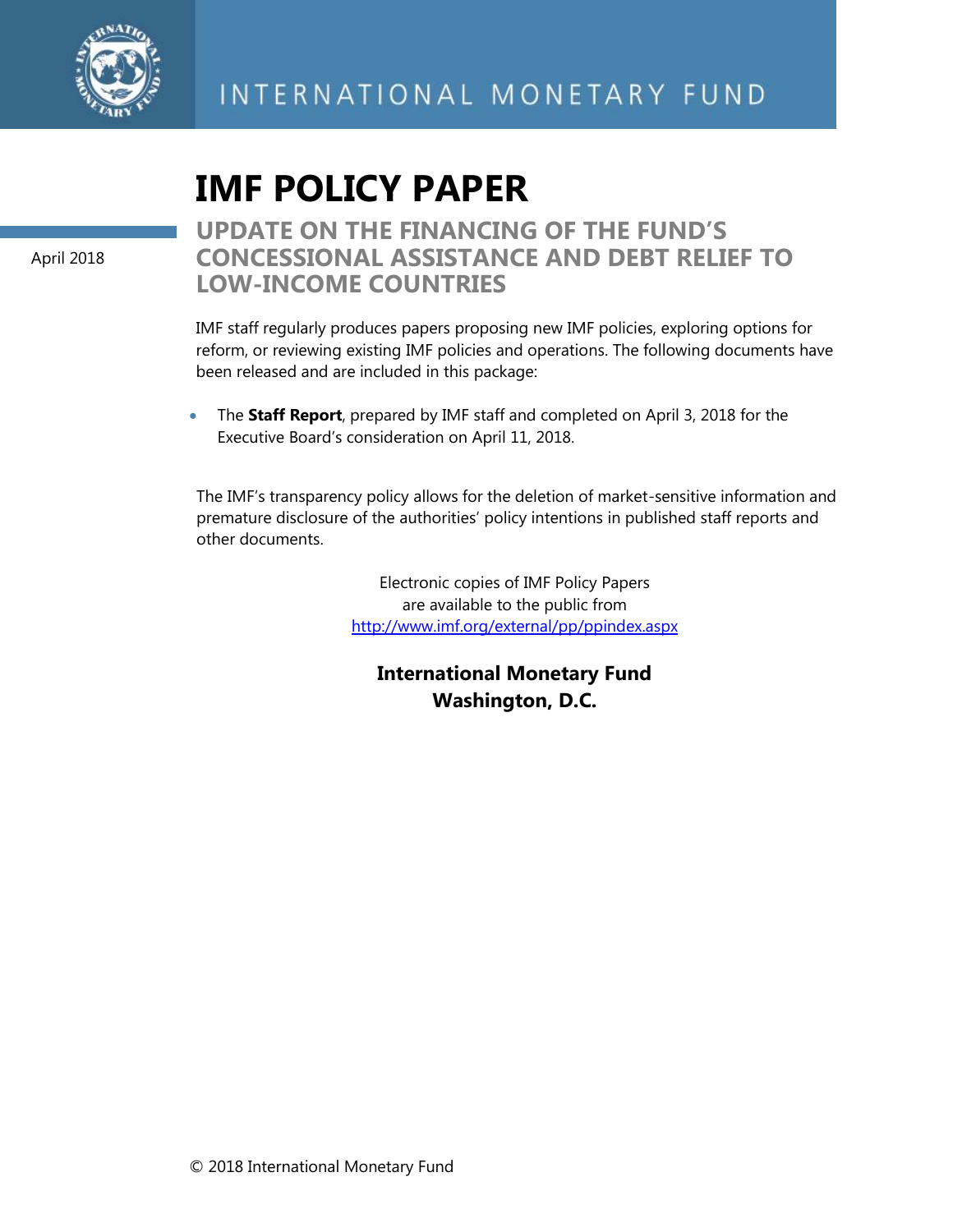

# **IMF POLICY PAPER**

April 2018

## **UPDATE ON THE FINANCING OF THE FUND'S CONCESSIONAL ASSISTANCE AND DEBT RELIEF TO LOW-INCOME COUNTRIES**

IMF staff regularly produces papers proposing new IMF policies, exploring options for reform, or reviewing existing IMF policies and operations. The following documents have been released and are included in this package:

• The **Staff Report**, prepared by IMF staff and completed on April 3, 2018 for the Executive Board's consideration on April 11, 2018.

The IMF's transparency policy allows for the deletion of market-sensitive information and premature disclosure of the authorities' policy intentions in published staff reports and other documents.

> Electronic copies of IMF Policy Papers are available to the public from [http://www.imf.org/external/pp/ppindex.aspx](http://0-www-imf-org.library.svsu.edu/external/pp/ppindex.aspx)

**International Monetary Fund Washington, D.C.**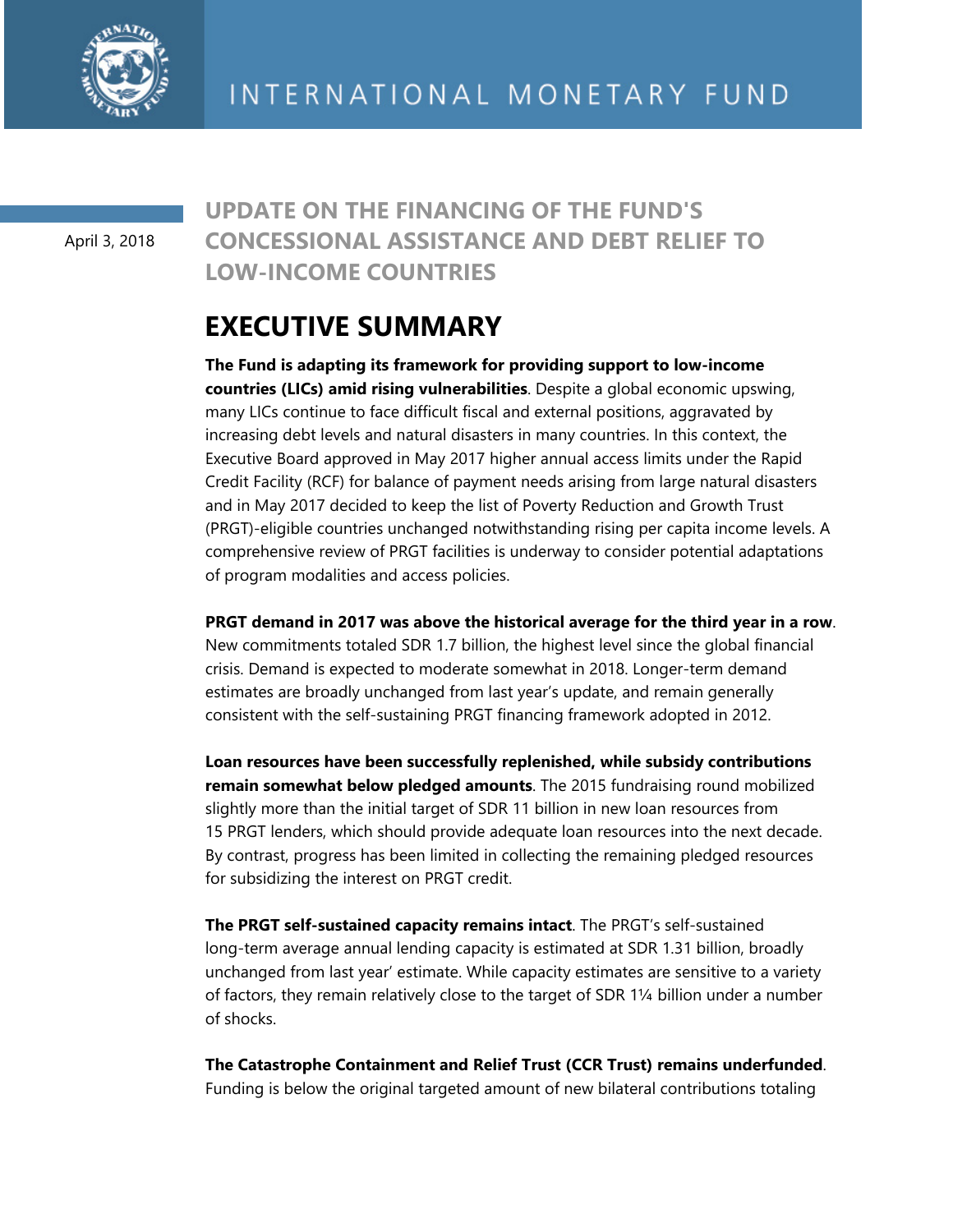

April 3, 2018

## **UPDATE ON THE FINANCING OF THE FUND'S CONCESSIONAL ASSISTANCE AND DEBT RELIEF TO LOW-INCOME COUNTRIES**

# **EXECUTIVE SUMMARY**

**The Fund is adapting its framework for providing support to low-income countries (LICs) amid rising vulnerabilities**. Despite a global economic upswing, many LICs continue to face difficult fiscal and external positions, aggravated by increasing debt levels and natural disasters in many countries. In this context, the Executive Board approved in May 2017 higher annual access limits under the Rapid Credit Facility (RCF) for balance of payment needs arising from large natural disasters and in May 2017 decided to keep the list of Poverty Reduction and Growth Trust (PRGT)-eligible countries unchanged notwithstanding rising per capita income levels. A comprehensive review of PRGT facilities is underway to consider potential adaptations of program modalities and access policies.

**PRGT demand in 2017 was above the historical average for the third year in a row**. New commitments totaled SDR 1.7 billion, the highest level since the global financial crisis. Demand is expected to moderate somewhat in 2018. Longer-term demand estimates are broadly unchanged from last year's update, and remain generally consistent with the self-sustaining PRGT financing framework adopted in 2012.

**Loan resources have been successfully replenished, while subsidy contributions remain somewhat below pledged amounts**. The 2015 fundraising round mobilized slightly more than the initial target of SDR 11 billion in new loan resources from 15 PRGT lenders, which should provide adequate loan resources into the next decade. By contrast, progress has been limited in collecting the remaining pledged resources for subsidizing the interest on PRGT credit.

**The PRGT self-sustained capacity remains intact**. The PRGT's self-sustained long-term average annual lending capacity is estimated at SDR 1.31 billion, broadly unchanged from last year' estimate. While capacity estimates are sensitive to a variety of factors, they remain relatively close to the target of SDR 1¼ billion under a number of shocks.

**The Catastrophe Containment and Relief Trust (CCR Trust) remains underfunded**. Funding is below the original targeted amount of new bilateral contributions totaling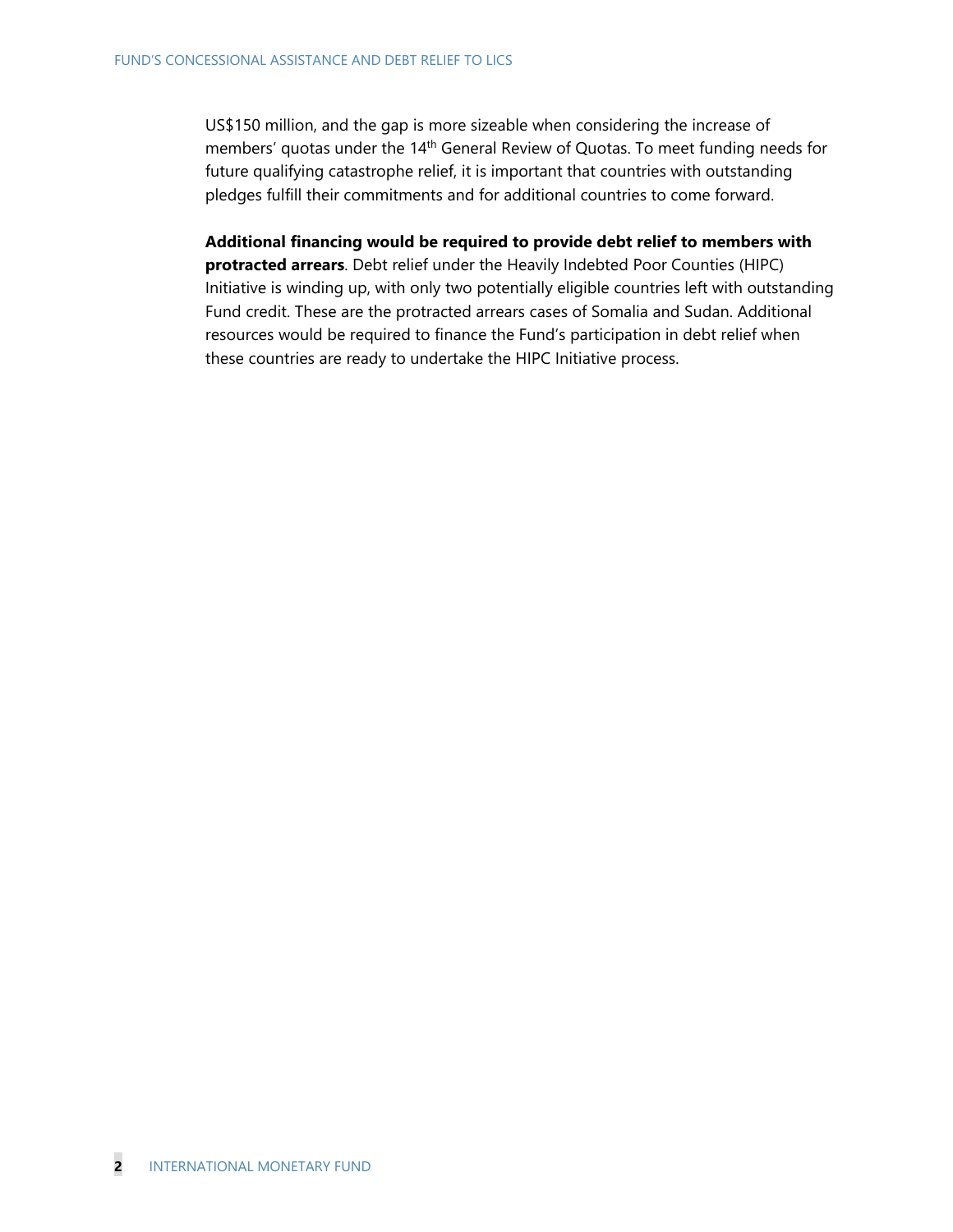US\$150 million, and the gap is more sizeable when considering the increase of members' quotas under the 14<sup>th</sup> General Review of Quotas. To meet funding needs for future qualifying catastrophe relief, it is important that countries with outstanding pledges fulfill their commitments and for additional countries to come forward.

**Additional financing would be required to provide debt relief to members with protracted arrears**. Debt relief under the Heavily Indebted Poor Counties (HIPC) Initiative is winding up, with only two potentially eligible countries left with outstanding Fund credit. These are the protracted arrears cases of Somalia and Sudan. Additional resources would be required to finance the Fund's participation in debt relief when these countries are ready to undertake the HIPC Initiative process.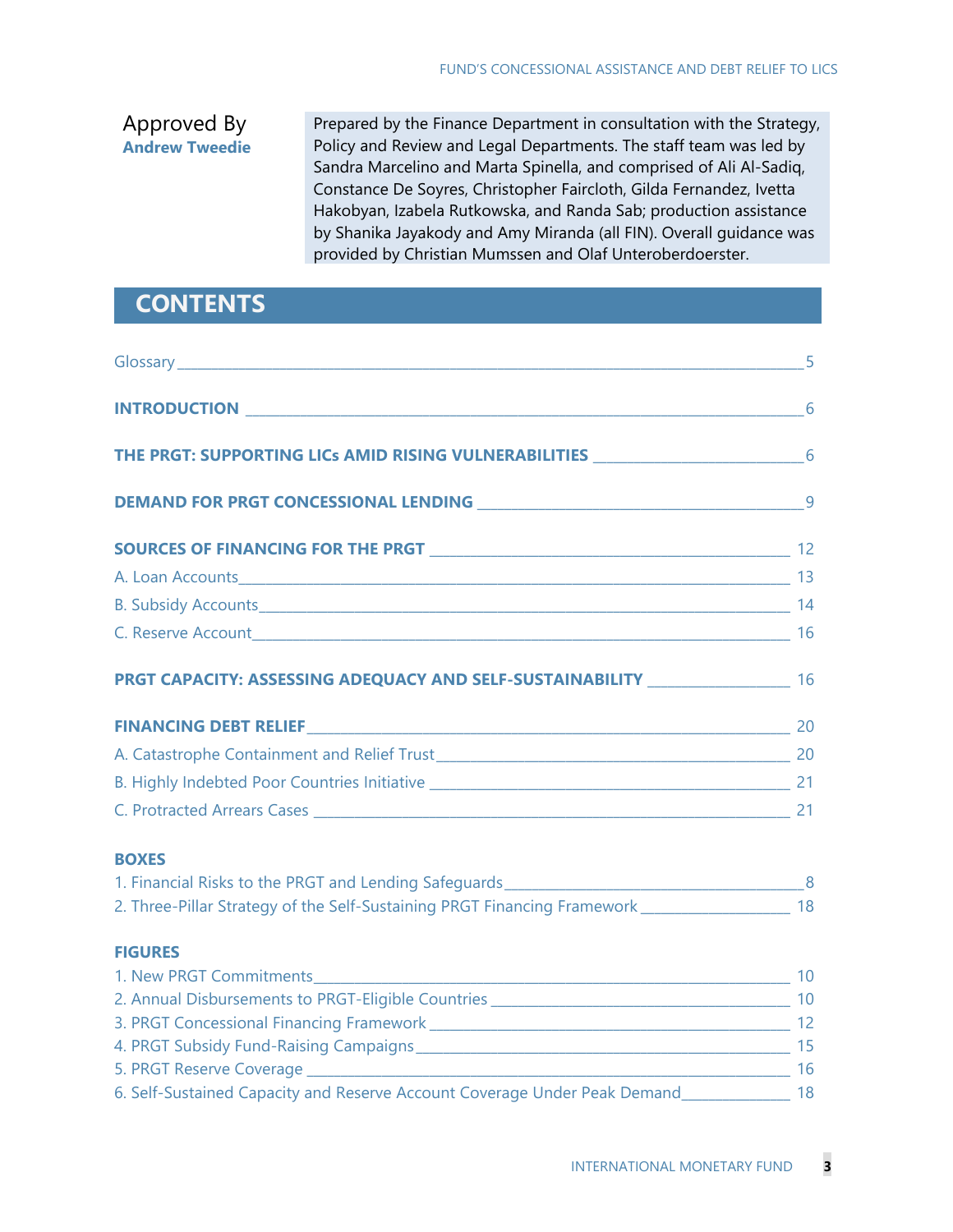## Approved By **Andrew Tweedie**

Prepared by the Finance Department in consultation with the Strategy, Policy and Review and Legal Departments. The staff team was led by Sandra Marcelino and Marta Spinella, and comprised of Ali Al-Sadiq, Constance De Soyres, Christopher Faircloth, Gilda Fernandez, Ivetta Hakobyan, Izabela Rutkowska, and Randa Sab; production assistance by Shanika Jayakody and Amy Miranda (all FIN). Overall guidance was provided by Christian Mumssen and Olaf Unteroberdoerster.

# **CONTENTS**

| THE PRGT: SUPPORTING LICs AMID RISING VULNERABILITIES ____________________________6         |  |
|---------------------------------------------------------------------------------------------|--|
|                                                                                             |  |
|                                                                                             |  |
| A. Loan Accounts 13                                                                         |  |
|                                                                                             |  |
|                                                                                             |  |
| PRGT CAPACITY: ASSESSING ADEQUACY AND SELF-SUSTAINABILITY ______________________ 16         |  |
|                                                                                             |  |
|                                                                                             |  |
|                                                                                             |  |
|                                                                                             |  |
| <b>BOXES</b>                                                                                |  |
|                                                                                             |  |
| 2. Three-Pillar Strategy of the Self-Sustaining PRGT Financing Framework 2008 2014          |  |
| <b>FIGURES</b>                                                                              |  |
|                                                                                             |  |
|                                                                                             |  |
|                                                                                             |  |
|                                                                                             |  |
|                                                                                             |  |
| 6. Self-Sustained Capacity and Reserve Account Coverage Under Peak Demand_______________ 18 |  |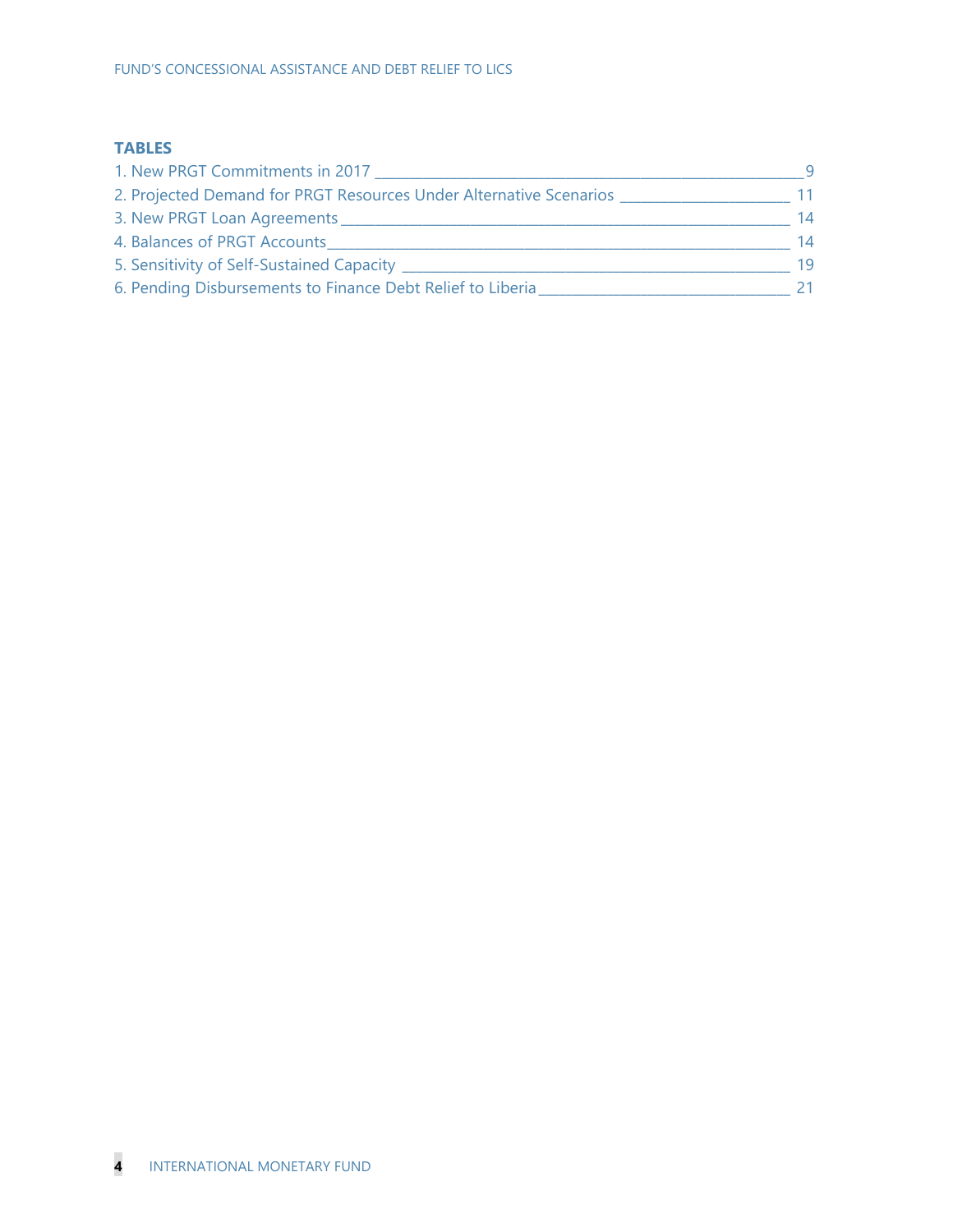#### **TABLES**

| 1. New PRGT Commitments in 2017                                    |    |
|--------------------------------------------------------------------|----|
| 2. Projected Demand for PRGT Resources Under Alternative Scenarios | 11 |
| 3. New PRGT Loan Agreements                                        | 14 |
| 4. Balances of PRGT Accounts                                       | 14 |
| 5. Sensitivity of Self-Sustained Capacity _                        | 19 |
| 6. Pending Disbursements to Finance Debt Relief to Liberia         |    |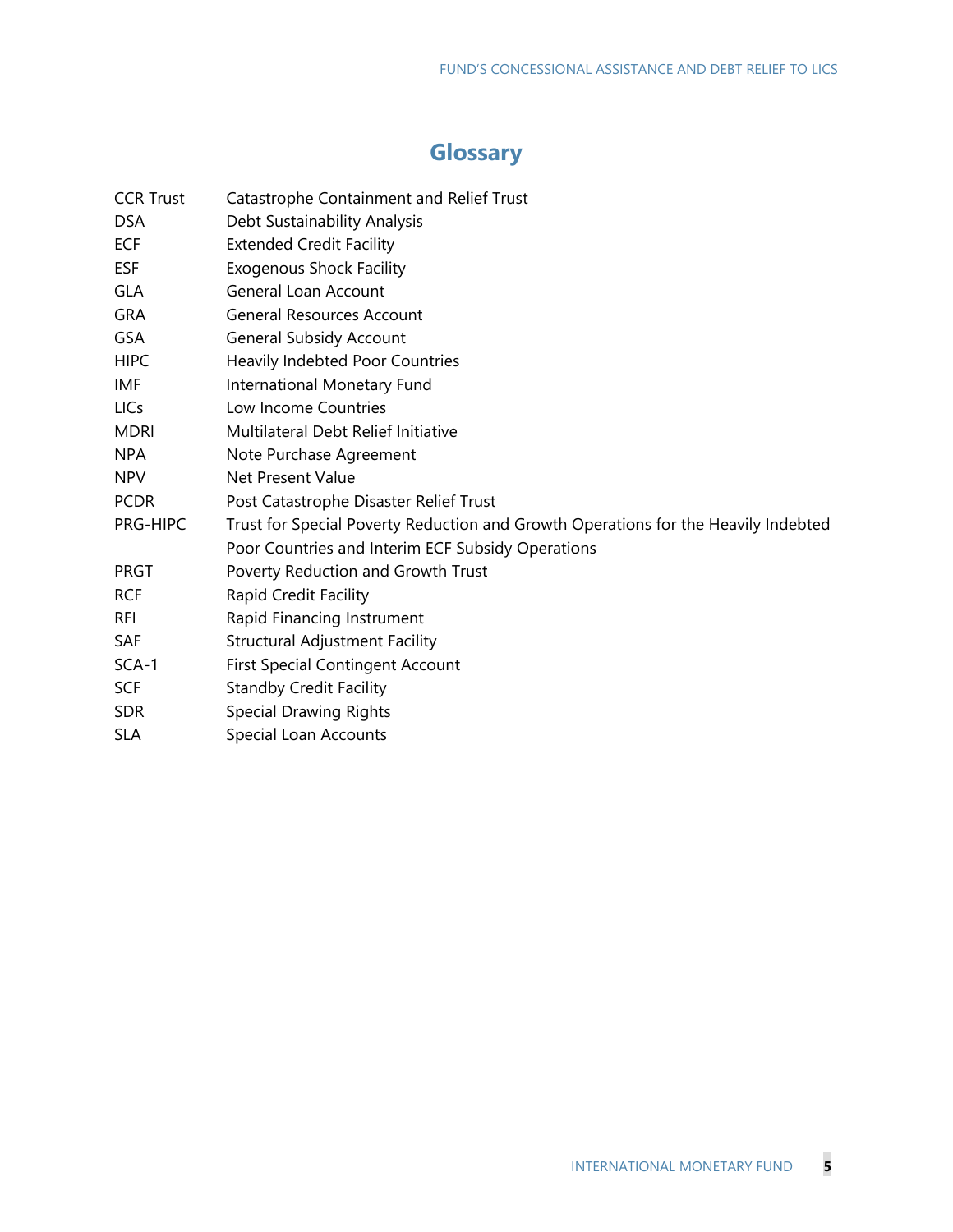# **Glossary**

| Catastrophe Containment and Relief Trust                                           |
|------------------------------------------------------------------------------------|
| Debt Sustainability Analysis                                                       |
| <b>Extended Credit Facility</b>                                                    |
| <b>Exogenous Shock Facility</b>                                                    |
| <b>General Loan Account</b>                                                        |
| <b>General Resources Account</b>                                                   |
| <b>General Subsidy Account</b>                                                     |
| <b>Heavily Indebted Poor Countries</b>                                             |
| International Monetary Fund                                                        |
| Low Income Countries                                                               |
| Multilateral Debt Relief Initiative                                                |
| Note Purchase Agreement                                                            |
| <b>Net Present Value</b>                                                           |
| Post Catastrophe Disaster Relief Trust                                             |
| Trust for Special Poverty Reduction and Growth Operations for the Heavily Indebted |
| Poor Countries and Interim ECF Subsidy Operations                                  |
| Poverty Reduction and Growth Trust                                                 |
| Rapid Credit Facility                                                              |
| Rapid Financing Instrument                                                         |
| <b>Structural Adjustment Facility</b>                                              |
| <b>First Special Contingent Account</b>                                            |
| <b>Standby Credit Facility</b>                                                     |
| <b>Special Drawing Rights</b>                                                      |
| Special Loan Accounts                                                              |
|                                                                                    |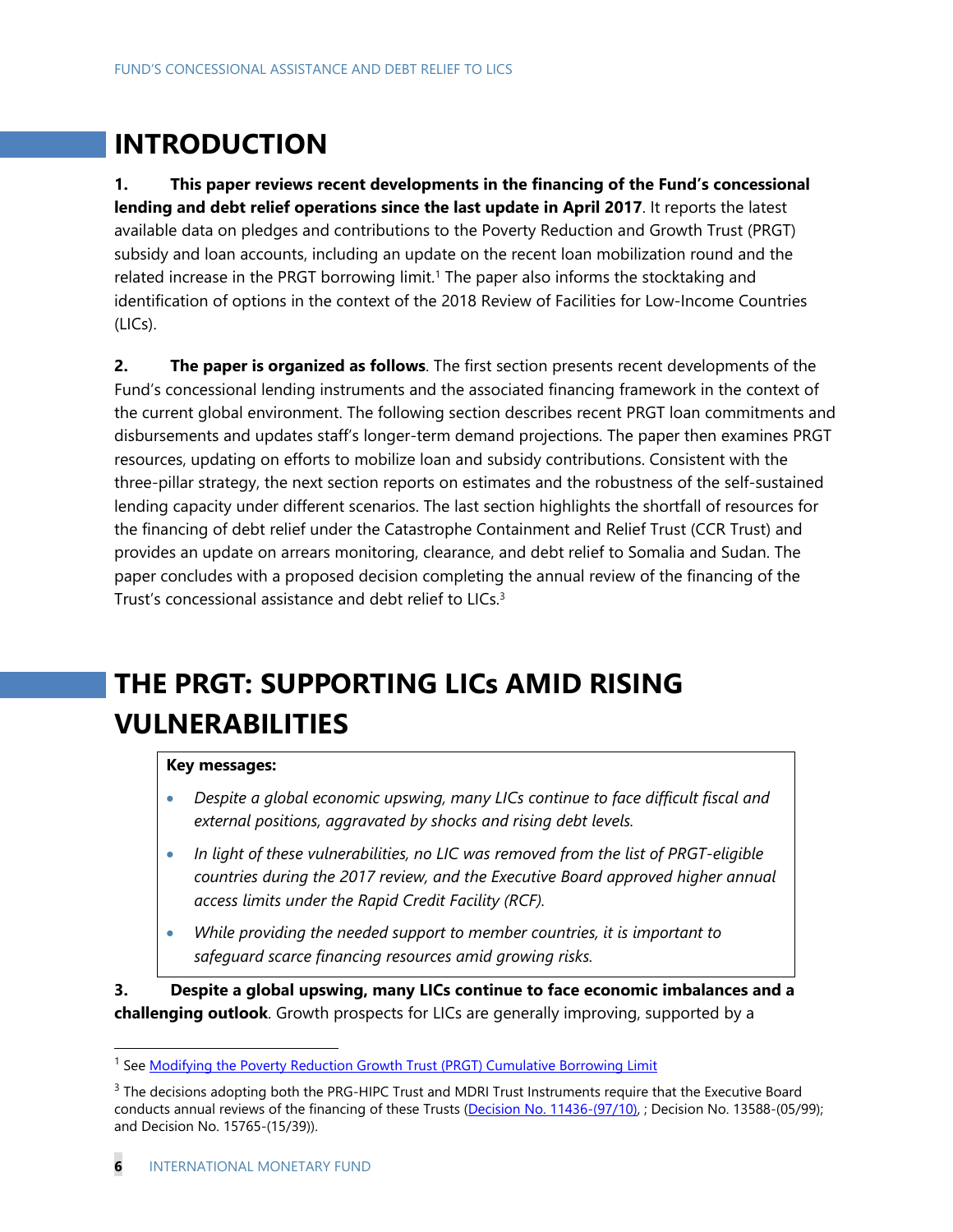# **INTRODUCTION**

**1. This paper reviews recent developments in the financing of the Fund's concessional lending and debt relief operations since the last update in April 2017**. It reports the latest available data on pledges and contributions to the Poverty Reduction and Growth Trust (PRGT) subsidy and loan accounts, including an update on the recent loan mobilization round and the related increase in the PRGT borrowing limit.<sup>1</sup> The paper also informs the stocktaking and identification of options in the context of the 2018 Review of Facilities for Low-Income Countries (LICs).

**2. The paper is organized as follows**. The first section presents recent developments of the Fund's concessional lending instruments and the associated financing framework in the context of the current global environment. The following section describes recent PRGT loan commitments and disbursements and updates staff's longer-term demand projections. The paper then examines PRGT resources, updating on efforts to mobilize loan and subsidy contributions. Consistent with the three-pillar strategy, the next section reports on estimates and the robustness of the self-sustained lending capacity under different scenarios. The last section highlights the shortfall of resources for the financing of debt relief under the Catastrophe Containment and Relief Trust (CCR Trust) and provides an update on arrears monitoring, clearance, and debt relief to Somalia and Sudan. The paper concludes with a proposed decision completing the annual review of the financing of the Trust's concessional assistance and debt relief to LICs.<sup>3</sup>

# **THE PRGT: SUPPORTING LICs AMID RISING VULNERABILITIES**

#### **Key messages:**

- *Despite a global economic upswing, many LICs continue to face difficult fiscal and external positions, aggravated by shocks and rising debt levels.*
- *In light of these vulnerabilities, no LIC was removed from the list of PRGT-eligible countries during the 2017 review, and the Executive Board approved higher annual access limits under the Rapid Credit Facility (RCF).*
- *While providing the needed support to member countries, it is important to safeguard scarce financing resources amid growing risks.*

**3. Despite a global upswing, many LICs continue to face economic imbalances and a challenging outlook**. Growth prospects for LICs are generally improving, supported by a

<sup>1</sup> See Modifying the Poverty Reduction Growth Trust (PRGT) Cumulative Borrowing Limit

 $3$  The decisions adopting both the PRG-HIPC Trust and MDRI Trust Instruments require that the Executive Board conducts annual reviews of the financing of these Trusts (Decision No. 11436-(97/10), ; Decision No. 13588-(05/99); and Decision No. 15765-(15/39)).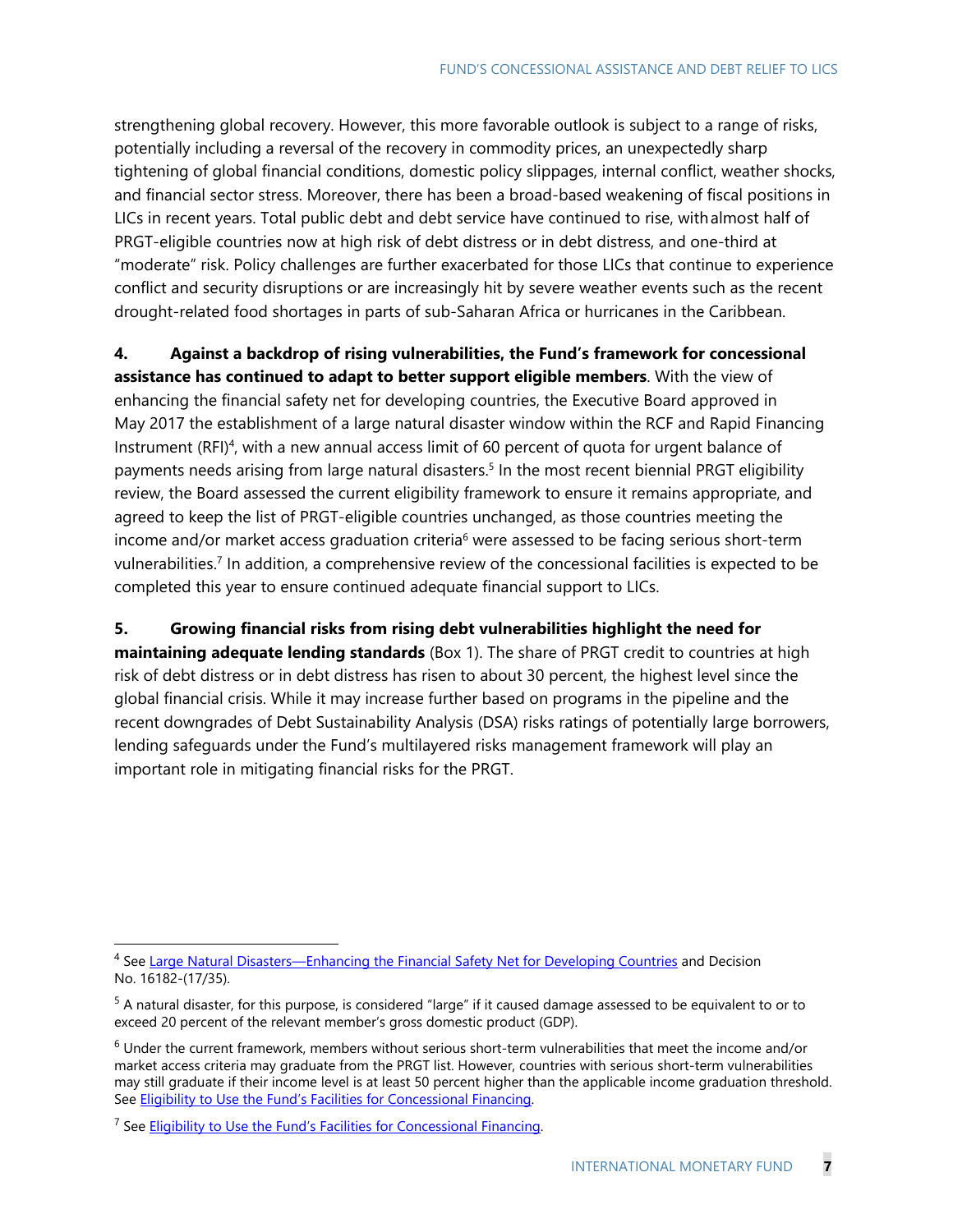strengthening global recovery. However, this more favorable outlook is subject to a range of risks, potentially including a reversal of the recovery in commodity prices, an unexpectedly sharp tightening of global financial conditions, domestic policy slippages, internal conflict, weather shocks, and financial sector stress. Moreover, there has been a broad-based weakening of fiscal positions in LICs in recent years. Total public debt and debt service have continued to rise, with almost half of PRGT-eligible countries now at high risk of debt distress or in debt distress, and one-third at "moderate" risk. Policy challenges are further exacerbated for those LICs that continue to experience conflict and security disruptions or are increasingly hit by severe weather events such as the recent drought-related food shortages in parts of sub-Saharan Africa or hurricanes in the Caribbean.

**4. Against a backdrop of rising vulnerabilities, the Fund's framework for concessional assistance has continued to adapt to better support eligible members**. With the view of enhancing the financial safety net for developing countries, the Executive Board approved in May 2017 the establishment of a large natural disaster window within the RCF and Rapid Financing Instrument (RFI)<sup>4</sup>, with a new annual access limit of 60 percent of quota for urgent balance of payments needs arising from large natural disasters.<sup>5</sup> In the most recent biennial PRGT eligibility review, the Board assessed the current eligibility framework to ensure it remains appropriate, and agreed to keep the list of PRGT-eligible countries unchanged, as those countries meeting the income and/or market access graduation criteria<sup>6</sup> were assessed to be facing serious short-term vulnerabilities.<sup>7</sup> In addition, a comprehensive review of the concessional facilities is expected to be completed this year to ensure continued adequate financial support to LICs.

**5. Growing financial risks from rising debt vulnerabilities highlight the need for maintaining adequate lending standards** (Box 1). The share of PRGT credit to countries at high risk of debt distress or in debt distress has risen to about 30 percent, the highest level since the global financial crisis. While it may increase further based on programs in the pipeline and the recent downgrades of Debt Sustainability Analysis (DSA) risks ratings of potentially large borrowers, lending safeguards under the Fund's multilayered risks management framework will play an important role in mitigating financial risks for the PRGT.

<sup>&</sup>lt;sup>4</sup> See Large Natural Disasters—Enhancing the Financial Safety Net for Developing Countries and Decision No. 16182-(17/35).

<sup>5</sup> A natural disaster, for this purpose, is considered "large" if it caused damage assessed to be equivalent to or to exceed 20 percent of the relevant member's gross domestic product (GDP).

 $<sup>6</sup>$  Under the current framework, members without serious short-term vulnerabilities that meet the income and/or</sup> market access criteria may graduate from the PRGT list. However, countries with serious short-term vulnerabilities may still graduate if their income level is at least 50 percent higher than the applicable income graduation threshold. See Eligibility to Use the Fund's Facilities for Concessional Financing.

<sup>&</sup>lt;sup>7</sup> See Eligibility to Use the Fund's Facilities for Concessional Financing.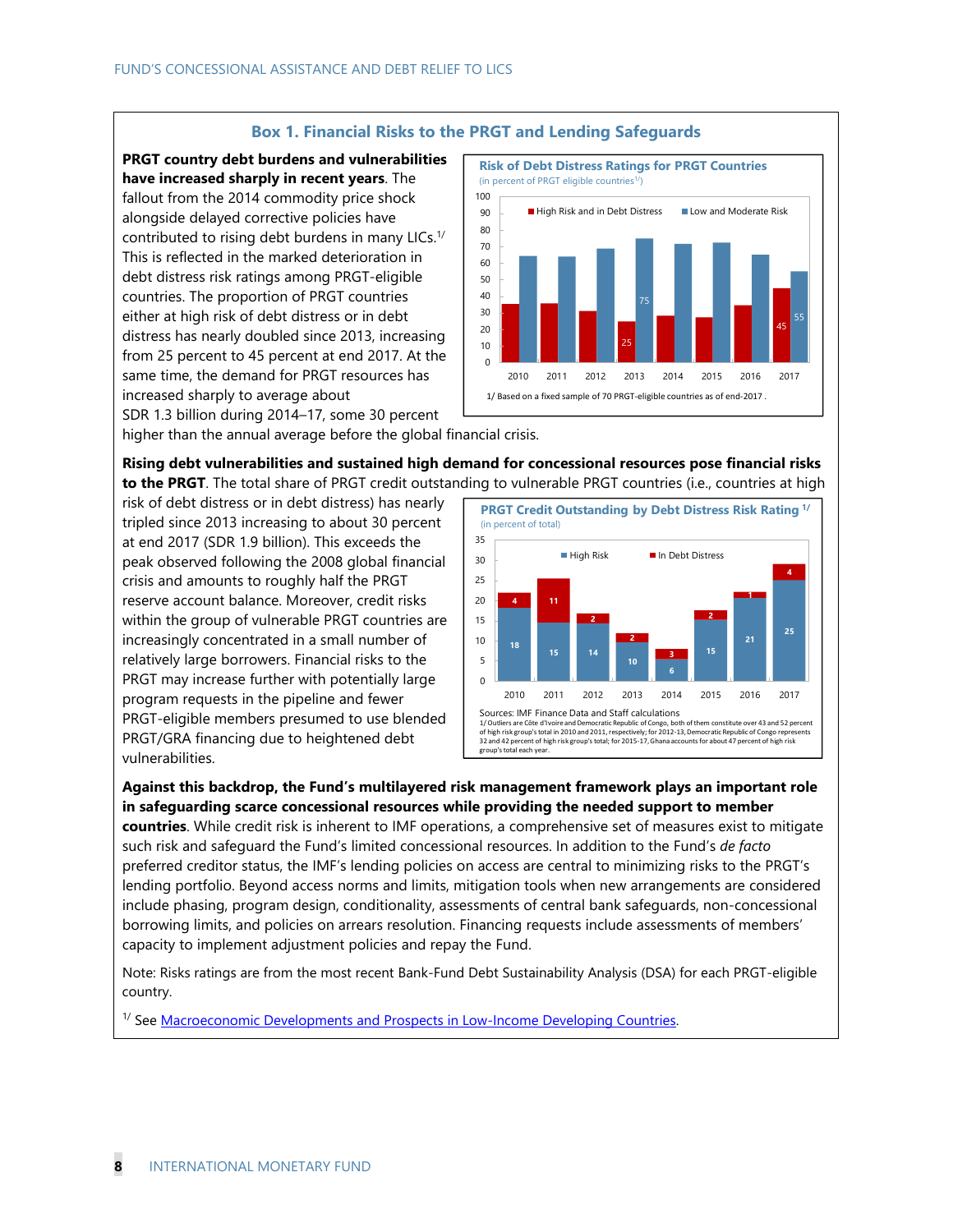#### **Box 1. Financial Risks to the PRGT and Lending Safeguards**

**PRGT country debt burdens and vulnerabilities have increased sharply in recent years**. The fallout from the 2014 commodity price shock alongside delayed corrective policies have contributed to rising debt burdens in many LICs. $1/$ This is reflected in the marked deterioration in debt distress risk ratings among PRGT-eligible countries. The proportion of PRGT countries either at high risk of debt distress or in debt distress has nearly doubled since 2013, increasing from 25 percent to 45 percent at end 2017. At the same time, the demand for PRGT resources has increased sharply to average about

SDR 1.3 billion during 2014–17, some 30 percent

higher than the annual average before the global financial crisis.

**Rising debt vulnerabilities and sustained high demand for concessional resources pose financial risks to the PRGT**. The total share of PRGT credit outstanding to vulnerable PRGT countries (i.e., countries at high

risk of debt distress or in debt distress) has nearly tripled since 2013 increasing to about 30 percent at end 2017 (SDR 1.9 billion). This exceeds the peak observed following the 2008 global financial crisis and amounts to roughly half the PRGT reserve account balance. Moreover, credit risks within the group of vulnerable PRGT countries are increasingly concentrated in a small number of relatively large borrowers. Financial risks to the PRGT may increase further with potentially large program requests in the pipeline and fewer PRGT-eligible members presumed to use blended PRGT/GRA financing due to heightened debt vulnerabilities.



**Against this backdrop, the Fund's multilayered risk management framework plays an important role in safeguarding scarce concessional resources while providing the needed support to member** 

**countries**. While credit risk is inherent to IMF operations, a comprehensive set of measures exist to mitigate such risk and safeguard the Fund's limited concessional resources. In addition to the Fund's *de facto* preferred creditor status, the IMF's lending policies on access are central to minimizing risks to the PRGT's lending portfolio. Beyond access norms and limits, mitigation tools when new arrangements are considered include phasing, program design, conditionality, assessments of central bank safeguards, non-concessional borrowing limits, and policies on arrears resolution. Financing requests include assessments of members' capacity to implement adjustment policies and repay the Fund.

Note: Risks ratings are from the most recent Bank-Fund Debt Sustainability Analysis (DSA) for each PRGT-eligible country.

<sup>1/</sup> See **Macroeconomic Developments and Prospects in Low-Income Developing Countries.** 

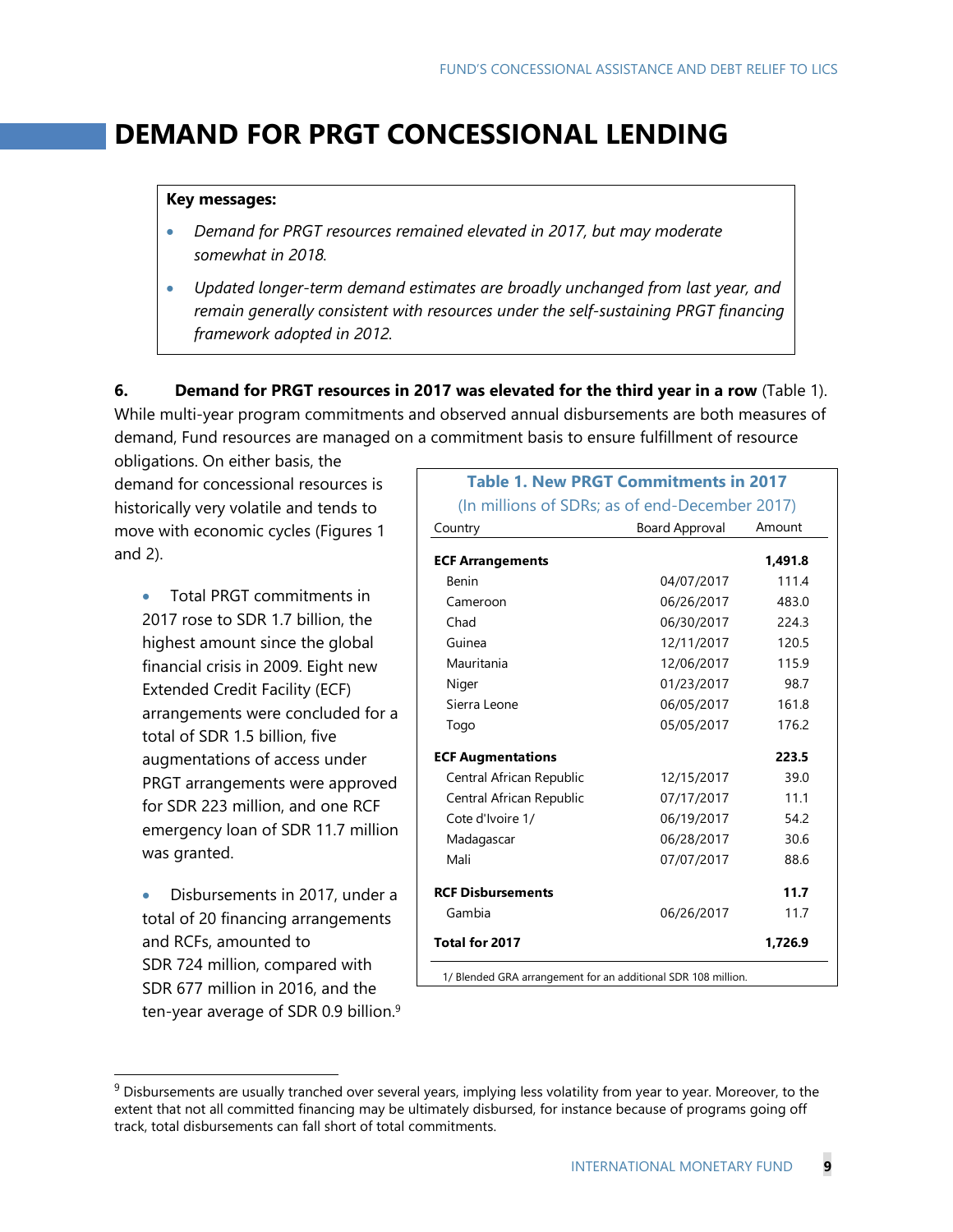# **DEMAND FOR PRGT CONCESSIONAL LENDING**

#### **Key messages:**

- *Demand for PRGT resources remained elevated in 2017, but may moderate somewhat in 2018.*
- *Updated longer-term demand estimates are broadly unchanged from last year, and remain generally consistent with resources under the self-sustaining PRGT financing framework adopted in 2012.*

**6. Demand for PRGT resources in 2017 was elevated for the third year in a row** (Table 1). While multi-year program commitments and observed annual disbursements are both measures of demand, Fund resources are managed on a commitment basis to ensure fulfillment of resource

obligations. On either basis, the demand for concessional resources is historically very volatile and tends to move with economic cycles (Figures 1 and 2).

- Total PRGT commitments in 2017 rose to SDR 1.7 billion, the highest amount since the global financial crisis in 2009. Eight new Extended Credit Facility (ECF) arrangements were concluded for a total of SDR 1.5 billion, five augmentations of access under PRGT arrangements were approved for SDR 223 million, and one RCF emergency loan of SDR 11.7 million was granted.
- Disbursements in 2017, under a total of 20 financing arrangements and RCFs, amounted to SDR 724 million, compared with SDR 677 million in 2016, and the ten-year average of SDR 0.9 billion.9

| <b>Table 1. New PRGT Commitments in 2017</b>                  |                       |         |
|---------------------------------------------------------------|-----------------------|---------|
| (In millions of SDRs; as of end-December 2017)                |                       |         |
| Country                                                       | <b>Board Approval</b> | Amount  |
| <b>ECF Arrangements</b>                                       |                       | 1,491.8 |
| <b>Benin</b>                                                  | 04/07/2017            | 111.4   |
| Cameroon                                                      | 06/26/2017            | 483.0   |
| Chad                                                          | 06/30/2017            | 224.3   |
| Guinea                                                        | 12/11/2017            | 120.5   |
| Mauritania                                                    | 12/06/2017            | 115.9   |
| Niger                                                         | 01/23/2017            | 98.7    |
| Sierra Leone                                                  | 06/05/2017            | 161.8   |
| Togo                                                          | 05/05/2017            | 176.2   |
| <b>ECF Augmentations</b>                                      |                       | 223.5   |
| Central African Republic                                      | 12/15/2017            | 39.0    |
| Central African Republic                                      | 07/17/2017            | 11.1    |
| Cote d'Ivoire 1/                                              | 06/19/2017            | 54.2    |
| Madagascar                                                    | 06/28/2017            | 30.6    |
| Mali                                                          | 07/07/2017            | 88.6    |
| <b>RCF Disbursements</b>                                      |                       | 11.7    |
| Gambia                                                        | 06/26/2017            | 11.7    |
| Total for 2017                                                |                       | 1,726.9 |
| 1/ Blended GRA arrangement for an additional SDR 108 million. |                       |         |

 $9$  Disbursements are usually tranched over several years, implying less volatility from year to year. Moreover, to the extent that not all committed financing may be ultimately disbursed, for instance because of programs going off track, total disbursements can fall short of total commitments.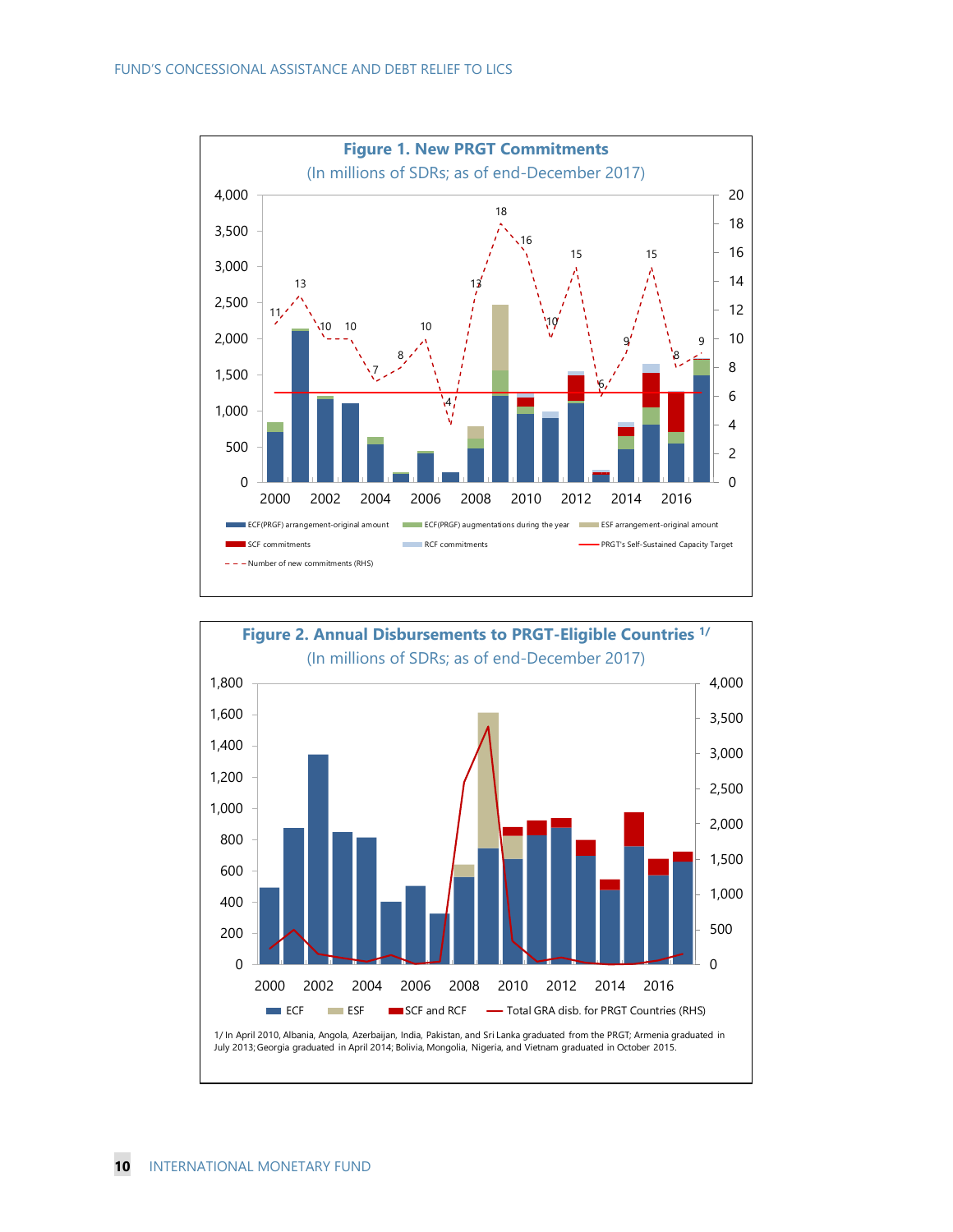

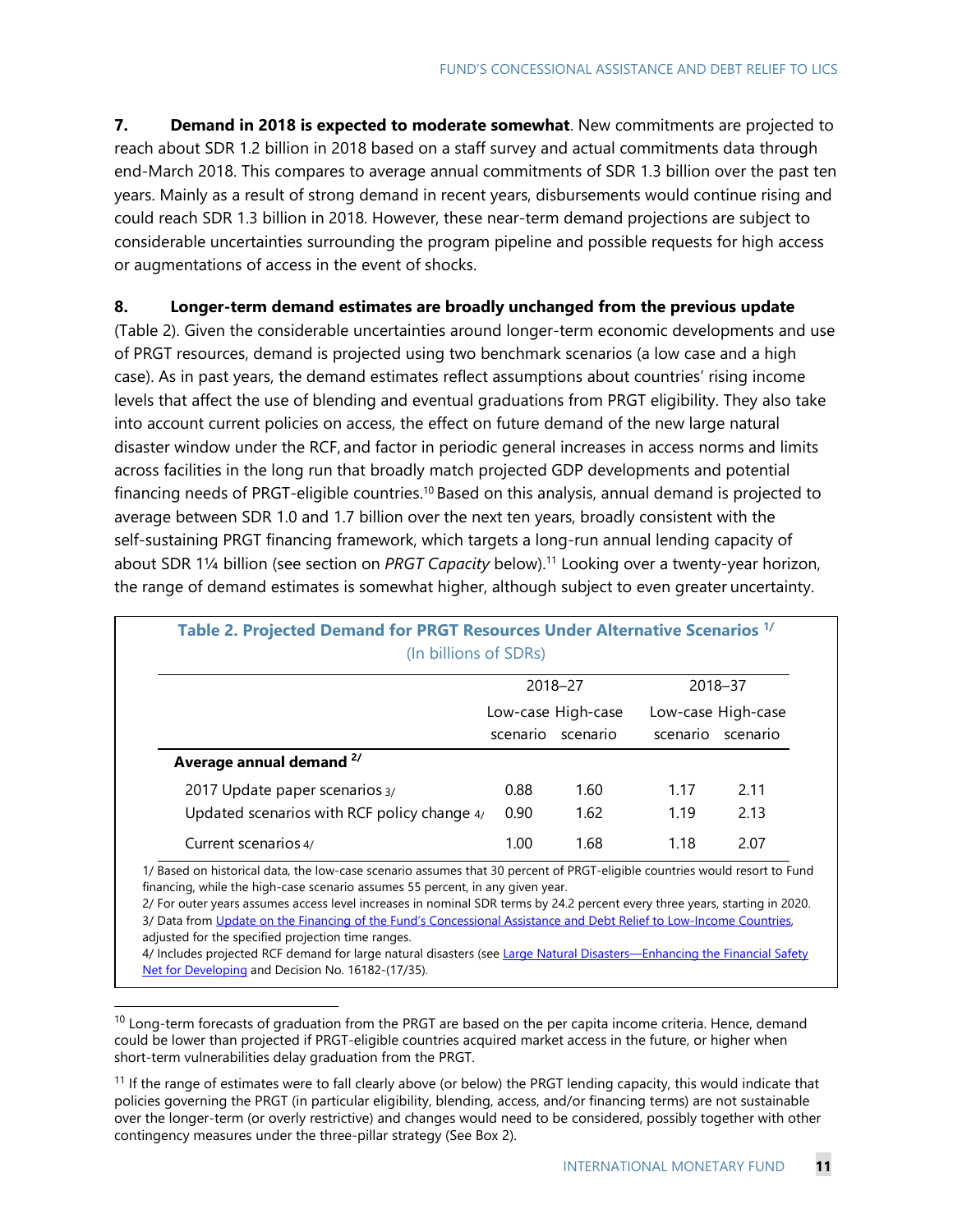**7. Demand in 2018 is expected to moderate somewhat**. New commitments are projected to reach about SDR 1.2 billion in 2018 based on a staff survey and actual commitments data through end-March 2018. This compares to average annual commitments of SDR 1.3 billion over the past ten years. Mainly as a result of strong demand in recent years, disbursements would continue rising and could reach SDR 1.3 billion in 2018. However, these near-term demand projections are subject to considerable uncertainties surrounding the program pipeline and possible requests for high access or augmentations of access in the event of shocks.

#### **8. Longer-term demand estimates are broadly unchanged from the previous update**

(Table 2). Given the considerable uncertainties around longer-term economic developments and use of PRGT resources, demand is projected using two benchmark scenarios (a low case and a high case). As in past years, the demand estimates reflect assumptions about countries' rising income levels that affect the use of blending and eventual graduations from PRGT eligibility. They also take into account current policies on access, the effect on future demand of the new large natural disaster window under the RCF, and factor in periodic general increases in access norms and limits across facilities in the long run that broadly match projected GDP developments and potential financing needs of PRGT-eligible countries.<sup>10</sup> Based on this analysis, annual demand is projected to average between SDR 1.0 and 1.7 billion over the next ten years, broadly consistent with the self-sustaining PRGT financing framework, which targets a long-run annual lending capacity of about SDR 1¼ billion (see section on *PRGT Capacity* below).11 Looking over a twenty-year horizon, the range of demand estimates is somewhat higher, although subject to even greater uncertainty.

| (In billions of SDRs)                         |          |                                |          |                                |
|-----------------------------------------------|----------|--------------------------------|----------|--------------------------------|
|                                               |          | 2018-27                        |          | 2018-37                        |
|                                               | scenario | Low-case High-case<br>scenario | scenario | Low-case High-case<br>scenario |
| Average annual demand <sup>2/</sup>           |          |                                |          |                                |
| 2017 Update paper scenarios 3/                | 0.88     | 1.60                           | 1.17     | 2.11                           |
| Updated scenarios with RCF policy change $4/$ | 0.90     | 1.62                           | 1.19     | 2.13                           |
| Current scenarios 4/                          | 1.00     | 1.68                           | 1.18     | 2.07                           |

# **Table 2. Projected Demand for PRGT Resources Under Alternative Scenarios 1/**

1/ Based on historical data, the low-case scenario assumes that 30 percent of PRGT-eligible countries would resort to Fund financing, while the high-case scenario assumes 55 percent, in any given year.

2/ For outer years assumes access level increases in nominal SDR terms by 24.2 percent every three years, starting in 2020. 3/ Data from Update on the Financing of the Fund's Concessional Assistance and Debt Relief to Low-Income Countries, adjusted for the specified projection time ranges.

4/ Includes projected RCF demand for large natural disasters (see Large Natural Disasters-Enhancing the Financial Safety Net for Developing and Decision No. 16182-(17/35).

 $10$  Long-term forecasts of graduation from the PRGT are based on the per capita income criteria. Hence, demand could be lower than projected if PRGT-eligible countries acquired market access in the future, or higher when short-term vulnerabilities delay graduation from the PRGT.

<sup>&</sup>lt;sup>11</sup> If the range of estimates were to fall clearly above (or below) the PRGT lending capacity, this would indicate that policies governing the PRGT (in particular eligibility, blending, access, and/or financing terms) are not sustainable over the longer-term (or overly restrictive) and changes would need to be considered, possibly together with other contingency measures under the three-pillar strategy (See Box 2).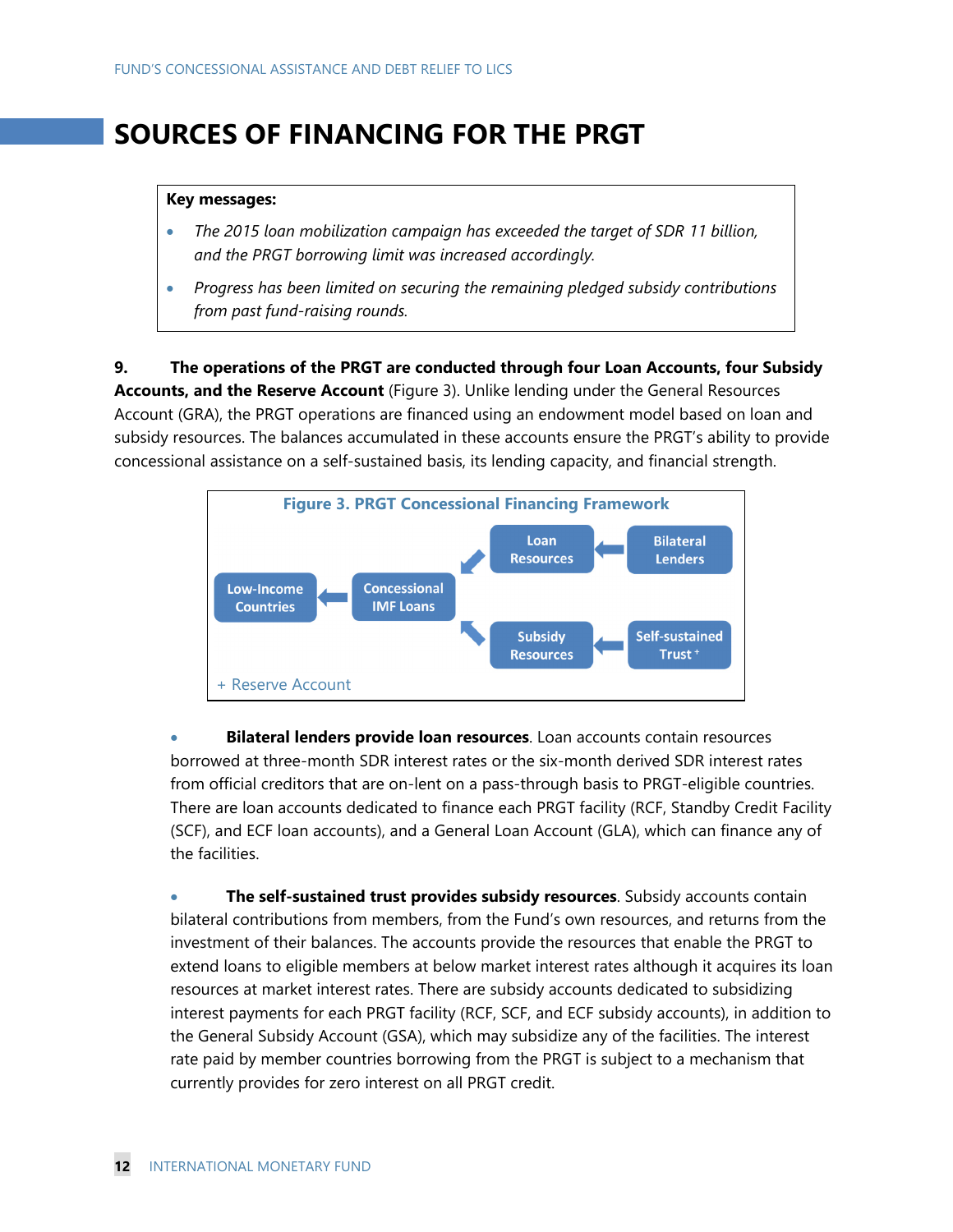# **SOURCES OF FINANCING FOR THE PRGT**

#### **Key messages:**

- *The 2015 loan mobilization campaign has exceeded the target of SDR 11 billion, and the PRGT borrowing limit was increased accordingly.*
- *Progress has been limited on securing the remaining pledged subsidy contributions from past fund-raising rounds.*

**9. The operations of the PRGT are conducted through four Loan Accounts, four Subsidy Accounts, and the Reserve Account** (Figure 3). Unlike lending under the General Resources Account (GRA), the PRGT operations are financed using an endowment model based on loan and subsidy resources. The balances accumulated in these accounts ensure the PRGT's ability to provide concessional assistance on a self-sustained basis, its lending capacity, and financial strength.



 **Bilateral lenders provide loan resources**. Loan accounts contain resources borrowed at three-month SDR interest rates or the six-month derived SDR interest rates from official creditors that are on-lent on a pass-through basis to PRGT-eligible countries. There are loan accounts dedicated to finance each PRGT facility (RCF, Standby Credit Facility (SCF), and ECF loan accounts), and a General Loan Account (GLA), which can finance any of the facilities.

 **The self-sustained trust provides subsidy resources**. Subsidy accounts contain bilateral contributions from members, from the Fund's own resources, and returns from the investment of their balances. The accounts provide the resources that enable the PRGT to extend loans to eligible members at below market interest rates although it acquires its loan resources at market interest rates. There are subsidy accounts dedicated to subsidizing interest payments for each PRGT facility (RCF, SCF, and ECF subsidy accounts), in addition to the General Subsidy Account (GSA), which may subsidize any of the facilities. The interest rate paid by member countries borrowing from the PRGT is subject to a mechanism that currently provides for zero interest on all PRGT credit.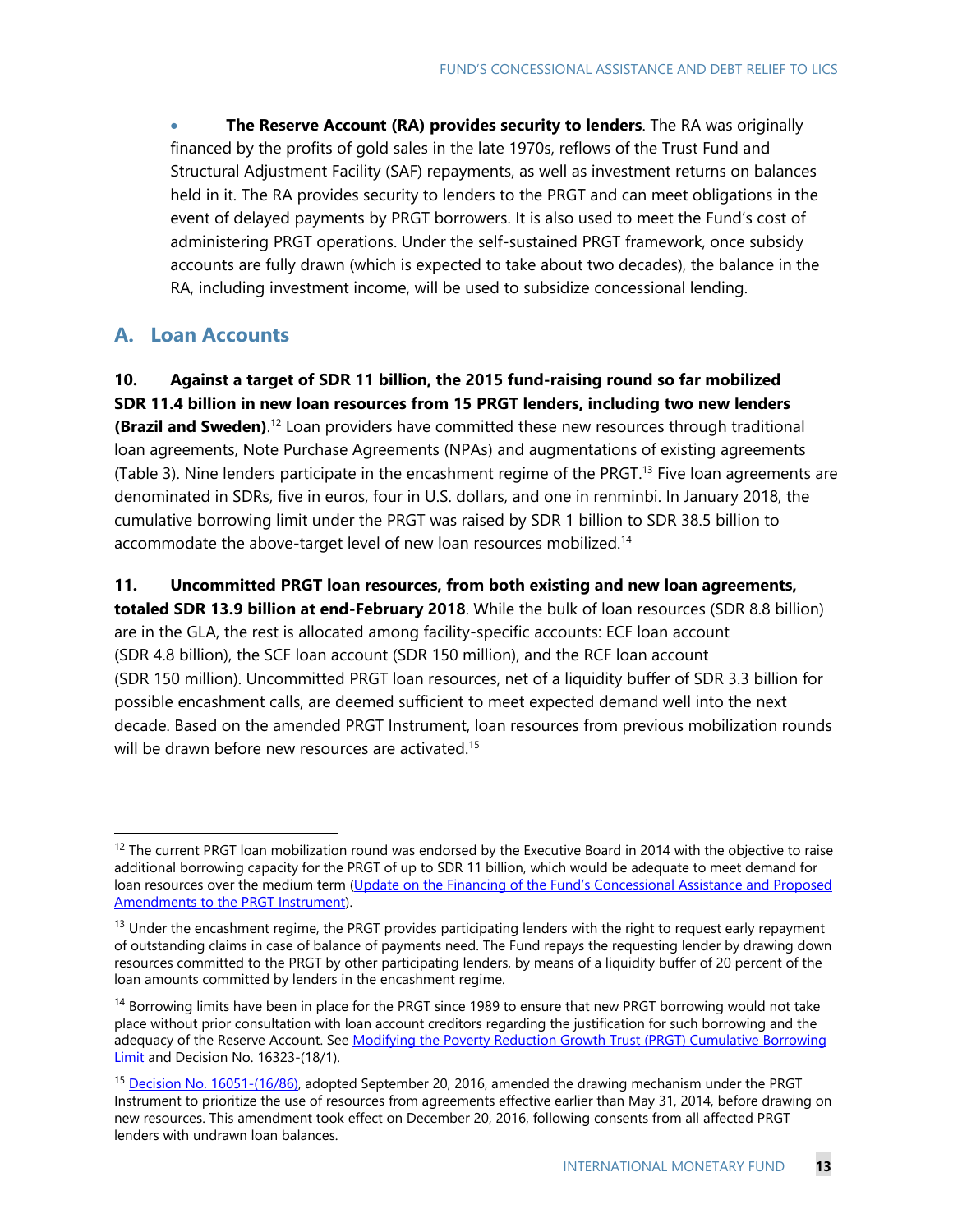**The Reserve Account (RA) provides security to lenders**. The RA was originally financed by the profits of gold sales in the late 1970s, reflows of the Trust Fund and Structural Adjustment Facility (SAF) repayments, as well as investment returns on balances held in it. The RA provides security to lenders to the PRGT and can meet obligations in the event of delayed payments by PRGT borrowers. It is also used to meet the Fund's cost of administering PRGT operations. Under the self-sustained PRGT framework, once subsidy accounts are fully drawn (which is expected to take about two decades), the balance in the RA, including investment income, will be used to subsidize concessional lending.

### **A. Loan Accounts**

-

## **10. Against a target of SDR 11 billion, the 2015 fund-raising round so far mobilized**

**SDR 11.4 billion in new loan resources from 15 PRGT lenders, including two new lenders (Brazil and Sweden)**.<sup>12</sup> Loan providers have committed these new resources through traditional loan agreements, Note Purchase Agreements (NPAs) and augmentations of existing agreements (Table 3). Nine lenders participate in the encashment regime of the PRGT.13 Five loan agreements are denominated in SDRs, five in euros, four in U.S. dollars, and one in renminbi. In January 2018, the cumulative borrowing limit under the PRGT was raised by SDR 1 billion to SDR 38.5 billion to accommodate the above-target level of new loan resources mobilized.<sup>14</sup>

**11. Uncommitted PRGT loan resources, from both existing and new loan agreements,** 

**totaled SDR 13.9 billion at end-February 2018**. While the bulk of loan resources (SDR 8.8 billion) are in the GLA, the rest is allocated among facility-specific accounts: ECF loan account (SDR 4.8 billion), the SCF loan account (SDR 150 million), and the RCF loan account (SDR 150 million). Uncommitted PRGT loan resources, net of a liquidity buffer of SDR 3.3 billion for possible encashment calls, are deemed sufficient to meet expected demand well into the next decade. Based on the amended PRGT Instrument, loan resources from previous mobilization rounds will be drawn before new resources are activated.<sup>15</sup>

<sup>&</sup>lt;sup>12</sup> The current PRGT loan mobilization round was endorsed by the Executive Board in 2014 with the objective to raise additional borrowing capacity for the PRGT of up to SDR 11 billion, which would be adequate to meet demand for loan resources over the medium term (Update on the Financing of the Fund's Concessional Assistance and Proposed Amendments to the PRGT Instrument).

<sup>&</sup>lt;sup>13</sup> Under the encashment regime, the PRGT provides participating lenders with the right to request early repayment of outstanding claims in case of balance of payments need. The Fund repays the requesting lender by drawing down resources committed to the PRGT by other participating lenders, by means of a liquidity buffer of 20 percent of the loan amounts committed by lenders in the encashment regime.

<sup>&</sup>lt;sup>14</sup> Borrowing limits have been in place for the PRGT since 1989 to ensure that new PRGT borrowing would not take place without prior consultation with loan account creditors regarding the justification for such borrowing and the adequacy of the Reserve Account. See Modifying the Poverty Reduction Growth Trust (PRGT) Cumulative Borrowing Limit and Decision No. 16323-(18/1).

<sup>&</sup>lt;sup>15</sup> Decision No. 16051-(16/86), adopted September 20, 2016, amended the drawing mechanism under the PRGT Instrument to prioritize the use of resources from agreements effective earlier than May 31, 2014, before drawing on new resources. This amendment took effect on December 20, 2016, following consents from all affected PRGT lenders with undrawn loan balances.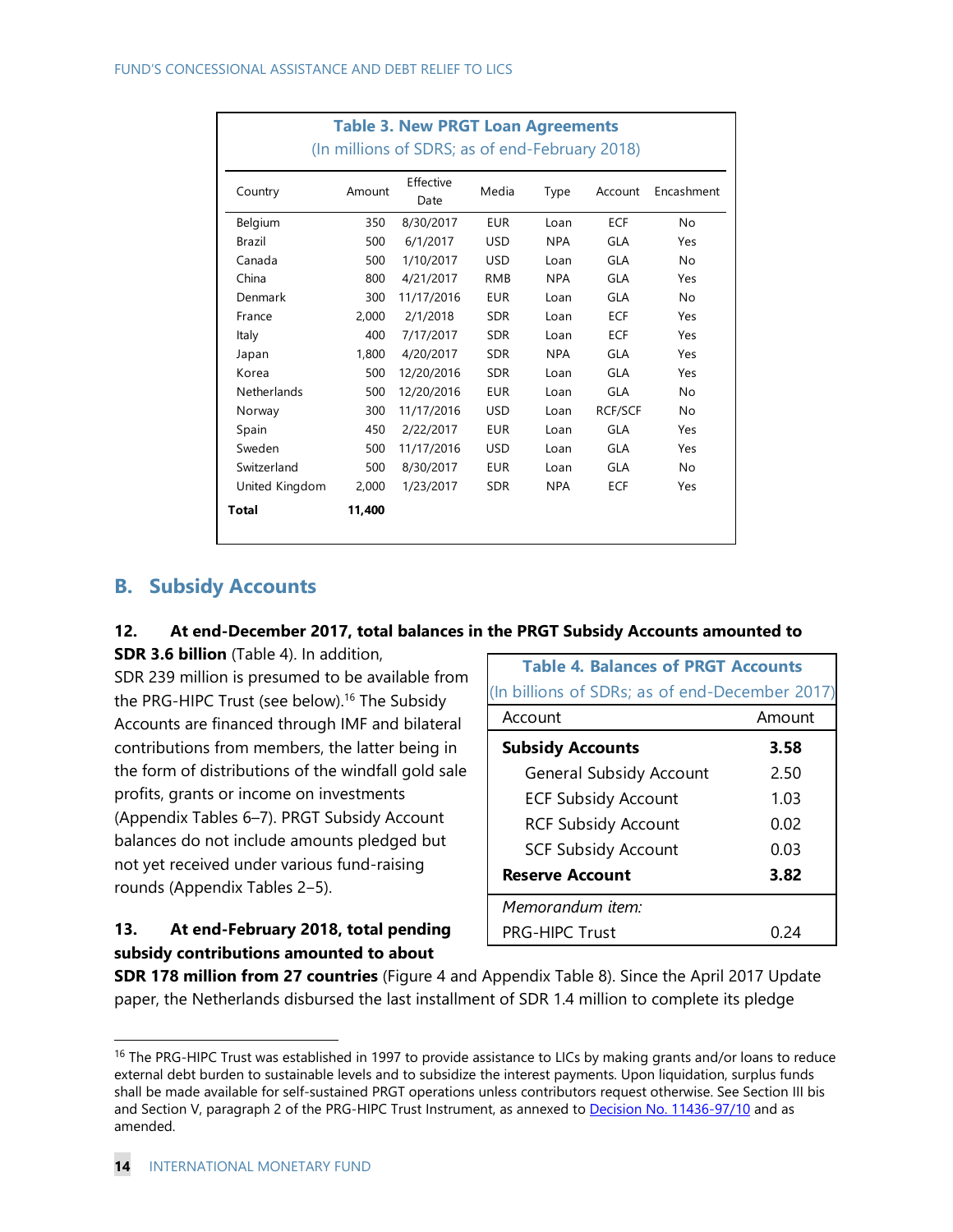|                    | <b>Table 3. New PRGT Loan Agreements</b><br>(In millions of SDRS; as of end-February 2018) |                   |            |            |                |            |  |
|--------------------|--------------------------------------------------------------------------------------------|-------------------|------------|------------|----------------|------------|--|
| Country            | Amount                                                                                     | Effective<br>Date | Media      | Type       | Account        | Encashment |  |
| Belgium            | 350                                                                                        | 8/30/2017         | <b>EUR</b> | Loan       | <b>ECF</b>     | No         |  |
| Brazil             | 500                                                                                        | 6/1/2017          | <b>USD</b> | <b>NPA</b> | GLA            | Yes        |  |
| Canada             | 500                                                                                        | 1/10/2017         | <b>USD</b> | Loan       | GLA            | No         |  |
| China              | 800                                                                                        | 4/21/2017         | <b>RMB</b> | <b>NPA</b> | GLA            | Yes        |  |
| Denmark            | 300                                                                                        | 11/17/2016        | <b>EUR</b> | Loan       | GLA            | No         |  |
| France             | 2,000                                                                                      | 2/1/2018          | <b>SDR</b> | Loan       | <b>ECF</b>     | Yes        |  |
| Italy              | 400                                                                                        | 7/17/2017         | <b>SDR</b> | Loan       | <b>ECF</b>     | Yes        |  |
| Japan              | 1,800                                                                                      | 4/20/2017         | <b>SDR</b> | <b>NPA</b> | GLA            | Yes        |  |
| Korea              | 500                                                                                        | 12/20/2016        | <b>SDR</b> | Loan       | GLA            | Yes        |  |
| <b>Netherlands</b> | 500                                                                                        | 12/20/2016        | <b>EUR</b> | Loan       | GLA            | No         |  |
| Norway             | 300                                                                                        | 11/17/2016        | <b>USD</b> | Loan       | <b>RCF/SCF</b> | No         |  |
| Spain              | 450                                                                                        | 2/22/2017         | <b>EUR</b> | Loan       | GLA            | Yes        |  |
| Sweden             | 500                                                                                        | 11/17/2016        | <b>USD</b> | Loan       | GLA            | Yes        |  |
| Switzerland        | 500                                                                                        | 8/30/2017         | <b>EUR</b> | Loan       | GLA            | No         |  |
| United Kingdom     | 2,000                                                                                      | 1/23/2017         | <b>SDR</b> | <b>NPA</b> | <b>ECF</b>     | Yes        |  |
| Total              | 11,400                                                                                     |                   |            |            |                |            |  |

## **B. Subsidy Accounts**

#### **12. At end-December 2017, total balances in the PRGT Subsidy Accounts amounted to**

**SDR 3.6 billion** (Table 4). In addition, SDR 239 million is presumed to be available from the PRG-HIPC Trust (see below).<sup>16</sup> The Subsidy Accounts are financed through IMF and bilateral contributions from members, the latter being in the form of distributions of the windfall gold sale profits, grants or income on investments (Appendix Tables 6–7). PRGT Subsidy Account balances do not include amounts pledged but not yet received under various fund-raising rounds (Appendix Tables 2‒5).

## **13. At end-February 2018, total pending subsidy contributions amounted to about**

| <b>Table 4. Balances of PRGT Accounts</b>      |        |
|------------------------------------------------|--------|
| (In billions of SDRs; as of end-December 2017) |        |
| Account                                        | Amount |
| <b>Subsidy Accounts</b>                        | 3.58   |
| <b>General Subsidy Account</b>                 | 2.50   |
| <b>ECF Subsidy Account</b>                     | 1.03   |
| <b>RCF Subsidy Account</b>                     | 0.02   |
| <b>SCF Subsidy Account</b>                     | 0.03   |
| <b>Reserve Account</b>                         | 3.82   |
| Memorandum item:                               |        |
| <b>PRG-HIPC Trust</b>                          |        |

**SDR 178 million from 27 countries** (Figure 4 and Appendix Table 8). Since the April 2017 Update paper, the Netherlands disbursed the last installment of SDR 1.4 million to complete its pledge

<sup>&</sup>lt;sup>16</sup> The PRG-HIPC Trust was established in 1997 to provide assistance to LICs by making grants and/or loans to reduce external debt burden to sustainable levels and to subsidize the interest payments. Upon liquidation, surplus funds shall be made available for self-sustained PRGT operations unless contributors request otherwise. See Section III bis and Section V, paragraph 2 of the PRG-HIPC Trust Instrument, as annexed to Decision No. 11436-97/10 and as amended.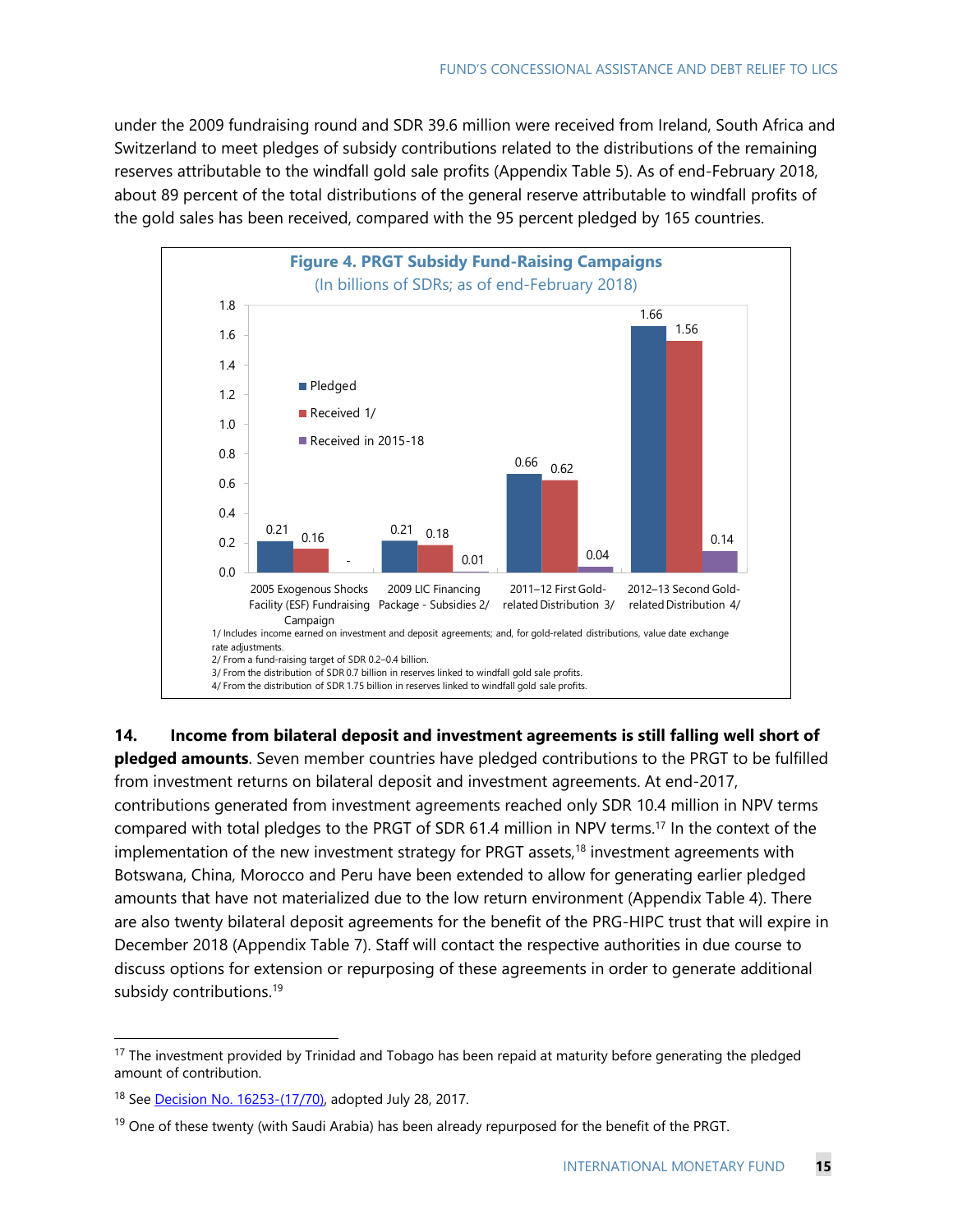under the 2009 fundraising round and SDR 39.6 million were received from Ireland, South Africa and Switzerland to meet pledges of subsidy contributions related to the distributions of the remaining reserves attributable to the windfall gold sale profits (Appendix Table 5). As of end-February 2018, about 89 percent of the total distributions of the general reserve attributable to windfall profits of the gold sales has been received, compared with the 95 percent pledged by 165 countries.



**14. Income from bilateral deposit and investment agreements is still falling well short of pledged amounts**. Seven member countries have pledged contributions to the PRGT to be fulfilled from investment returns on bilateral deposit and investment agreements. At end-2017, contributions generated from investment agreements reached only SDR 10.4 million in NPV terms compared with total pledges to the PRGT of SDR 61.4 million in NPV terms.17 In the context of the implementation of the new investment strategy for PRGT assets,<sup>18</sup> investment agreements with Botswana, China, Morocco and Peru have been extended to allow for generating earlier pledged amounts that have not materialized due to the low return environment (Appendix Table 4). There are also twenty bilateral deposit agreements for the benefit of the PRG-HIPC trust that will expire in December 2018 (Appendix Table 7). Staff will contact the respective authorities in due course to discuss options for extension or repurposing of these agreements in order to generate additional subsidy contributions.<sup>19</sup>

<sup>&</sup>lt;sup>17</sup> The investment provided by Trinidad and Tobago has been repaid at maturity before generating the pledged amount of contribution.

<sup>&</sup>lt;sup>18</sup> See Decision No. 16253-(17/70), adopted July 28, 2017.

<sup>&</sup>lt;sup>19</sup> One of these twenty (with Saudi Arabia) has been already repurposed for the benefit of the PRGT.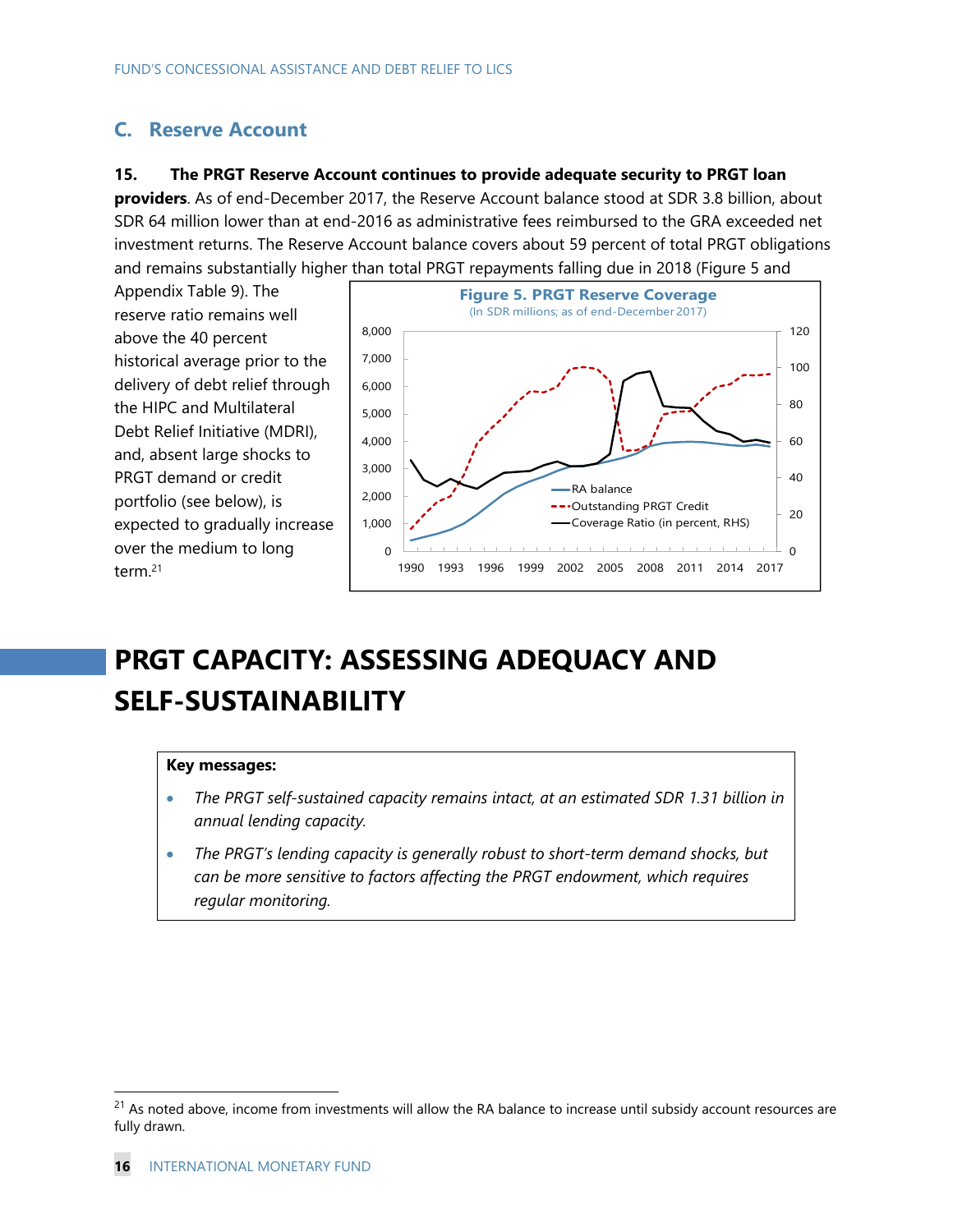## **C. Reserve Account**

#### **15. The PRGT Reserve Account continues to provide adequate security to PRGT loan**

**providers**. As of end-December 2017, the Reserve Account balance stood at SDR 3.8 billion, about SDR 64 million lower than at end-2016 as administrative fees reimbursed to the GRA exceeded net investment returns. The Reserve Account balance covers about 59 percent of total PRGT obligations and remains substantially higher than total PRGT repayments falling due in 2018 (Figure 5 and

Appendix Table 9). The reserve ratio remains well above the 40 percent historical average prior to the delivery of debt relief through the HIPC and Multilateral Debt Relief Initiative (MDRI), and, absent large shocks to PRGT demand or credit portfolio (see below), is expected to gradually increase over the medium to long term.21



# **PRGT CAPACITY: ASSESSING ADEQUACY AND SELF-SUSTAINABILITY**

#### **Key messages:**

- *The PRGT self-sustained capacity remains intact, at an estimated SDR 1.31 billion in annual lending capacity.*
- *The PRGT's lending capacity is generally robust to short-term demand shocks, but can be more sensitive to factors affecting the PRGT endowment, which requires regular monitoring.*

<sup>&</sup>lt;sup>21</sup> As noted above, income from investments will allow the RA balance to increase until subsidy account resources are fully drawn.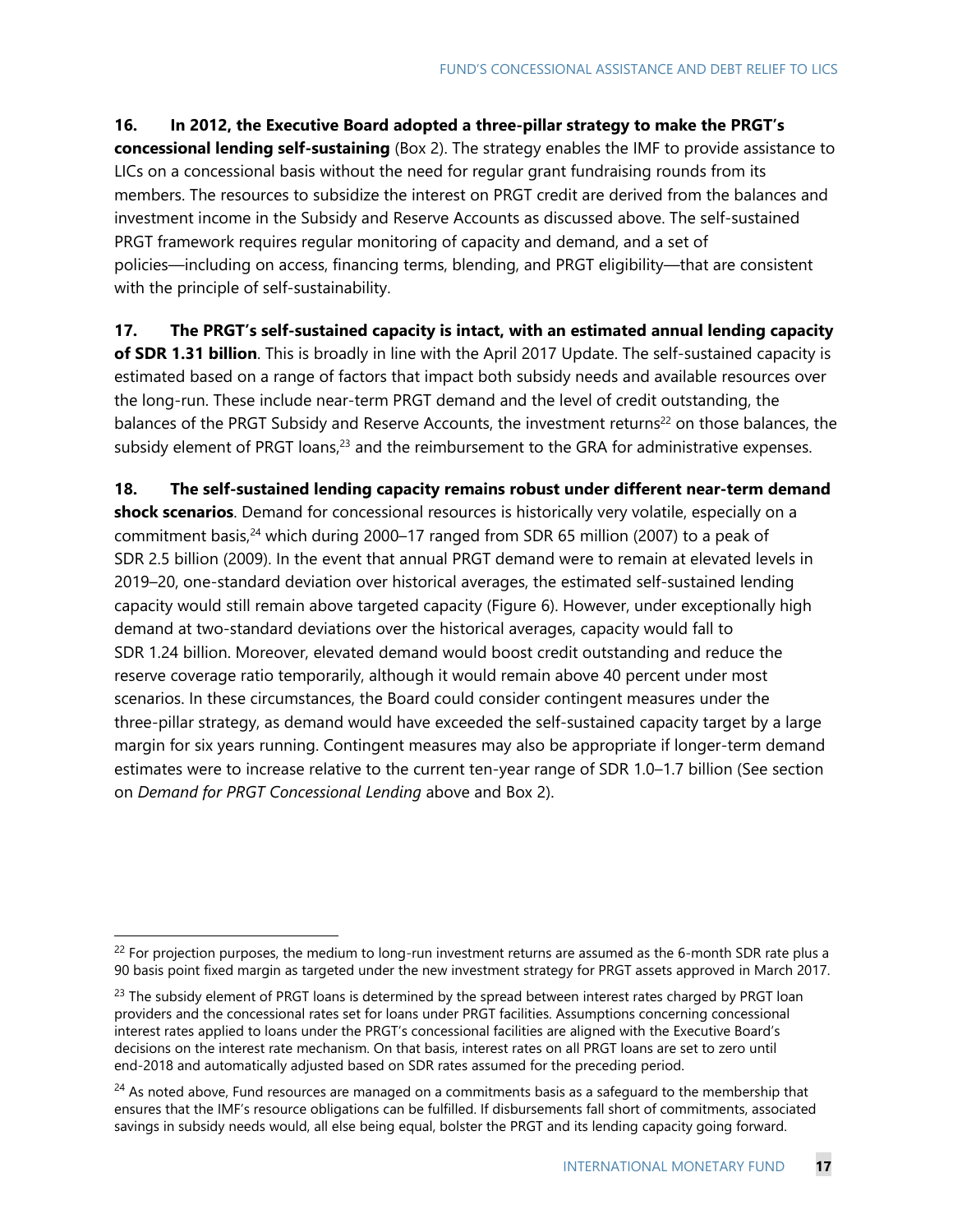#### **16. In 2012, the Executive Board adopted a three-pillar strategy to make the PRGT's**

**concessional lending self-sustaining** (Box 2). The strategy enables the IMF to provide assistance to LICs on a concessional basis without the need for regular grant fundraising rounds from its members. The resources to subsidize the interest on PRGT credit are derived from the balances and investment income in the Subsidy and Reserve Accounts as discussed above. The self-sustained PRGT framework requires regular monitoring of capacity and demand, and a set of policies―including on access, financing terms, blending, and PRGT eligibility―that are consistent with the principle of self-sustainability.

**17. The PRGT's self-sustained capacity is intact, with an estimated annual lending capacity of SDR 1.31 billion**. This is broadly in line with the April 2017 Update. The self-sustained capacity is estimated based on a range of factors that impact both subsidy needs and available resources over the long-run. These include near-term PRGT demand and the level of credit outstanding, the balances of the PRGT Subsidy and Reserve Accounts, the investment returns<sup>22</sup> on those balances, the subsidy element of PRGT loans, $23$  and the reimbursement to the GRA for administrative expenses.

**18. The self-sustained lending capacity remains robust under different near-term demand shock scenarios**. Demand for concessional resources is historically very volatile, especially on a commitment basis, $24$  which during 2000–17 ranged from SDR 65 million (2007) to a peak of SDR 2.5 billion (2009). In the event that annual PRGT demand were to remain at elevated levels in 2019–20, one-standard deviation over historical averages, the estimated self-sustained lending capacity would still remain above targeted capacity (Figure 6). However, under exceptionally high demand at two-standard deviations over the historical averages, capacity would fall to SDR 1.24 billion. Moreover, elevated demand would boost credit outstanding and reduce the reserve coverage ratio temporarily, although it would remain above 40 percent under most scenarios. In these circumstances, the Board could consider contingent measures under the three-pillar strategy, as demand would have exceeded the self-sustained capacity target by a large margin for six years running. Contingent measures may also be appropriate if longer-term demand estimates were to increase relative to the current ten-year range of SDR 1.0–1.7 billion (See section on *Demand for PRGT Concessional Lending* above and Box 2).

 $22$  For projection purposes, the medium to long-run investment returns are assumed as the 6-month SDR rate plus a 90 basis point fixed margin as targeted under the new investment strategy for PRGT assets approved in March 2017.

<sup>&</sup>lt;sup>23</sup> The subsidy element of PRGT loans is determined by the spread between interest rates charged by PRGT loan providers and the concessional rates set for loans under PRGT facilities. Assumptions concerning concessional interest rates applied to loans under the PRGT's concessional facilities are aligned with the Executive Board's decisions on the interest rate mechanism. On that basis, interest rates on all PRGT loans are set to zero until end-2018 and automatically adjusted based on SDR rates assumed for the preceding period.

 $24$  As noted above, Fund resources are managed on a commitments basis as a safeguard to the membership that ensures that the IMF's resource obligations can be fulfilled. If disbursements fall short of commitments, associated savings in subsidy needs would, all else being equal, bolster the PRGT and its lending capacity going forward.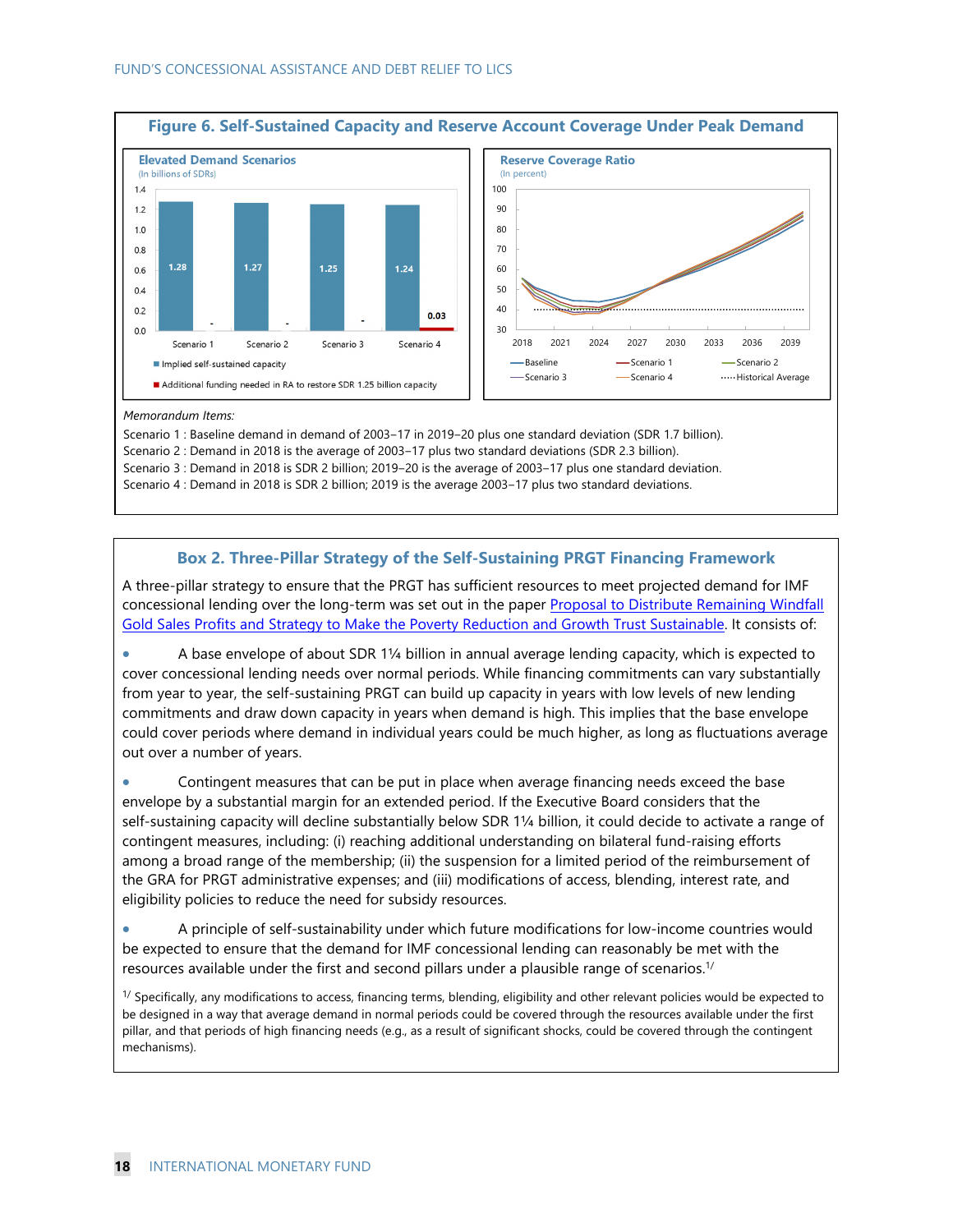

#### *Memorandum Items:*

Scenario 1 : Baseline demand in demand of 2003-17 in 2019-20 plus one standard deviation (SDR 1.7 billion).

Scenario 2 : Demand in 2018 is the average of 2003-17 plus two standard deviations (SDR 2.3 billion).

Scenario 3 : Demand in 2018 is SDR 2 billion; 2019–20 is the average of 2003–17 plus one standard deviation.

Scenario 4 : Demand in 2018 is SDR 2 billion; 2019 is the average 2003-17 plus two standard deviations.

#### **Box 2. Three-Pillar Strategy of the Self-Sustaining PRGT Financing Framework**

A three-pillar strategy to ensure that the PRGT has sufficient resources to meet projected demand for IMF concessional lending over the long-term was set out in the paper Proposal to Distribute Remaining Windfall Gold Sales Profits and Strategy to Make the Poverty Reduction and Growth Trust Sustainable. It consists of:

 A base envelope of about SDR 1¼ billion in annual average lending capacity, which is expected to cover concessional lending needs over normal periods. While financing commitments can vary substantially from year to year, the self-sustaining PRGT can build up capacity in years with low levels of new lending commitments and draw down capacity in years when demand is high. This implies that the base envelope could cover periods where demand in individual years could be much higher, as long as fluctuations average out over a number of years.

 Contingent measures that can be put in place when average financing needs exceed the base envelope by a substantial margin for an extended period. If the Executive Board considers that the self-sustaining capacity will decline substantially below SDR 1¼ billion, it could decide to activate a range of contingent measures, including: (i) reaching additional understanding on bilateral fund-raising efforts among a broad range of the membership; (ii) the suspension for a limited period of the reimbursement of the GRA for PRGT administrative expenses; and (iii) modifications of access, blending, interest rate, and eligibility policies to reduce the need for subsidy resources.

 A principle of self-sustainability under which future modifications for low-income countries would be expected to ensure that the demand for IMF concessional lending can reasonably be met with the resources available under the first and second pillars under a plausible range of scenarios.1/

 $1/$  Specifically, any modifications to access, financing terms, blending, eligibility and other relevant policies would be expected to be designed in a way that average demand in normal periods could be covered through the resources available under the first pillar, and that periods of high financing needs (e.g., as a result of significant shocks, could be covered through the contingent mechanisms).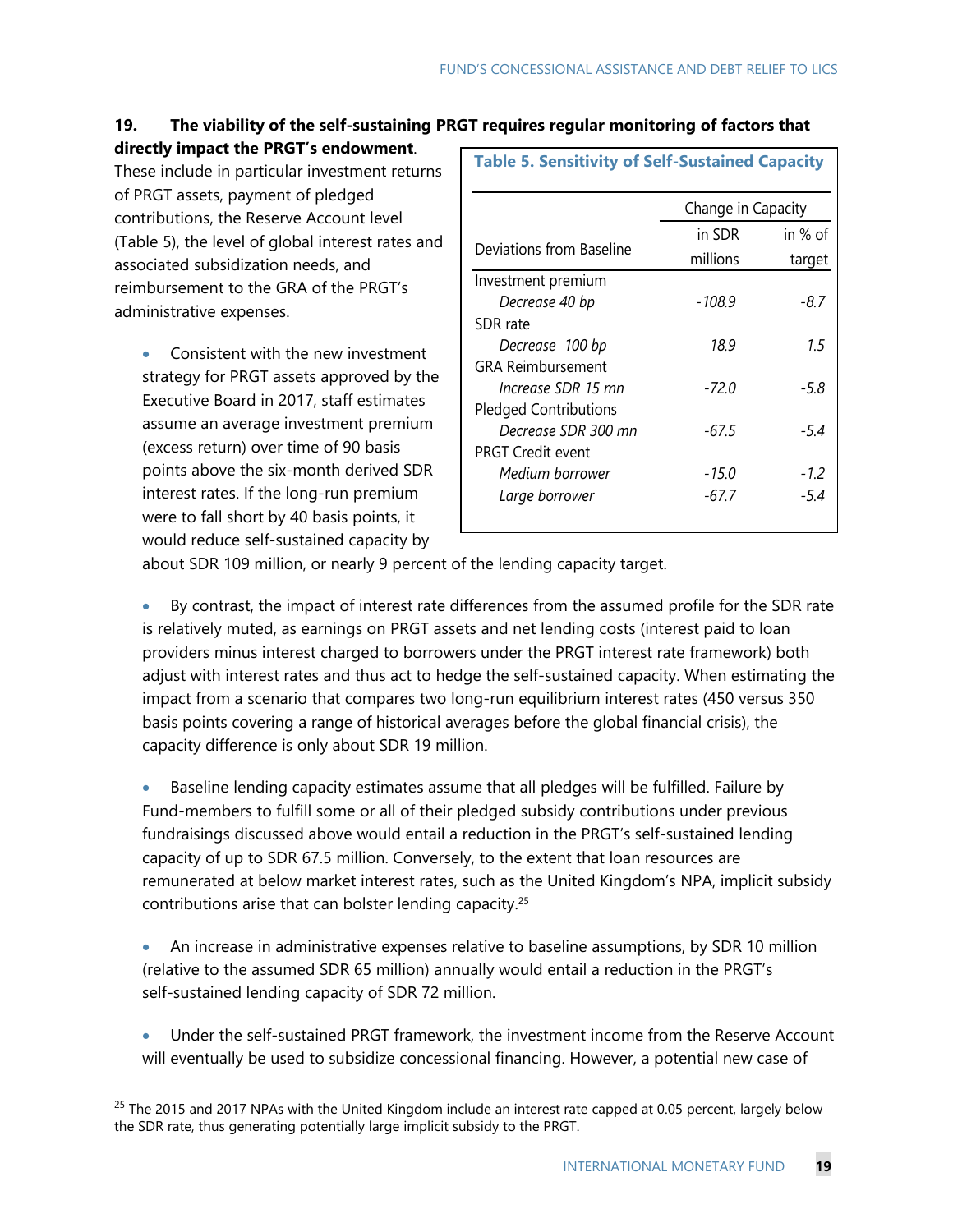## **19. The viability of the self-sustaining PRGT requires regular monitoring of factors that**

**directly impact the PRGT's endowment**.

These include in particular investment returns of PRGT assets, payment of pledged contributions, the Reserve Account level (Table 5), the level of global interest rates and associated subsidization needs, and reimbursement to the GRA of the PRGT's administrative expenses.

• Consistent with the new investment strategy for PRGT assets approved by the Executive Board in 2017, staff estimates assume an average investment premium (excess return) over time of 90 basis points above the six-month derived SDR interest rates. If the long-run premium were to fall short by 40 basis points, it would reduce self-sustained capacity by

-

| <b>Table 5. Sensitivity of Self-Sustained Capacity</b> |                    |         |  |  |  |  |  |
|--------------------------------------------------------|--------------------|---------|--|--|--|--|--|
|                                                        | Change in Capacity |         |  |  |  |  |  |
|                                                        | in SDR             | in % of |  |  |  |  |  |
| Deviations from Baseline                               | millions           | target  |  |  |  |  |  |
| Investment premium                                     |                    |         |  |  |  |  |  |
| Decrease 40 bp                                         | -108.9             | -8.7    |  |  |  |  |  |
| SDR rate                                               |                    |         |  |  |  |  |  |
| Decrease 100 bp                                        | 18.9               | 1.5     |  |  |  |  |  |
| <b>GRA Reimbursement</b>                               |                    |         |  |  |  |  |  |
| Increase SDR 15 mn                                     | -72.0              | -5.8    |  |  |  |  |  |
| <b>Pledged Contributions</b>                           |                    |         |  |  |  |  |  |
| Decrease SDR 300 mn                                    | -67.5              | -5.4    |  |  |  |  |  |
| <b>PRGT Credit event</b>                               |                    |         |  |  |  |  |  |
| Medium borrower                                        | -15.0              | $-1.2$  |  |  |  |  |  |
| Large borrower                                         | -67.7              | -5.4    |  |  |  |  |  |
|                                                        |                    |         |  |  |  |  |  |

about SDR 109 million, or nearly 9 percent of the lending capacity target.

 By contrast, the impact of interest rate differences from the assumed profile for the SDR rate is relatively muted, as earnings on PRGT assets and net lending costs (interest paid to loan providers minus interest charged to borrowers under the PRGT interest rate framework) both adjust with interest rates and thus act to hedge the self-sustained capacity. When estimating the impact from a scenario that compares two long-run equilibrium interest rates (450 versus 350 basis points covering a range of historical averages before the global financial crisis), the capacity difference is only about SDR 19 million.

 Baseline lending capacity estimates assume that all pledges will be fulfilled. Failure by Fund-members to fulfill some or all of their pledged subsidy contributions under previous fundraisings discussed above would entail a reduction in the PRGT's self-sustained lending capacity of up to SDR 67.5 million. Conversely, to the extent that loan resources are remunerated at below market interest rates, such as the United Kingdom's NPA, implicit subsidy contributions arise that can bolster lending capacity.25

- An increase in administrative expenses relative to baseline assumptions, by SDR 10 million (relative to the assumed SDR 65 million) annually would entail a reduction in the PRGT's self-sustained lending capacity of SDR 72 million.
- Under the self-sustained PRGT framework, the investment income from the Reserve Account will eventually be used to subsidize concessional financing. However, a potential new case of

 $25$  The 2015 and 2017 NPAs with the United Kingdom include an interest rate capped at 0.05 percent, largely below the SDR rate, thus generating potentially large implicit subsidy to the PRGT.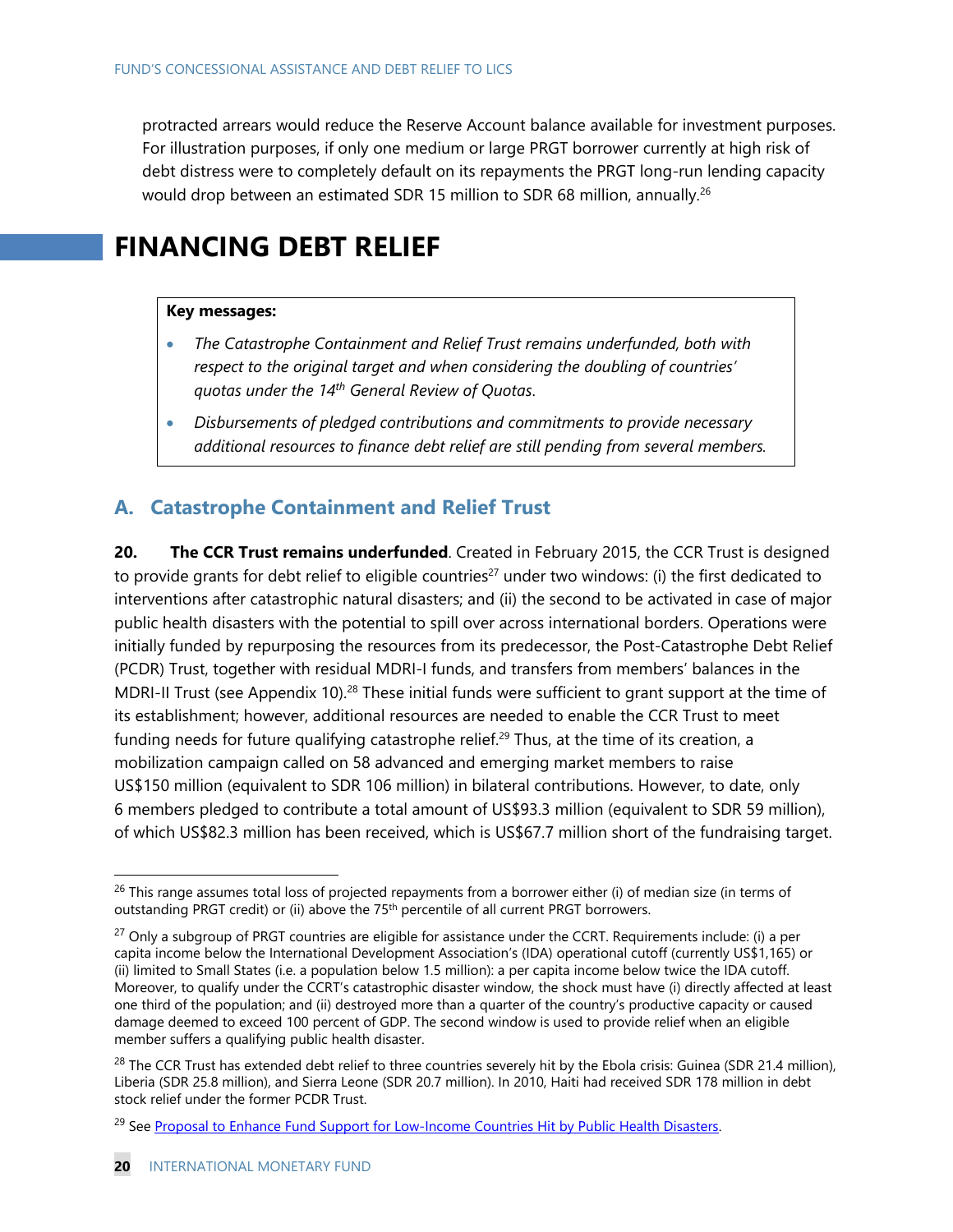protracted arrears would reduce the Reserve Account balance available for investment purposes. For illustration purposes, if only one medium or large PRGT borrower currently at high risk of debt distress were to completely default on its repayments the PRGT long-run lending capacity would drop between an estimated SDR 15 million to SDR 68 million, annually.<sup>26</sup>

# **FINANCING DEBT RELIEF**

#### **Key messages:**

- *The Catastrophe Containment and Relief Trust remains underfunded, both with respect to the original target and when considering the doubling of countries' quotas under the 14th General Review of Quotas*.
- *Disbursements of pledged contributions and commitments to provide necessary additional resources to finance debt relief are still pending from several members.*

## **A. Catastrophe Containment and Relief Trust**

**20. The CCR Trust remains underfunded**. Created in February 2015, the CCR Trust is designed to provide grants for debt relief to eligible countries<sup>27</sup> under two windows: (i) the first dedicated to interventions after catastrophic natural disasters; and (ii) the second to be activated in case of major public health disasters with the potential to spill over across international borders. Operations were initially funded by repurposing the resources from its predecessor, the Post-Catastrophe Debt Relief (PCDR) Trust, together with residual MDRI-I funds, and transfers from members' balances in the MDRI-II Trust (see Appendix 10).<sup>28</sup> These initial funds were sufficient to grant support at the time of its establishment; however, additional resources are needed to enable the CCR Trust to meet funding needs for future qualifying catastrophe relief.<sup>29</sup> Thus, at the time of its creation, a mobilization campaign called on 58 advanced and emerging market members to raise US\$150 million (equivalent to SDR 106 million) in bilateral contributions. However, to date, only 6 members pledged to contribute a total amount of US\$93.3 million (equivalent to SDR 59 million), of which US\$82.3 million has been received, which is US\$67.7 million short of the fundraising target.

 $^{26}$  This range assumes total loss of projected repayments from a borrower either (i) of median size (in terms of outstanding PRGT credit) or (ii) above the 75<sup>th</sup> percentile of all current PRGT borrowers.

 $^{27}$  Only a subgroup of PRGT countries are eligible for assistance under the CCRT. Requirements include: (i) a per capita income below the International Development Association's (IDA) operational cutoff (currently US\$1,165) or (ii) limited to Small States (i.e. a population below 1.5 million): a per capita income below twice the IDA cutoff. Moreover, to qualify under the CCRT's catastrophic disaster window, the shock must have (i) directly affected at least one third of the population; and (ii) destroyed more than a quarter of the country's productive capacity or caused damage deemed to exceed 100 percent of GDP. The second window is used to provide relief when an eligible member suffers a qualifying public health disaster.

 $^{28}$  The CCR Trust has extended debt relief to three countries severely hit by the Ebola crisis: Guinea (SDR 21.4 million), Liberia (SDR 25.8 million), and Sierra Leone (SDR 20.7 million). In 2010, Haiti had received SDR 178 million in debt stock relief under the former PCDR Trust.

<sup>&</sup>lt;sup>29</sup> See Proposal to Enhance Fund Support for Low-Income Countries Hit by Public Health Disasters.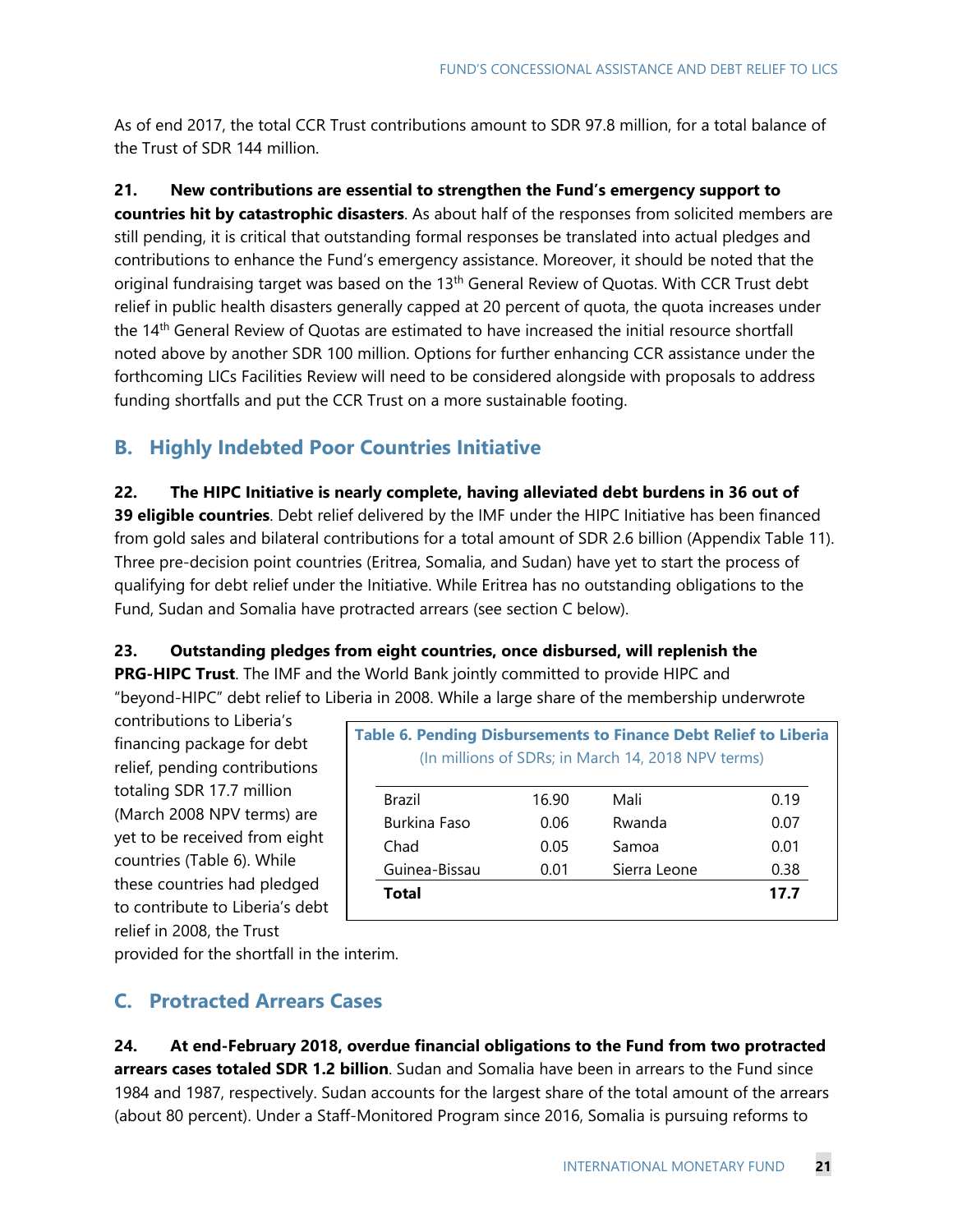As of end 2017, the total CCR Trust contributions amount to SDR 97.8 million, for a total balance of the Trust of SDR 144 million.

**21. New contributions are essential to strengthen the Fund's emergency support to** 

**countries hit by catastrophic disasters**. As about half of the responses from solicited members are still pending, it is critical that outstanding formal responses be translated into actual pledges and contributions to enhance the Fund's emergency assistance. Moreover, it should be noted that the original fundraising target was based on the 13<sup>th</sup> General Review of Quotas. With CCR Trust debt relief in public health disasters generally capped at 20 percent of quota, the quota increases under the 14<sup>th</sup> General Review of Quotas are estimated to have increased the initial resource shortfall noted above by another SDR 100 million. Options for further enhancing CCR assistance under the forthcoming LICs Facilities Review will need to be considered alongside with proposals to address funding shortfalls and put the CCR Trust on a more sustainable footing.

## **B. Highly Indebted Poor Countries Initiative**

**22. The HIPC Initiative is nearly complete, having alleviated debt burdens in 36 out of 39 eligible countries**. Debt relief delivered by the IMF under the HIPC Initiative has been financed from gold sales and bilateral contributions for a total amount of SDR 2.6 billion (Appendix Table 11). Three pre-decision point countries (Eritrea, Somalia, and Sudan) have yet to start the process of qualifying for debt relief under the Initiative. While Eritrea has no outstanding obligations to the Fund, Sudan and Somalia have protracted arrears (see section C below).

**23. Outstanding pledges from eight countries, once disbursed, will replenish the** 

**PRG-HIPC Trust**. The IMF and the World Bank jointly committed to provide HIPC and "beyond-HIPC" debt relief to Liberia in 2008. While a large share of the membership underwrote

contributions to Liberia's financing package for debt relief, pending contributions totaling SDR 17.7 million (March 2008 NPV terms) are yet to be received from eight countries (Table 6). While these countries had pledged to contribute to Liberia's debt relief in 2008, the Trust

|       | (In millions of SDRs; in March 14, 2018 NPV terms) |      |
|-------|----------------------------------------------------|------|
|       |                                                    |      |
| 16.90 | Mali                                               | 0.19 |
| 0.06  | Rwanda                                             | 0.07 |
| 0.05  | Samoa                                              | 0.01 |
| 0.01  | Sierra Leone                                       | 0.38 |
|       |                                                    | 17.7 |
|       |                                                    |      |

provided for the shortfall in the interim.

## **C. Protracted Arrears Cases**

**24. At end-February 2018, overdue financial obligations to the Fund from two protracted arrears cases totaled SDR 1.2 billion**. Sudan and Somalia have been in arrears to the Fund since 1984 and 1987, respectively. Sudan accounts for the largest share of the total amount of the arrears (about 80 percent). Under a Staff-Monitored Program since 2016, Somalia is pursuing reforms to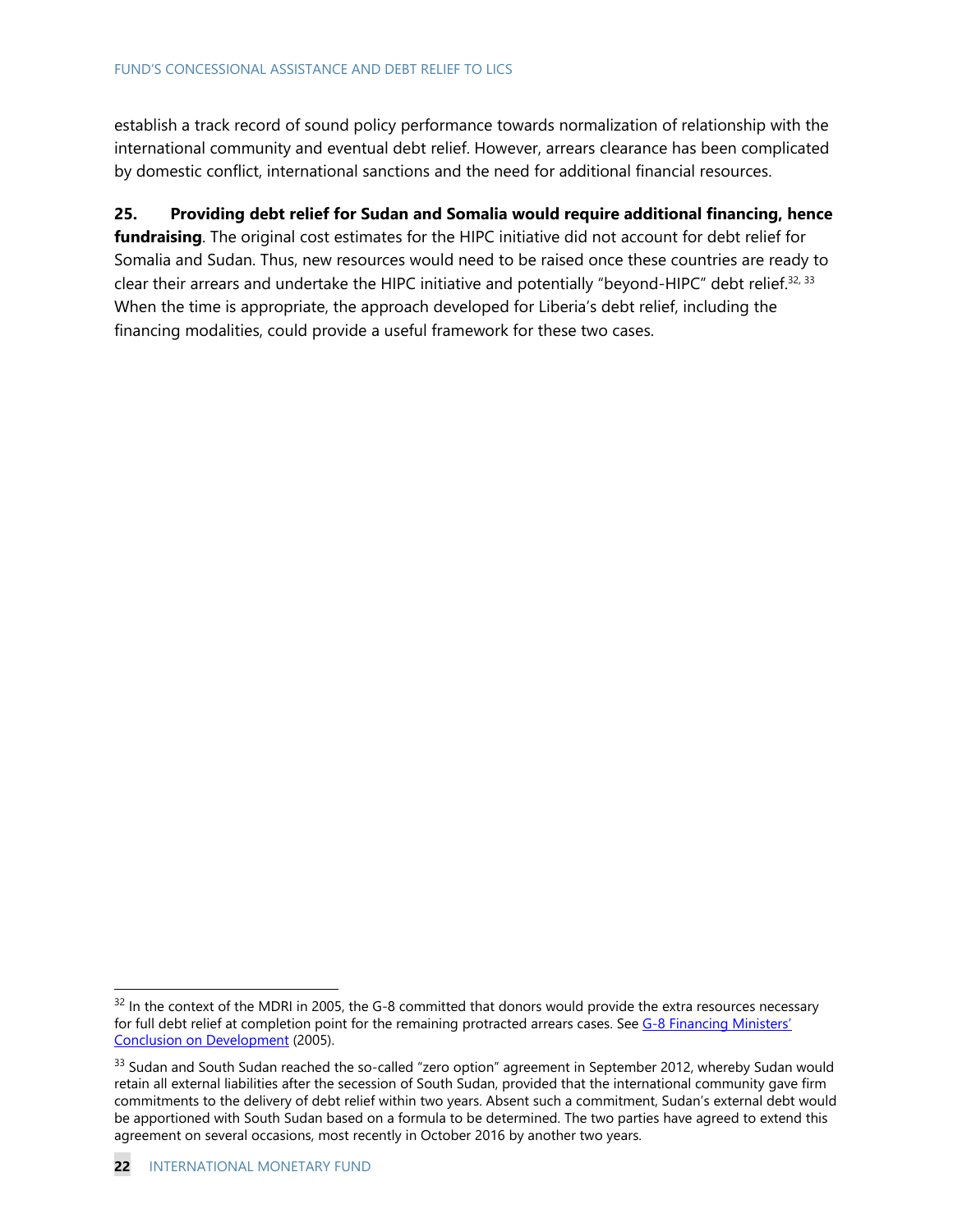establish a track record of sound policy performance towards normalization of relationship with the international community and eventual debt relief. However, arrears clearance has been complicated by domestic conflict, international sanctions and the need for additional financial resources.

### **25. Providing debt relief for Sudan and Somalia would require additional financing, hence**

**fundraising**. The original cost estimates for the HIPC initiative did not account for debt relief for Somalia and Sudan. Thus, new resources would need to be raised once these countries are ready to clear their arrears and undertake the HIPC initiative and potentially "beyond-HIPC" debt relief.<sup>32, 33</sup> When the time is appropriate, the approach developed for Liberia's debt relief, including the financing modalities, could provide a useful framework for these two cases.

 $32$  In the context of the MDRI in 2005, the G-8 committed that donors would provide the extra resources necessary for full debt relief at completion point for the remaining protracted arrears cases. See G-8 Financing Ministers' Conclusion on Development (2005).

<sup>&</sup>lt;sup>33</sup> Sudan and South Sudan reached the so-called "zero option" agreement in September 2012, whereby Sudan would retain all external liabilities after the secession of South Sudan, provided that the international community gave firm commitments to the delivery of debt relief within two years. Absent such a commitment, Sudan's external debt would be apportioned with South Sudan based on a formula to be determined. The two parties have agreed to extend this agreement on several occasions, most recently in October 2016 by another two years.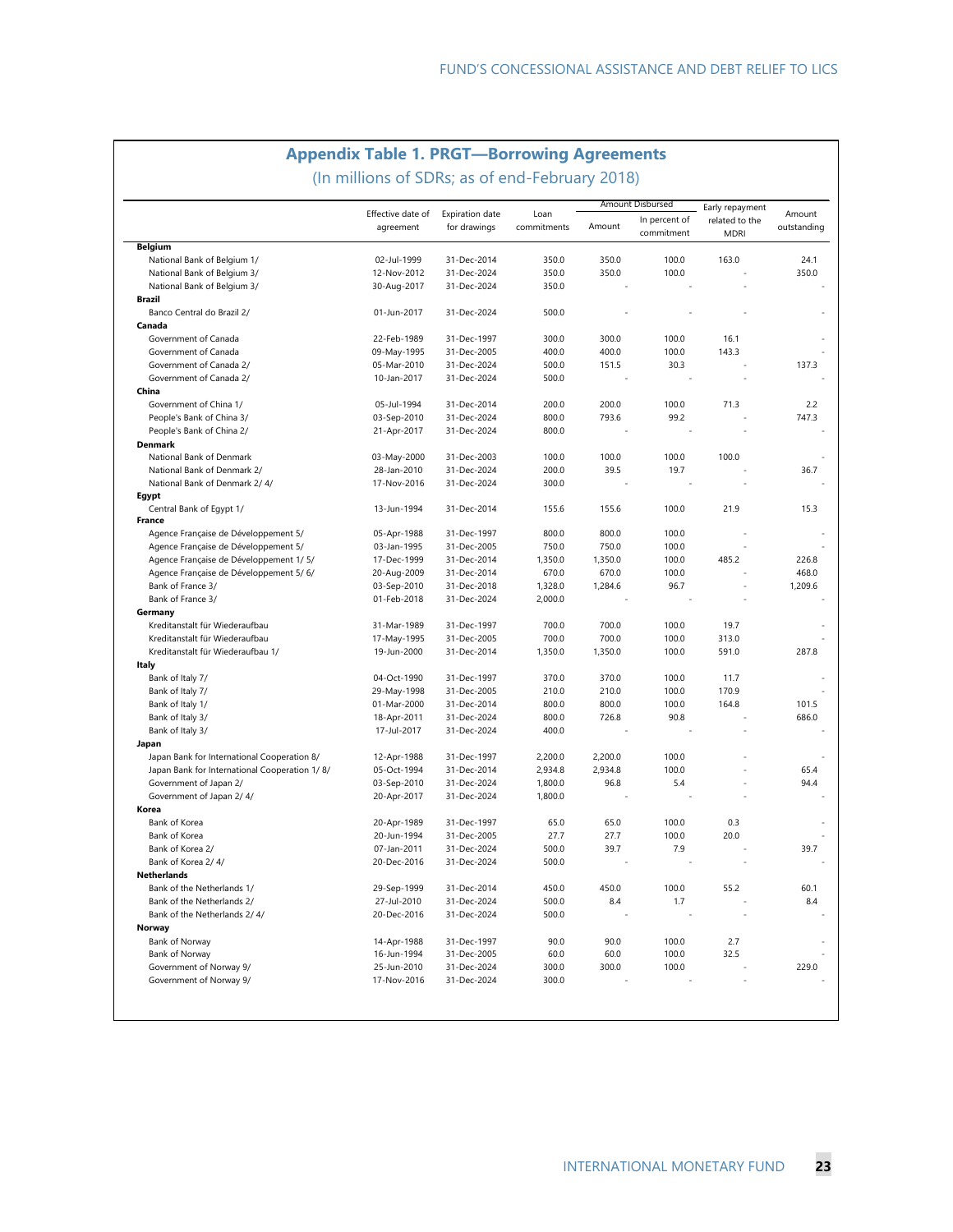### **Appendix Table 1. PRGT—Borrowing Agreements**

(In millions of SDRs; as of end-February 2018)

|                                               |                                |                                 |                     | Amount Disbursed |                             | Early repayment               |                       |
|-----------------------------------------------|--------------------------------|---------------------------------|---------------------|------------------|-----------------------------|-------------------------------|-----------------------|
|                                               | Effective date of<br>agreement | Expiration date<br>for drawings | Loan<br>commitments | Amount           | In percent of<br>commitment | related to the<br><b>MDRI</b> | Amount<br>outstanding |
| <b>Belgium</b>                                |                                |                                 |                     |                  |                             |                               |                       |
| National Bank of Belgium 1/                   | 02-Jul-1999                    | 31-Dec-2014                     | 350.0               | 350.0            | 100.0                       | 163.0                         | 24.1                  |
| National Bank of Belgium 3/                   | 12-Nov-2012                    | 31-Dec-2024                     | 350.0               | 350.0            | 100.0                       |                               | 350.0                 |
| National Bank of Belgium 3/                   | 30-Aug-2017                    | 31-Dec-2024                     | 350.0               |                  |                             |                               |                       |
| <b>Brazil</b>                                 |                                |                                 |                     |                  |                             |                               |                       |
| Banco Central do Brazil 2/                    | 01-Jun-2017                    | 31-Dec-2024                     | 500.0               |                  |                             |                               |                       |
| Canada                                        |                                |                                 |                     |                  |                             |                               |                       |
| Government of Canada                          | 22-Feb-1989                    | 31-Dec-1997                     | 300.0               | 300.0            | 100.0                       | 16.1                          |                       |
| Government of Canada                          | 09-May-1995                    | 31-Dec-2005                     | 400.0               | 400.0            | 100.0                       | 143.3                         |                       |
| Government of Canada 2/                       | 05-Mar-2010                    | 31-Dec-2024                     | 500.0               | 151.5            | 30.3                        |                               | 137.3                 |
| Government of Canada 2/                       | 10-Jan-2017                    | 31-Dec-2024                     | 500.0               |                  |                             |                               |                       |
| China                                         |                                |                                 |                     |                  |                             |                               |                       |
| Government of China 1/                        | 05-Jul-1994                    | 31-Dec-2014                     | 200.0               | 200.0            | 100.0                       | 71.3                          | 2.2                   |
| People's Bank of China 3/                     | 03-Sep-2010                    | 31-Dec-2024                     | 800.0               | 793.6            | 99.2                        |                               | 747.3                 |
| People's Bank of China 2/                     | 21-Apr-2017                    | 31-Dec-2024                     | 800.0               |                  |                             |                               |                       |
| <b>Denmark</b>                                |                                |                                 |                     |                  |                             |                               |                       |
| National Bank of Denmark                      | 03-May-2000                    | 31-Dec-2003                     | 100.0               | 100.0            | 100.0                       | 100.0                         |                       |
| National Bank of Denmark 2/                   | 28-Jan-2010                    | 31-Dec-2024                     | 200.0               | 39.5             | 19.7                        |                               | 36.7                  |
|                                               |                                |                                 |                     |                  |                             |                               |                       |
| National Bank of Denmark 2/4/                 | 17-Nov-2016                    | 31-Dec-2024                     | 300.0               |                  |                             |                               |                       |
| Egypt                                         |                                |                                 |                     |                  |                             |                               |                       |
| Central Bank of Egypt 1/<br>France            | 13-Jun-1994                    | 31-Dec-2014                     | 155.6               | 155.6            | 100.0                       | 21.9                          | 15.3                  |
|                                               |                                | 31-Dec-1997                     | 800.0               | 800.0            | 100.0                       |                               |                       |
| Agence Française de Développement 5/          | 05-Apr-1988                    |                                 |                     |                  |                             |                               |                       |
| Agence Française de Développement 5/          | 03-Jan-1995                    | 31-Dec-2005                     | 750.0               | 750.0            | 100.0                       |                               |                       |
| Agence Française de Développement 1/5/        | 17-Dec-1999                    | 31-Dec-2014                     | 1,350.0             | 1,350.0          | 100.0                       | 485.2                         | 226.8                 |
| Agence Française de Développement 5/6/        | 20-Aug-2009                    | 31-Dec-2014                     | 670.0               | 670.0            | 100.0                       |                               | 468.0                 |
| Bank of France 3/                             | 03-Sep-2010                    | 31-Dec-2018                     | 1,328.0             | 1,284.6          | 96.7                        |                               | 1,209.6               |
| Bank of France 3/                             | 01-Feb-2018                    | 31-Dec-2024                     | 2,000.0             |                  |                             |                               |                       |
| Germany                                       |                                |                                 |                     |                  |                             |                               |                       |
| Kreditanstalt für Wiederaufbau                | 31-Mar-1989                    | 31-Dec-1997                     | 700.0               | 700.0            | 100.0                       | 19.7                          |                       |
| Kreditanstalt für Wiederaufbau                | 17-May-1995                    | 31-Dec-2005                     | 700.0               | 700.0            | 100.0                       | 313.0                         |                       |
| Kreditanstalt für Wiederaufbau 1/             | 19-Jun-2000                    | 31-Dec-2014                     | 1,350.0             | 1,350.0          | 100.0                       | 591.0                         | 287.8                 |
| Italy                                         |                                |                                 |                     |                  |                             |                               |                       |
| Bank of Italy 7/                              | 04-Oct-1990                    | 31-Dec-1997                     | 370.0               | 370.0            | 100.0                       | 11.7                          |                       |
| Bank of Italy 7/                              | 29-May-1998                    | 31-Dec-2005                     | 210.0               | 210.0            | 100.0                       | 170.9                         |                       |
| Bank of Italy 1/                              | 01-Mar-2000                    | 31-Dec-2014                     | 800.0               | 800.0            | 100.0                       | 164.8                         | 101.5                 |
| Bank of Italy 3/                              | 18-Apr-2011                    | 31-Dec-2024                     | 800.0               | 726.8            | 90.8                        |                               | 686.0                 |
| Bank of Italy 3/                              | 17-Jul-2017                    | 31-Dec-2024                     | 400.0               |                  |                             |                               |                       |
| Japan                                         |                                |                                 |                     |                  |                             |                               |                       |
| Japan Bank for International Cooperation 8/   | 12-Apr-1988                    | 31-Dec-1997                     | 2,200.0             | 2,200.0          | 100.0                       |                               |                       |
| Japan Bank for International Cooperation 1/8/ | 05-Oct-1994                    | 31-Dec-2014                     | 2,934.8             | 2,934.8          | 100.0                       |                               | 65.4                  |
| Government of Japan 2/                        | 03-Sep-2010                    | 31-Dec-2024                     | 1,800.0             | 96.8             | 5.4                         |                               | 94.4                  |
| Government of Japan 2/4/                      | 20-Apr-2017                    | 31-Dec-2024                     | 1,800.0             |                  |                             |                               |                       |
| Korea                                         |                                |                                 |                     |                  |                             |                               |                       |
| Bank of Korea                                 | 20-Apr-1989                    | 31-Dec-1997                     | 65.0                | 65.0             | 100.0                       | 0.3                           |                       |
| Bank of Korea                                 | 20-Jun-1994                    | 31-Dec-2005                     | 27.7                | 27.7             | 100.0                       | 20.0                          |                       |
| Bank of Korea 2/                              | 07-Jan-2011                    | 31-Dec-2024                     | 500.0               | 39.7             | 7.9                         |                               | 39.7                  |
| Bank of Korea 2/4/                            | 20-Dec-2016                    | 31-Dec-2024                     | 500.0               |                  |                             |                               |                       |
| <b>Netherlands</b>                            |                                |                                 |                     |                  |                             |                               |                       |
| Bank of the Netherlands 1/                    | 29-Sep-1999                    | 31-Dec-2014                     | 450.0               | 450.0            | 100.0                       | 55.2                          | 60.1                  |
|                                               |                                |                                 |                     |                  |                             |                               |                       |
| Bank of the Netherlands 2/                    | 27-Jul-2010                    | 31-Dec-2024                     | 500.0               | 8.4              | 1.7                         |                               | 8.4                   |
| Bank of the Netherlands 2/4/                  | 20-Dec-2016                    | 31-Dec-2024                     | 500.0               |                  |                             |                               |                       |
| Norway                                        |                                |                                 |                     |                  |                             |                               |                       |
| Bank of Norway                                | 14-Apr-1988                    | 31-Dec-1997                     | 90.0                | 90.0             | 100.0                       | 2.7                           |                       |
| Bank of Norway                                | 16-Jun-1994                    | 31-Dec-2005                     | 60.0                | 60.0             | 100.0                       | 32.5                          |                       |
| Government of Norway 9/                       | 25-Jun-2010                    | 31-Dec-2024                     | 300.0               | 300.0            | 100.0                       |                               | 229.0                 |
| Government of Norway 9/                       | 17-Nov-2016                    | 31-Dec-2024                     | 300.0               |                  |                             |                               |                       |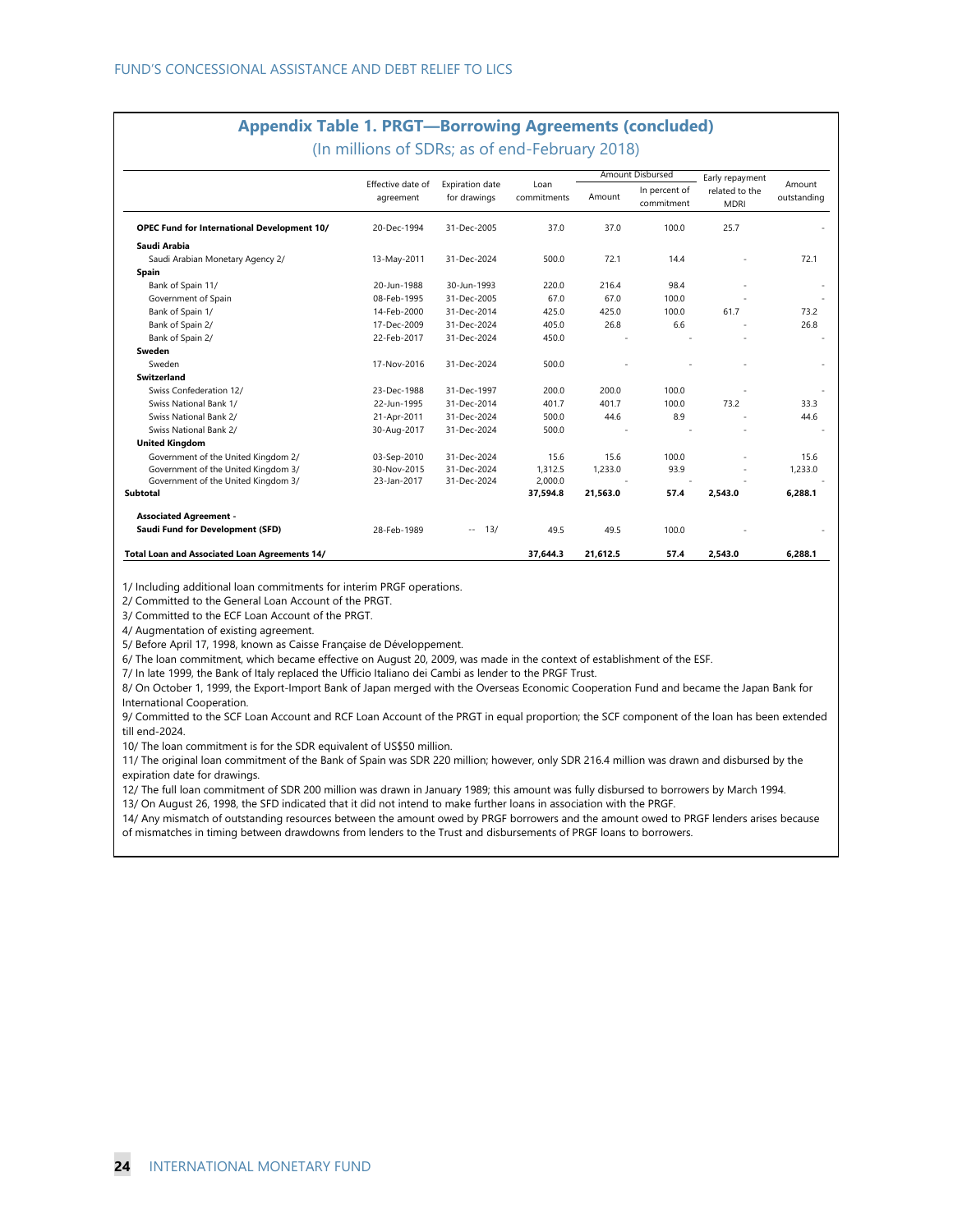## **Appendix Table 1. PRGT—Borrowing Agreements (concluded)**

(In millions of SDRs; as of end-February 2018)

|                                                      |                                                                          |                     |          | Amount Disbursed            | Early repayment               |                       |         |
|------------------------------------------------------|--------------------------------------------------------------------------|---------------------|----------|-----------------------------|-------------------------------|-----------------------|---------|
|                                                      | Effective date of<br><b>Expiration date</b><br>for drawings<br>agreement | Loan<br>commitments | Amount   | In percent of<br>commitment | related to the<br><b>MDRI</b> | Amount<br>outstanding |         |
| <b>OPEC Fund for International Development 10/</b>   | 20-Dec-1994                                                              | 31-Dec-2005         | 37.0     | 37.0                        | 100.0                         | 25.7                  |         |
| Saudi Arabia                                         |                                                                          |                     |          |                             |                               |                       |         |
| Saudi Arabian Monetary Agency 2/                     | 13-May-2011                                                              | 31-Dec-2024         | 500.0    | 72.1                        | 14.4                          |                       | 72.1    |
| Spain                                                |                                                                          |                     |          |                             |                               |                       |         |
| Bank of Spain 11/                                    | 20-Jun-1988                                                              | 30-Jun-1993         | 220.0    | 216.4                       | 98.4                          |                       |         |
| Government of Spain                                  | 08-Feb-1995                                                              | 31-Dec-2005         | 67.0     | 67.0                        | 100.0                         |                       |         |
| Bank of Spain 1/                                     | 14-Feb-2000                                                              | 31-Dec-2014         | 425.0    | 425.0                       | 100.0                         | 61.7                  | 73.2    |
| Bank of Spain 2/                                     | 17-Dec-2009                                                              | 31-Dec-2024         | 405.0    | 26.8                        | 6.6                           |                       | 26.8    |
| Bank of Spain 2/                                     | 22-Feb-2017                                                              | 31-Dec-2024         | 450.0    |                             |                               |                       |         |
| Sweden                                               |                                                                          |                     |          |                             |                               |                       |         |
| Sweden                                               | 17-Nov-2016                                                              | 31-Dec-2024         | 500.0    |                             |                               |                       |         |
| <b>Switzerland</b>                                   |                                                                          |                     |          |                             |                               |                       |         |
| Swiss Confederation 12/                              | 23-Dec-1988                                                              | 31-Dec-1997         | 200.0    | 200.0                       | 100.0                         |                       |         |
| Swiss National Bank 1/                               | 22-Jun-1995                                                              | 31-Dec-2014         | 401.7    | 401.7                       | 100.0                         | 73.2                  | 33.3    |
| Swiss National Bank 2/                               | 21-Apr-2011                                                              | 31-Dec-2024         | 500.0    | 44.6                        | 8.9                           |                       | 44.6    |
| Swiss National Bank 2/                               | 30-Aug-2017                                                              | 31-Dec-2024         | 500.0    |                             |                               |                       |         |
| <b>United Kingdom</b>                                |                                                                          |                     |          |                             |                               |                       |         |
| Government of the United Kingdom 2/                  | 03-Sep-2010                                                              | 31-Dec-2024         | 15.6     | 15.6                        | 100.0                         |                       | 15.6    |
| Government of the United Kingdom 3/                  | 30-Nov-2015                                                              | 31-Dec-2024         | 1,312.5  | 1,233.0                     | 93.9                          |                       | 1,233.0 |
| Government of the United Kingdom 3/                  | 23-Jan-2017                                                              | 31-Dec-2024         | 2,000.0  |                             |                               |                       |         |
| <b>Subtotal</b>                                      |                                                                          |                     | 37,594.8 | 21,563.0                    | 57.4                          | 2,543.0               | 6,288.1 |
| <b>Associated Agreement -</b>                        |                                                                          |                     |          |                             |                               |                       |         |
| Saudi Fund for Development (SFD)                     | 28-Feb-1989                                                              | 13/<br>$\sim$ $-$   | 49.5     | 49.5                        | 100.0                         |                       |         |
| <b>Total Loan and Associated Loan Agreements 14/</b> |                                                                          |                     | 37.644.3 | 21.612.5                    | 57.4                          | 2.543.0               | 6.288.1 |

1/ Including additional loan commitments for interim PRGF operations.

2/ Committed to the General Loan Account of the PRGT.

3/ Committed to the ECF Loan Account of the PRGT.

4/ Augmentation of existing agreement.

5/ Before April 17, 1998, known as Caisse Française de Développement.

6/ The loan commitment, which became effective on August 20, 2009, was made in the context of establishment of the ESF.

7/ In late 1999, the Bank of Italy replaced the Ufficio Italiano dei Cambi as lender to the PRGF Trust.

8/ On October 1, 1999, the Export-Import Bank of Japan merged with the Overseas Economic Cooperation Fund and became the Japan Bank for International Cooperation.

9/ Committed to the SCF Loan Account and RCF Loan Account of the PRGT in equal proportion; the SCF component of the loan has been extended till end-2024.

10/ The loan commitment is for the SDR equivalent of US\$50 million.

11/ The original loan commitment of the Bank of Spain was SDR 220 million; however, only SDR 216.4 million was drawn and disbursed by the expiration date for drawings.

12/ The full loan commitment of SDR 200 million was drawn in January 1989; this amount was fully disbursed to borrowers by March 1994.

13/ On August 26, 1998, the SFD indicated that it did not intend to make further loans in association with the PRGF.

14/ Any mismatch of outstanding resources between the amount owed by PRGF borrowers and the amount owed to PRGF lenders arises because of mismatches in timing between drawdowns from lenders to the Trust and disbursements of PRGF loans to borrowers.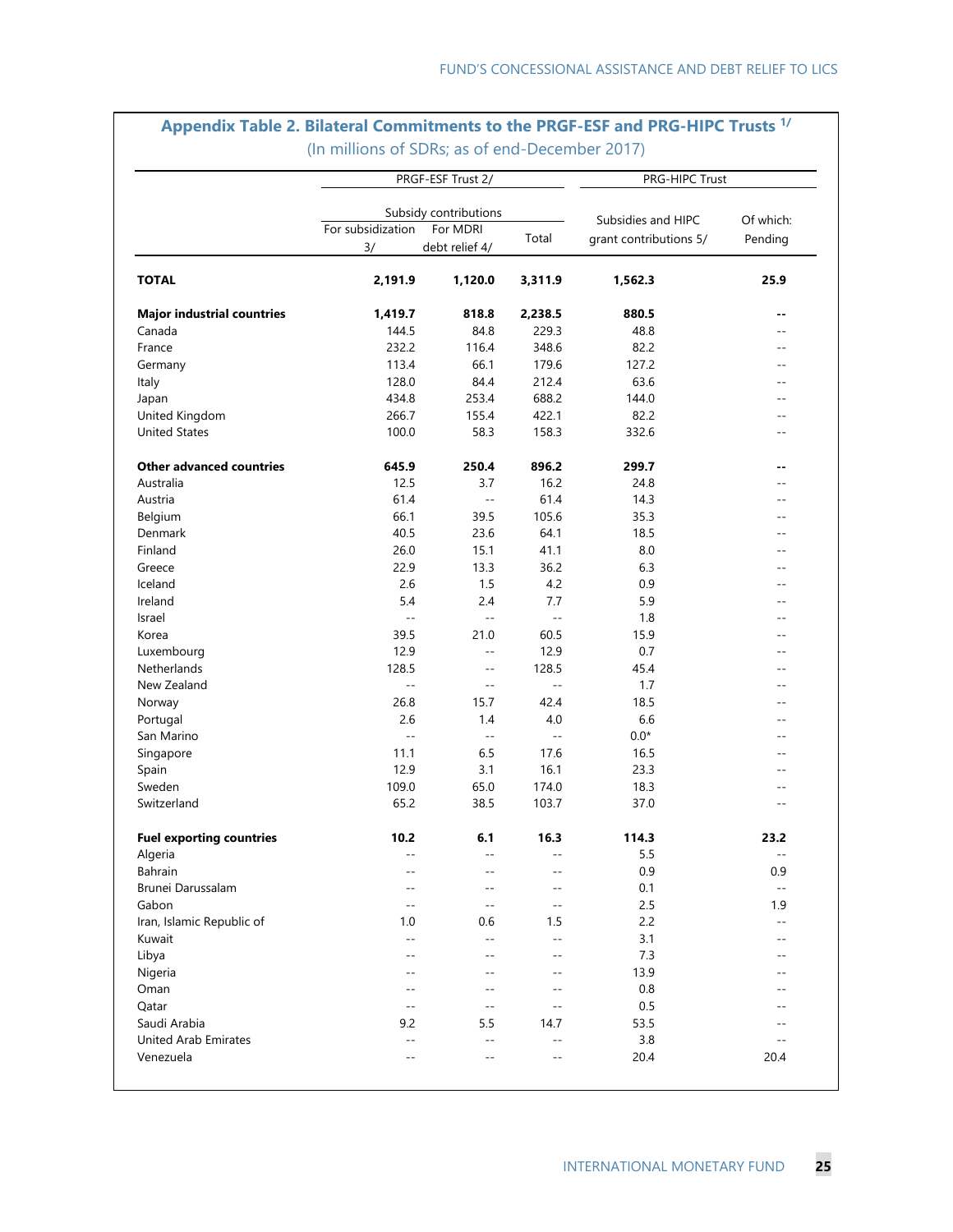|                                   |                   | PRGF-ESF Trust 2/                 | PRG-HIPC Trust           |                        |                |
|-----------------------------------|-------------------|-----------------------------------|--------------------------|------------------------|----------------|
|                                   | For subsidization | Subsidy contributions<br>For MDRI |                          | Subsidies and HIPC     | Of which:      |
|                                   | 3/                | debt relief 4/                    | Total                    | grant contributions 5/ | Pending        |
| <b>TOTAL</b>                      | 2,191.9           | 1,120.0                           | 3,311.9                  | 1,562.3                | 25.9           |
| <b>Major industrial countries</b> | 1,419.7           | 818.8                             | 2,238.5                  | 880.5                  | --             |
| Canada                            | 144.5             | 84.8                              | 229.3                    | 48.8                   | $-$            |
| France                            | 232.2             | 116.4                             | 348.6                    | 82.2                   | $-$            |
| Germany                           | 113.4             | 66.1                              | 179.6                    | 127.2                  | $-$            |
| Italy                             | 128.0             | 84.4                              | 212.4                    | 63.6                   | --             |
| Japan                             | 434.8             | 253.4                             | 688.2                    | 144.0                  |                |
| United Kingdom                    | 266.7             | 155.4                             | 422.1                    | 82.2                   | $-$            |
| <b>United States</b>              | 100.0             | 58.3                              | 158.3                    | 332.6                  | $-$            |
| <b>Other advanced countries</b>   | 645.9             | 250.4                             | 896.2                    | 299.7                  | --             |
| Australia                         | 12.5              | 3.7                               | 16.2                     | 24.8                   | $-$            |
| Austria                           | 61.4              | $\overline{\phantom{a}}$          | 61.4                     | 14.3                   | $-$            |
| Belgium                           | 66.1              | 39.5                              | 105.6                    | 35.3                   | $-$            |
| Denmark                           | 40.5              | 23.6                              | 64.1                     | 18.5                   | --             |
| Finland                           | 26.0              | 15.1                              | 41.1                     | 8.0                    |                |
| Greece                            | 22.9              | 13.3                              | 36.2                     | 6.3                    | --             |
| Iceland                           | 2.6               | 1.5                               | 4.2                      | 0.9                    | $-$            |
| Ireland                           | 5.4               | 2.4                               | 7.7                      | 5.9                    | $-$            |
| Israel                            | $\qquad \qquad -$ | $\overline{\phantom{a}}$          | $\overline{\phantom{a}}$ | 1.8                    | $-$            |
| Korea                             | 39.5              | 21.0                              | 60.5                     | 15.9                   | $-$            |
| Luxembourg                        | 12.9              | $-$                               | 12.9                     | 0.7                    | $-$            |
| Netherlands                       | 128.5             | $\overline{a}$                    | 128.5                    | 45.4                   | $-$            |
| New Zealand                       | $\overline{a}$    | $\sim$ $-$                        | $\overline{\phantom{a}}$ | 1.7                    | --             |
| Norway                            | 26.8              | 15.7                              | 42.4                     | 18.5                   | $-$            |
| Portugal                          | 2.6               | 1.4                               | 4.0                      | 6.6                    | $- -$          |
| San Marino                        | $\overline{a}$    | $\overline{\phantom{a}}$          | $-$                      | $0.0*$                 | --             |
| Singapore                         | 11.1              | 6.5                               | 17.6                     | 16.5                   | --             |
| Spain                             | 12.9              | 3.1                               | 16.1                     | 23.3                   | $-$            |
| Sweden                            | 109.0             | 65.0                              | 174.0                    | 18.3                   | $-$            |
| Switzerland                       | 65.2              | 38.5                              | 103.7                    | 37.0                   | $- -$          |
| <b>Fuel exporting countries</b>   | 10.2              | 6.1                               | 16.3                     | 114.3                  | 23.2           |
| Algeria                           |                   | --                                | --                       | 5.5                    | $\sim$ $-$     |
| Bahrain                           |                   |                                   |                          | 0.9                    | 0.9            |
| Brunei Darussalam                 |                   | $-$                               |                          | 0.1                    | $\overline{a}$ |
| Gabon                             |                   | $\overline{\phantom{a}}$          | --                       | 2.5                    | 1.9            |
| Iran, Islamic Republic of         | 1.0               | 0.6                               | 1.5                      | 2.2                    |                |
| Kuwait                            | $-$               | $-$                               | $-$                      | 3.1                    |                |
| Libya                             |                   | $-$                               | $-$                      | 7.3                    |                |
| Nigeria                           |                   | $\overline{a}$                    | --                       | 13.9                   |                |
| Oman                              | $ -$              | $\overline{\phantom{a}}$          | $-$                      | 0.8                    |                |
| Qatar                             | $-$               | $-$                               | $-$                      | 0.5                    |                |
| Saudi Arabia                      | 9.2               | 5.5                               | 14.7                     | 53.5                   |                |
| <b>United Arab Emirates</b>       | $- -$             | $-$                               | $-$                      | 3.8                    | $-$            |
| Venezuela                         | $ -$              | $\overline{\phantom{a}}$          | $-$                      | 20.4                   | 20.4           |

## **Appendix Table 2. Bilateral Commitments to the PRGF-ESF and PRG-HIPC Trusts 1/** (In millions of SDRs; as of end-December 2017)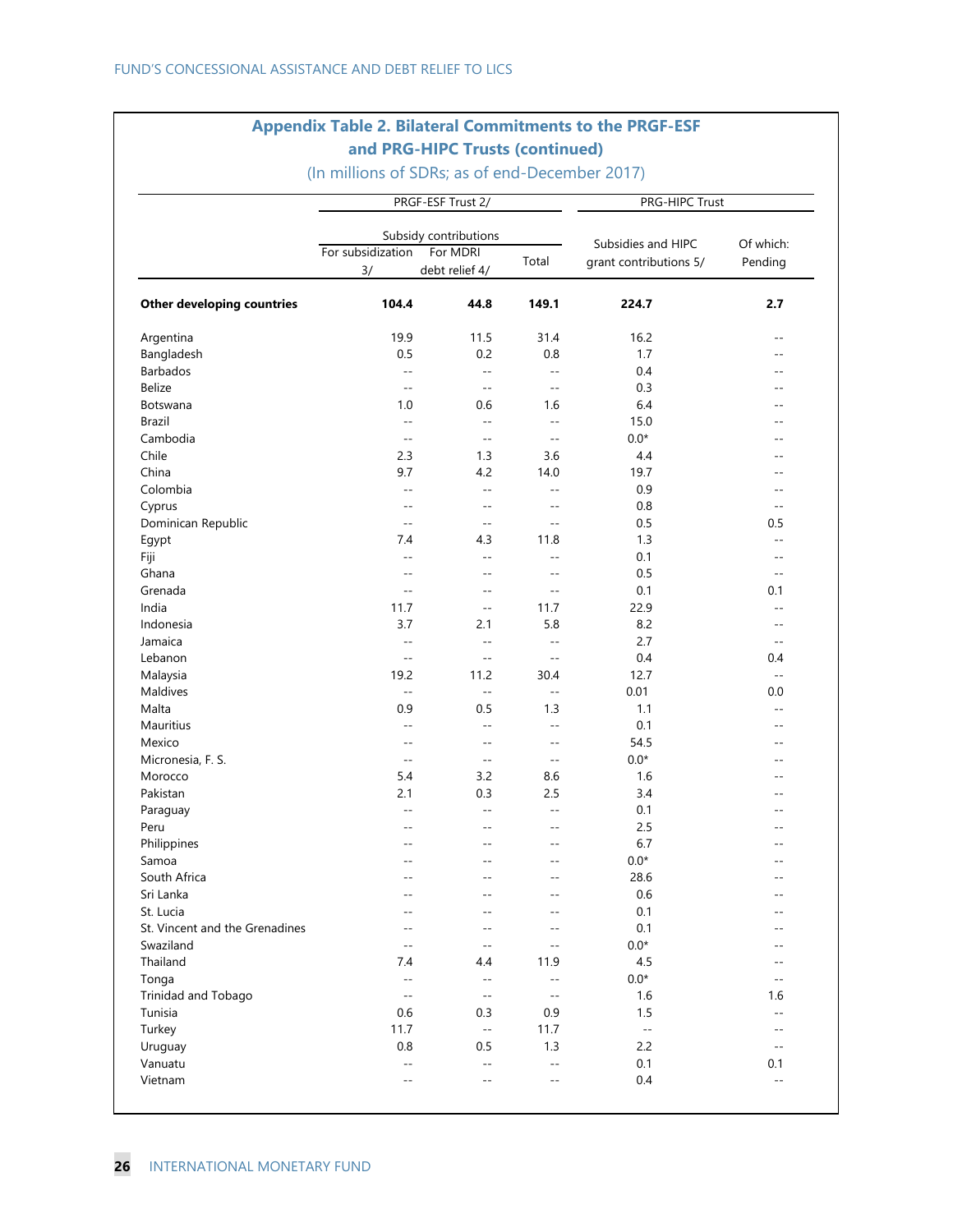### **Appendix Table 2. Bilateral Commitments to the PRGF-ESF and PRG-HIPC Trusts (continued)**

|                                |                            | PRGF-ESF Trust 2/         |                | PRG-HIPC Trust         |                |  |  |
|--------------------------------|----------------------------|---------------------------|----------------|------------------------|----------------|--|--|
|                                |                            | Subsidy contributions     |                |                        |                |  |  |
|                                | For subsidization          | For MDRI                  |                | Subsidies and HIPC     | Of which:      |  |  |
|                                | 3/                         | debt relief 4/            | Total          | grant contributions 5/ | Pending        |  |  |
| Other developing countries     | 104.4                      | 44.8                      | 149.1          | 224.7                  | 2.7            |  |  |
| Argentina                      | 19.9                       | 11.5                      | 31.4           | 16.2                   | $-$            |  |  |
| Bangladesh                     | 0.5                        | 0.2                       | 0.8            | 1.7                    | $-$            |  |  |
| Barbados                       | $\mathbf{u}$               | $\mathbf{u} = \mathbf{v}$ | $- -$          | 0.4                    | $\sim$ $\sim$  |  |  |
| <b>Belize</b>                  | $-$                        | $\overline{a}$            | $-$            | 0.3                    | --             |  |  |
| Botswana                       | 1.0                        | 0.6                       | 1.6            | 6.4                    | $-$            |  |  |
| Brazil                         | $-$                        | $\overline{\phantom{a}}$  | $\sim$ $\sim$  | 15.0                   | $-$            |  |  |
| Cambodia                       | $\sim$ $\sim$              | $\sim$                    | $\sim$ $-$     | $0.0*$                 | --             |  |  |
| Chile                          | 2.3                        | 1.3                       | 3.6            | 4.4                    |                |  |  |
| China                          | 9.7                        | 4.2                       | 14.0           | 19.7                   | $-$            |  |  |
| Colombia                       | $\overline{\phantom{a}}$ . | $\mathbf{u}$              | $- -$          | 0.9                    | $-$            |  |  |
| Cyprus                         | $-$                        | $-$                       | $-$            | 0.8                    | $-$            |  |  |
| Dominican Republic             | $-$                        | $\sim$                    | $-$            | 0.5                    | 0.5            |  |  |
| Egypt                          | 7.4                        | 4.3                       | 11.8           | 1.3                    | $-$            |  |  |
| Fiji                           | $-$                        | $\overline{a}$            | $-$            | 0.1                    | $-$            |  |  |
| Ghana                          | $-$                        | $-$                       | $-$            | 0.5                    | $-$            |  |  |
| Grenada                        | $\overline{\phantom{a}}$   | $-$                       | $\sim$ $\sim$  | 0.1                    | 0.1            |  |  |
| India                          | 11.7                       | $-$                       | 11.7           | 22.9                   | $-$            |  |  |
| Indonesia                      | 3.7                        | 2.1                       | 5.8            | 8.2                    | $-$            |  |  |
| Jamaica                        | $\overline{\phantom{a}}$   | $\mathcal{L} =$           | $-$            | 2.7                    | $-$            |  |  |
| Lebanon                        | $- -$                      | $-$                       | $\sim$ $-$     | 0.4                    | 0.4            |  |  |
| Malaysia                       | 19.2                       | 11.2                      | 30.4           | 12.7                   | $\overline{a}$ |  |  |
| Maldives                       | $- -$                      | $-$                       | $- -$          | 0.01                   | $0.0\,$        |  |  |
| Malta                          | 0.9                        | 0.5                       | 1.3            | 1.1                    | $-$            |  |  |
| Mauritius                      | $\overline{\phantom{a}}$   | $\sim$                    | $- -$          | 0.1                    | $\sim$ $\sim$  |  |  |
| Mexico                         | $-$                        | $-$                       | $- -$          | 54.5                   | --             |  |  |
| Micronesia, F. S.              | $-$                        | $-$                       | $\overline{a}$ | $0.0*$                 | $-$            |  |  |
| Morocco                        | 5.4                        | 3.2                       | 8.6            | 1.6                    | $-$            |  |  |
| Pakistan                       | 2.1                        | 0.3                       | 2.5            | 3.4                    | --             |  |  |
| Paraguay                       | $\sim$                     | $\sim$                    | $\sim$         | 0.1                    | --             |  |  |
| Peru                           | $-$                        | $-$                       | $- -$          | 2.5                    |                |  |  |
| Philippines                    |                            |                           | $-$            | 6.7                    |                |  |  |
| Samoa                          | $-$                        | --                        | $- -$          | $0.0*$                 | $-$            |  |  |
| South Africa                   | $\sim$ $\sim$              | --                        | $\sim$ $\sim$  | 28.6                   | $-$            |  |  |
| Sri Lanka                      |                            |                           | $-$            | 0.6                    | $-$            |  |  |
| St. Lucia                      |                            |                           |                | 0.1                    |                |  |  |
| St. Vincent and the Grenadines | --                         | --                        | $-$            | 0.1                    |                |  |  |
| Swaziland                      | $-$                        | $-$                       | $-$            | $0.0*$                 | --             |  |  |
| Thailand                       | 7.4                        | 4.4                       | 11.9           | 4.5                    |                |  |  |
| Tonga                          | $-$                        | $-$                       | $-$            | $0.0*$                 | $-$            |  |  |
| Trinidad and Tobago            | $-$                        | $\overline{a}$            | $\sim$ $\sim$  | 1.6                    | 1.6            |  |  |
| Tunisia                        | 0.6                        | 0.3                       | 0.9            | 1.5                    | $-$            |  |  |
| Turkey                         | 11.7                       | $\mathbb{L}^{\perp}$      | 11.7           | $\mathbb{H}^2$         | $-$            |  |  |
| Uruguay                        | 0.8                        | 0.5                       | 1.3            | 2.2                    | $- -$          |  |  |
| Vanuatu                        | $-$                        | $\overline{\phantom{a}}$  | $-$            | 0.1                    | 0.1            |  |  |
| Vietnam                        |                            |                           | $-$            | 0.4                    | $\overline{a}$ |  |  |

(In millions of SDRs; as of end-December 2017)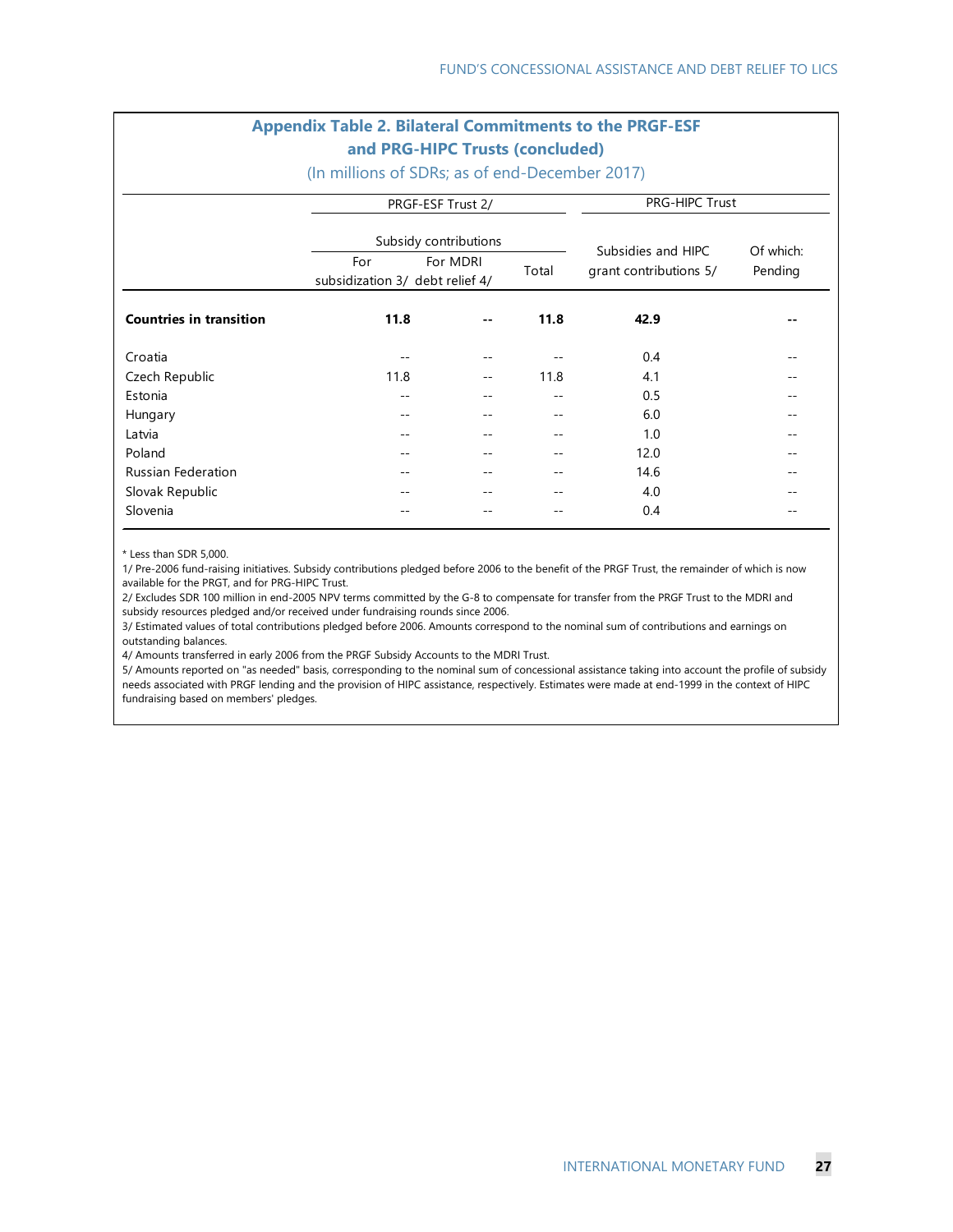#### **Appendix Table 2. Bilateral Commitments to the PRGF-ESF and PRG-HIPC Trusts (concluded)**

(In millions of SDRs; as of end-December 2017)

|                                |      | PRGF-ESF Trust 2/                                    |       | PRG-HIPC Trust         |           |  |  |  |
|--------------------------------|------|------------------------------------------------------|-------|------------------------|-----------|--|--|--|
|                                |      | Subsidy contributions                                |       | Subsidies and HIPC     | Of which: |  |  |  |
|                                | For  | For MDRI<br>Total<br>subsidization 3/ debt relief 4/ |       | grant contributions 5/ | Pending   |  |  |  |
| <b>Countries in transition</b> | 11.8 | $- -$                                                | 11.8  | 42.9                   | $- -$     |  |  |  |
| Croatia                        |      |                                                      |       | 0.4                    | --        |  |  |  |
| Czech Republic                 | 11.8 | $\overline{\phantom{m}}$                             | 11.8  | 4.1                    | $ -$      |  |  |  |
| Estonia                        | --   | $ -$                                                 | $- -$ | 0.5                    | --        |  |  |  |
| Hungary                        |      |                                                      | --    | 6.0                    |           |  |  |  |
| Latvia                         |      |                                                      | --    | 1.0                    |           |  |  |  |
| Poland                         |      | --                                                   | --    | 12.0                   |           |  |  |  |
| <b>Russian Federation</b>      |      | --                                                   | --    | 14.6                   |           |  |  |  |
| Slovak Republic                |      |                                                      | --    | 4.0                    |           |  |  |  |
| Slovenia                       |      |                                                      |       | 0.4                    |           |  |  |  |

\* Less than SDR 5,000.

1/ Pre-2006 fund-raising initiatives. Subsidy contributions pledged before 2006 to the benefit of the PRGF Trust, the remainder of which is now available for the PRGT, and for PRG-HIPC Trust.

2/ Excludes SDR 100 million in end-2005 NPV terms committed by the G-8 to compensate for transfer from the PRGF Trust to the MDRI and subsidy resources pledged and/or received under fundraising rounds since 2006.

3/ Estimated values of total contributions pledged before 2006. Amounts correspond to the nominal sum of contributions and earnings on outstanding balances.

4/ Amounts transferred in early 2006 from the PRGF Subsidy Accounts to the MDRI Trust.

5/ Amounts reported on "as needed" basis, corresponding to the nominal sum of concessional assistance taking into account the profile of subsidy needs associated with PRGF lending and the provision of HIPC assistance, respectively. Estimates were made at end-1999 in the context of HIPC fundraising based on members' pledges.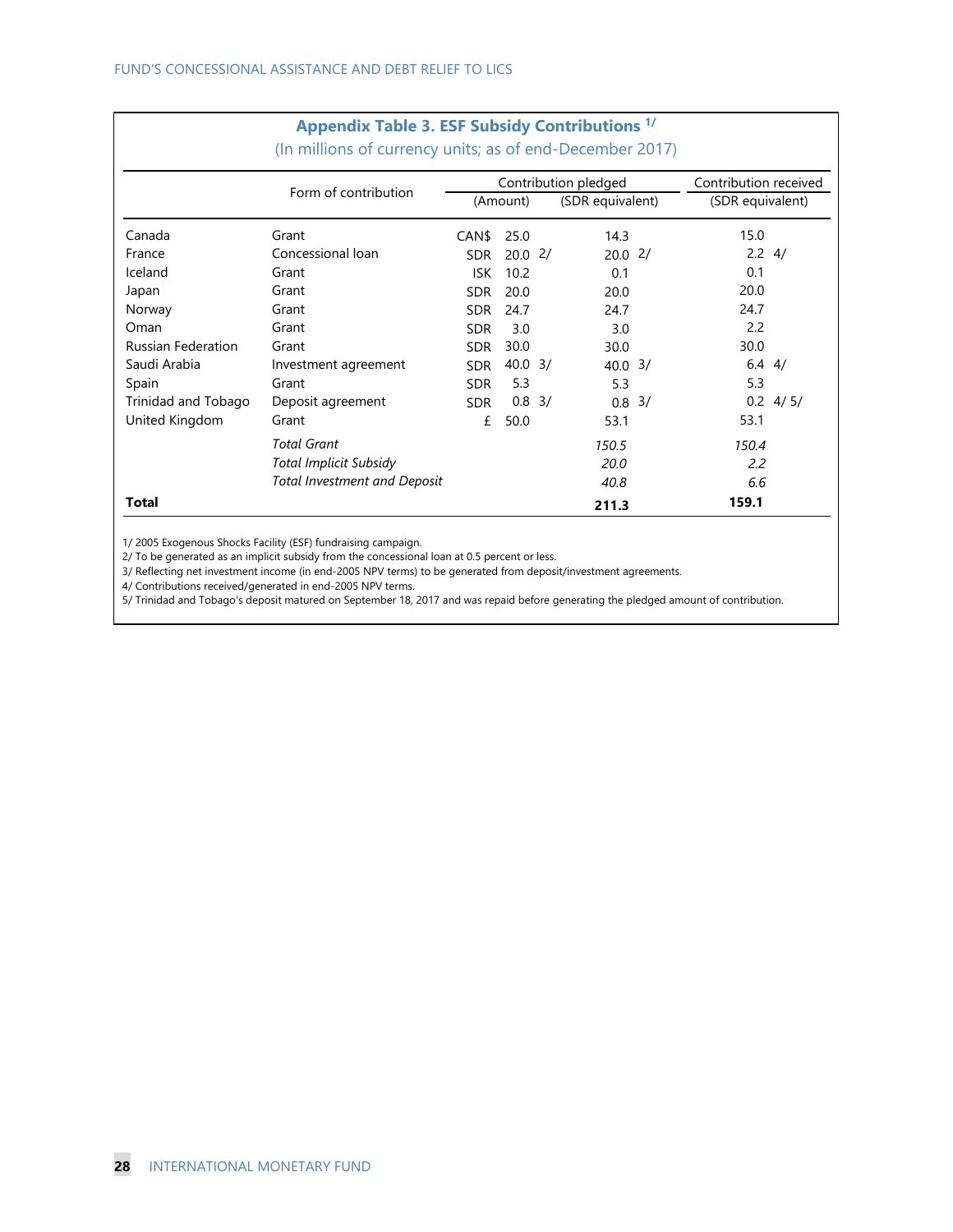|                           | Appendix Table 3. ESF Subsidy Contributions "<br>(In millions of currency units; as of end-December 2017) |            |                    |                      |                       |
|---------------------------|-----------------------------------------------------------------------------------------------------------|------------|--------------------|----------------------|-----------------------|
|                           |                                                                                                           |            |                    | Contribution pledged | Contribution received |
|                           | Form of contribution                                                                                      | (Amount)   |                    | (SDR equivalent)     | (SDR equivalent)      |
| Canada                    | Grant                                                                                                     | CAN\$      | 25.0               | 14.3                 | 15.0                  |
| France                    | Concessional loan                                                                                         | <b>SDR</b> | 20.02              | 20.02/               | $2.2 \frac{4}{1}$     |
| Iceland                   | Grant                                                                                                     | <b>ISK</b> | 10.2               | 0.1                  | 0.1                   |
| Japan                     | Grant                                                                                                     | <b>SDR</b> | 20.0               | 20.0                 | 20.0                  |
| Norway                    | Grant                                                                                                     | SDR.       | 24.7               | 24.7                 | 24.7                  |
| Oman                      | Grant                                                                                                     | <b>SDR</b> | 3.0                | 3.0                  | 2.2                   |
| <b>Russian Federation</b> | Grant                                                                                                     | <b>SDR</b> | 30.0               | 30.0                 | 30.0                  |
| Saudi Arabia              | Investment agreement                                                                                      | <b>SDR</b> | $40.0 \frac{3}{1}$ | $40.0 \frac{3}{1}$   | $6.4$ 4/              |
| Spain                     | Grant                                                                                                     | <b>SDR</b> | 5.3                | 5.3                  | 5.3                   |
| Trinidad and Tobago       | Deposit agreement                                                                                         | <b>SDR</b> | $0.8 \frac{3}{2}$  | 3/<br>0.8            | $0.2 \frac{4}{5}$     |
| United Kingdom            | Grant                                                                                                     | £          | 50.0               | 53.1                 | 53.1                  |
|                           | <b>Total Grant</b>                                                                                        |            |                    | 150.5                | 150.4                 |
|                           | Total Implicit Subsidy                                                                                    |            |                    | 20.0                 | 2.2                   |
|                           | <b>Total Investment and Deposit</b>                                                                       |            |                    | 40.8                 | 6.6                   |
| Total                     |                                                                                                           |            |                    | 211.3                | 159.1                 |

## **Appendix Table 3. ESF Subsidy Contributions 1/**

1/ 2005 Exogenous Shocks Facility (ESF) fundraising campaign.

2/ To be generated as an implicit subsidy from the concessional loan at 0.5 percent or less.

3/ Reflecting net investment income (in end-2005 NPV terms) to be generated from deposit/investment agreements.

4/ Contributions received/generated in end-2005 NPV terms.

5/ Trinidad and Tobago's deposit matured on September 18, 2017 and was repaid before generating the pledged amount of contribution.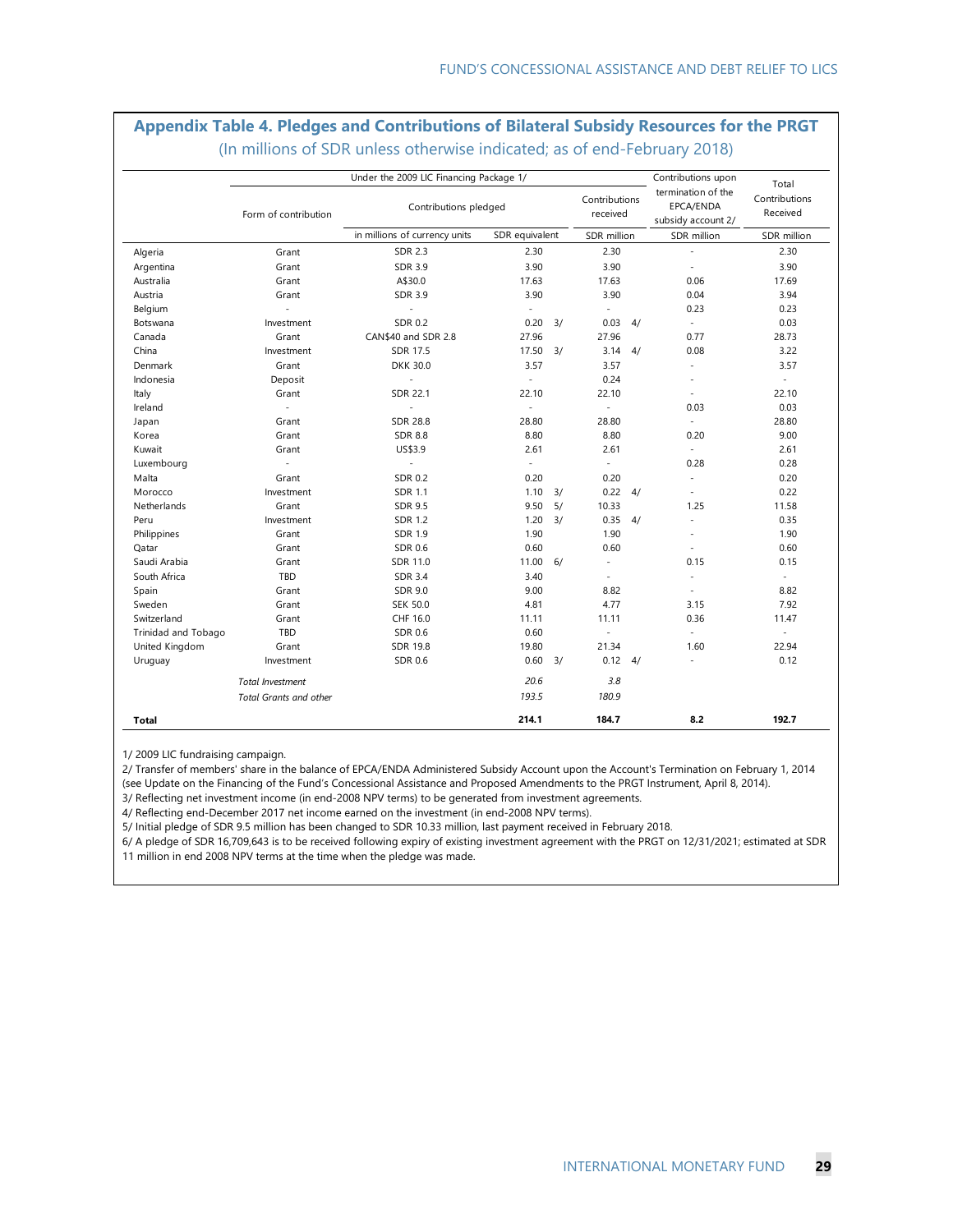#### **Appendix Table 4. Pledges and Contributions of Bilateral Subsidy Resources for the PRGT**  (In millions of SDR unless otherwise indicated; as of end-February 2018)

|                     |                               | Under the 2009 LIC Financing Package 1/ |                          |    |                           |    | Contributions upon                                    | Total                     |  |
|---------------------|-------------------------------|-----------------------------------------|--------------------------|----|---------------------------|----|-------------------------------------------------------|---------------------------|--|
|                     | Form of contribution          | Contributions pledged                   |                          |    | Contributions<br>received |    | termination of the<br>EPCA/ENDA<br>subsidy account 2/ | Contributions<br>Received |  |
|                     |                               | in millions of currency units           | SDR equivalent           |    | SDR million               |    | SDR million                                           | SDR million               |  |
| Algeria             | Grant                         | <b>SDR 2.3</b>                          | 2.30                     |    | 2.30                      |    |                                                       | 2.30                      |  |
| Argentina           | Grant                         | <b>SDR 3.9</b>                          | 3.90                     |    | 3.90                      |    | $\sim$                                                | 3.90                      |  |
| Australia           | Grant                         | A\$30.0                                 | 17.63                    |    | 17.63                     |    | 0.06                                                  | 17.69                     |  |
| Austria             | Grant                         | <b>SDR 3.9</b>                          | 3.90                     |    | 3.90                      |    | 0.04                                                  | 3.94                      |  |
| Belgium             |                               | ÷,                                      | ÷                        |    | $\sim$                    |    | 0.23                                                  | 0.23                      |  |
| Botswana            | Investment                    | <b>SDR 0.2</b>                          | 0.20                     | 3/ | 0.03                      | 4/ | ÷                                                     | 0.03                      |  |
| Canada              | Grant                         | CAN\$40 and SDR 2.8                     | 27.96                    |    | 27.96                     |    | 0.77                                                  | 28.73                     |  |
| China               | Investment                    | <b>SDR 17.5</b>                         | 17.50                    | 3/ | 3.14                      | 4/ | 0.08                                                  | 3.22                      |  |
| Denmark             | Grant                         | <b>DKK 30.0</b>                         | 3.57                     |    | 3.57                      |    | ÷,                                                    | 3.57                      |  |
| Indonesia           | Deposit                       | $\overline{a}$                          | $\overline{\phantom{a}}$ |    | 0.24                      |    | ÷                                                     | $\blacksquare$            |  |
| Italy               | Grant                         | SDR 22.1                                | 22.10                    |    | 22.10                     |    | ÷,                                                    | 22.10                     |  |
| Ireland             | ÷,                            |                                         | $\overline{\phantom{a}}$ |    | ÷.                        |    | 0.03                                                  | 0.03                      |  |
| Japan               | Grant                         | <b>SDR 28.8</b>                         | 28.80                    |    | 28.80                     |    | $\overline{a}$                                        | 28.80                     |  |
| Korea               | Grant                         | <b>SDR 8.8</b>                          | 8.80                     |    | 8.80                      |    | 0.20                                                  | 9.00                      |  |
| Kuwait              | Grant                         | US\$3.9                                 | 2.61                     |    | 2.61                      |    | ÷                                                     | 2.61                      |  |
| Luxembourg          | ÷,                            | ÷,                                      | $\overline{\phantom{a}}$ |    | $\bar{\phantom{a}}$       |    | 0.28                                                  | 0.28                      |  |
| Malta               | Grant                         | <b>SDR 0.2</b>                          | 0.20                     |    | 0.20                      |    | $\sim$                                                | 0.20                      |  |
| Morocco             | Investment                    | <b>SDR 1.1</b>                          | 1.10                     | 3/ | 0.22                      | 4/ |                                                       | 0.22                      |  |
| Netherlands         | Grant                         | <b>SDR 9.5</b>                          | 9.50                     | 5/ | 10.33                     |    | 1.25                                                  | 11.58                     |  |
| Peru                | Investment                    | <b>SDR 1.2</b>                          | 1.20                     | 3/ | 0.35                      | 4/ | ÷,                                                    | 0.35                      |  |
| Philippines         | Grant                         | <b>SDR 1.9</b>                          | 1.90                     |    | 1.90                      |    |                                                       | 1.90                      |  |
| Qatar               | Grant                         | SDR 0.6                                 | 0.60                     |    | 0.60                      |    | Ĭ.                                                    | 0.60                      |  |
| Saudi Arabia        | Grant                         | SDR 11.0                                | 11.00                    | 6/ | ×.                        |    | 0.15                                                  | 0.15                      |  |
| South Africa        | TBD                           | <b>SDR 3.4</b>                          | 3.40                     |    | $\sim$                    |    | $\sim$                                                | $\overline{\phantom{a}}$  |  |
| Spain               | Grant                         | <b>SDR 9.0</b>                          | 9.00                     |    | 8.82                      |    |                                                       | 8.82                      |  |
| Sweden              | Grant                         | <b>SEK 50.0</b>                         | 4.81                     |    | 4.77                      |    | 3.15                                                  | 7.92                      |  |
| Switzerland         | Grant                         | CHF 16.0                                | 11.11                    |    | 11.11                     |    | 0.36                                                  | 11.47                     |  |
| Trinidad and Tobago | TBD                           | SDR 0.6                                 | 0.60                     |    | $\sim$                    |    | $\sim$                                                | $\mathcal{L}$             |  |
| United Kingdom      | Grant                         | <b>SDR 19.8</b>                         | 19.80                    |    | 21.34                     |    | 1.60                                                  | 22.94                     |  |
| Uruguay             | Investment                    | <b>SDR 0.6</b>                          | 0.60                     | 3/ | $0.12 \quad 4/$           |    | $\sim$                                                | 0.12                      |  |
|                     | <b>Total Investment</b>       |                                         | 20.6                     |    | 3.8                       |    |                                                       |                           |  |
|                     | <b>Total Grants and other</b> |                                         | 193.5                    |    | 180.9                     |    |                                                       |                           |  |
| Total               |                               |                                         | 214.1                    |    | 184.7                     |    | 8.2                                                   | 192.7                     |  |

1/ 2009 LIC fundraising campaign.

2/ Transfer of members' share in the balance of EPCA/ENDA Administered Subsidy Account upon the Account's Termination on February 1, 2014

(see Update on the Financing of the Fund's Concessional Assistance and Proposed Amendments to the PRGT Instrument, April 8, 2014).

3/ Reflecting net investment income (in end-2008 NPV terms) to be generated from investment agreements.

4/ Reflecting end-December 2017 net income earned on the investment (in end-2008 NPV terms).

5/ Initial pledge of SDR 9.5 million has been changed to SDR 10.33 million, last payment received in February 2018.

6/ A pledge of SDR 16,709,643 is to be received following expiry of existing investment agreement with the PRGT on 12/31/2021; estimated at SDR 11 million in end 2008 NPV terms at the time when the pledge was made.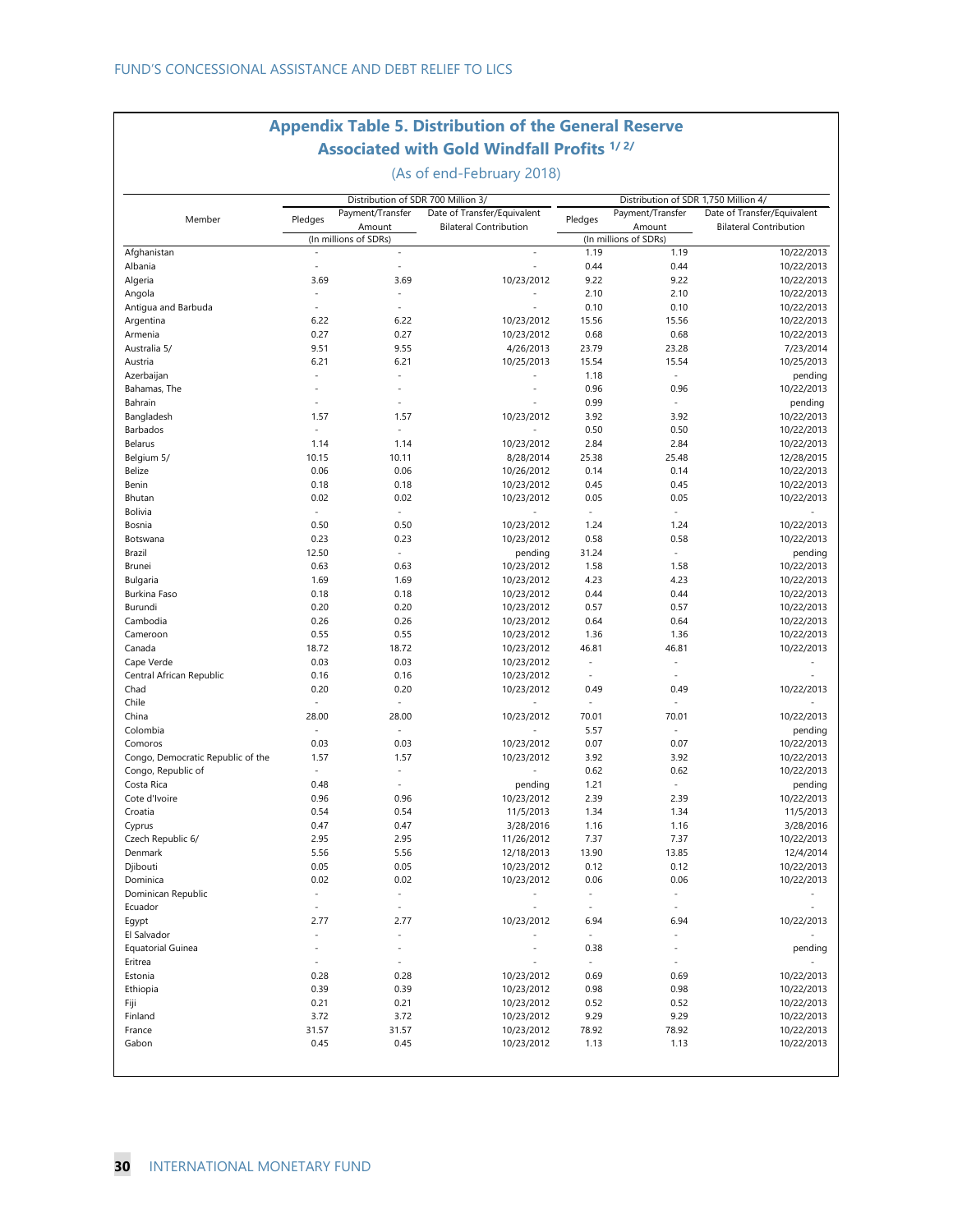### **Appendix Table 5. Distribution of the General Reserve Associated with Gold Windfall Profits 1/ 2/**

(As of end-February 2018)

| Pledges              | Payment/Transfer<br>Amount<br>(In millions of SDRs)                                                                                                                                                                                            | Date of Transfer/Equivalent<br><b>Bilateral Contribution</b>                                                                                                                                                                                                                                        | Pledges                                                                                                                                                                                                                                                                                                                                                         | Payment/Transfer<br>Amount                                                                                                                                                                                                                                                                                  | Date of Transfer/Equivalent                                                                                                                                                                                                                                        |
|----------------------|------------------------------------------------------------------------------------------------------------------------------------------------------------------------------------------------------------------------------------------------|-----------------------------------------------------------------------------------------------------------------------------------------------------------------------------------------------------------------------------------------------------------------------------------------------------|-----------------------------------------------------------------------------------------------------------------------------------------------------------------------------------------------------------------------------------------------------------------------------------------------------------------------------------------------------------------|-------------------------------------------------------------------------------------------------------------------------------------------------------------------------------------------------------------------------------------------------------------------------------------------------------------|--------------------------------------------------------------------------------------------------------------------------------------------------------------------------------------------------------------------------------------------------------------------|
|                      |                                                                                                                                                                                                                                                |                                                                                                                                                                                                                                                                                                     |                                                                                                                                                                                                                                                                                                                                                                 |                                                                                                                                                                                                                                                                                                             |                                                                                                                                                                                                                                                                    |
|                      |                                                                                                                                                                                                                                                |                                                                                                                                                                                                                                                                                                     |                                                                                                                                                                                                                                                                                                                                                                 |                                                                                                                                                                                                                                                                                                             | <b>Bilateral Contribution</b>                                                                                                                                                                                                                                      |
|                      |                                                                                                                                                                                                                                                |                                                                                                                                                                                                                                                                                                     |                                                                                                                                                                                                                                                                                                                                                                 | (In millions of SDRs)                                                                                                                                                                                                                                                                                       |                                                                                                                                                                                                                                                                    |
|                      |                                                                                                                                                                                                                                                | $\overline{a}$                                                                                                                                                                                                                                                                                      | 1.19                                                                                                                                                                                                                                                                                                                                                            | 1.19                                                                                                                                                                                                                                                                                                        | 10/22/2013                                                                                                                                                                                                                                                         |
| $\ddot{\phantom{0}}$ | L,                                                                                                                                                                                                                                             | ÷                                                                                                                                                                                                                                                                                                   | 0.44                                                                                                                                                                                                                                                                                                                                                            | 0.44                                                                                                                                                                                                                                                                                                        | 10/22/2013                                                                                                                                                                                                                                                         |
| 3.69                 | 3.69                                                                                                                                                                                                                                           | 10/23/2012                                                                                                                                                                                                                                                                                          | 9.22                                                                                                                                                                                                                                                                                                                                                            | 9.22                                                                                                                                                                                                                                                                                                        | 10/22/2013                                                                                                                                                                                                                                                         |
|                      | L,                                                                                                                                                                                                                                             |                                                                                                                                                                                                                                                                                                     | 2.10                                                                                                                                                                                                                                                                                                                                                            | 2.10                                                                                                                                                                                                                                                                                                        | 10/22/2013                                                                                                                                                                                                                                                         |
|                      |                                                                                                                                                                                                                                                |                                                                                                                                                                                                                                                                                                     |                                                                                                                                                                                                                                                                                                                                                                 |                                                                                                                                                                                                                                                                                                             | 10/22/2013                                                                                                                                                                                                                                                         |
|                      |                                                                                                                                                                                                                                                |                                                                                                                                                                                                                                                                                                     |                                                                                                                                                                                                                                                                                                                                                                 |                                                                                                                                                                                                                                                                                                             | 10/22/2013                                                                                                                                                                                                                                                         |
|                      |                                                                                                                                                                                                                                                |                                                                                                                                                                                                                                                                                                     |                                                                                                                                                                                                                                                                                                                                                                 |                                                                                                                                                                                                                                                                                                             | 10/22/2013                                                                                                                                                                                                                                                         |
|                      |                                                                                                                                                                                                                                                |                                                                                                                                                                                                                                                                                                     |                                                                                                                                                                                                                                                                                                                                                                 |                                                                                                                                                                                                                                                                                                             | 7/23/2014                                                                                                                                                                                                                                                          |
|                      |                                                                                                                                                                                                                                                |                                                                                                                                                                                                                                                                                                     |                                                                                                                                                                                                                                                                                                                                                                 |                                                                                                                                                                                                                                                                                                             | 10/25/2013                                                                                                                                                                                                                                                         |
|                      | $\overline{a}$                                                                                                                                                                                                                                 |                                                                                                                                                                                                                                                                                                     |                                                                                                                                                                                                                                                                                                                                                                 | ÷,                                                                                                                                                                                                                                                                                                          | pending                                                                                                                                                                                                                                                            |
|                      |                                                                                                                                                                                                                                                |                                                                                                                                                                                                                                                                                                     |                                                                                                                                                                                                                                                                                                                                                                 |                                                                                                                                                                                                                                                                                                             | 10/22/2013                                                                                                                                                                                                                                                         |
|                      | $\overline{a}$                                                                                                                                                                                                                                 |                                                                                                                                                                                                                                                                                                     |                                                                                                                                                                                                                                                                                                                                                                 | $\blacksquare$                                                                                                                                                                                                                                                                                              | pending                                                                                                                                                                                                                                                            |
| 1.57                 | 1.57                                                                                                                                                                                                                                           | 10/23/2012                                                                                                                                                                                                                                                                                          | 3.92                                                                                                                                                                                                                                                                                                                                                            | 3.92                                                                                                                                                                                                                                                                                                        | 10/22/2013                                                                                                                                                                                                                                                         |
| $\overline{a}$       | $\overline{\phantom{a}}$                                                                                                                                                                                                                       |                                                                                                                                                                                                                                                                                                     | 0.50                                                                                                                                                                                                                                                                                                                                                            | 0.50                                                                                                                                                                                                                                                                                                        | 10/22/2013                                                                                                                                                                                                                                                         |
| 1.14                 | 1.14                                                                                                                                                                                                                                           | 10/23/2012                                                                                                                                                                                                                                                                                          | 2.84                                                                                                                                                                                                                                                                                                                                                            | 2.84                                                                                                                                                                                                                                                                                                        | 10/22/2013                                                                                                                                                                                                                                                         |
| 10.15                | 10.11                                                                                                                                                                                                                                          | 8/28/2014                                                                                                                                                                                                                                                                                           | 25.38                                                                                                                                                                                                                                                                                                                                                           | 25.48                                                                                                                                                                                                                                                                                                       | 12/28/2015                                                                                                                                                                                                                                                         |
| 0.06                 | 0.06                                                                                                                                                                                                                                           | 10/26/2012                                                                                                                                                                                                                                                                                          | 0.14                                                                                                                                                                                                                                                                                                                                                            | 0.14                                                                                                                                                                                                                                                                                                        | 10/22/2013                                                                                                                                                                                                                                                         |
| 0.18                 | 0.18                                                                                                                                                                                                                                           | 10/23/2012                                                                                                                                                                                                                                                                                          | 0.45                                                                                                                                                                                                                                                                                                                                                            | 0.45                                                                                                                                                                                                                                                                                                        | 10/22/2013                                                                                                                                                                                                                                                         |
| 0.02                 | 0.02                                                                                                                                                                                                                                           | 10/23/2012                                                                                                                                                                                                                                                                                          | 0.05                                                                                                                                                                                                                                                                                                                                                            | 0.05                                                                                                                                                                                                                                                                                                        | 10/22/2013                                                                                                                                                                                                                                                         |
|                      | $\overline{a}$                                                                                                                                                                                                                                 |                                                                                                                                                                                                                                                                                                     | $\sim$                                                                                                                                                                                                                                                                                                                                                          | $\sim$                                                                                                                                                                                                                                                                                                      |                                                                                                                                                                                                                                                                    |
| 0.50                 | 0.50                                                                                                                                                                                                                                           | 10/23/2012                                                                                                                                                                                                                                                                                          | 1.24                                                                                                                                                                                                                                                                                                                                                            | 1.24                                                                                                                                                                                                                                                                                                        | 10/22/2013                                                                                                                                                                                                                                                         |
|                      |                                                                                                                                                                                                                                                |                                                                                                                                                                                                                                                                                                     |                                                                                                                                                                                                                                                                                                                                                                 |                                                                                                                                                                                                                                                                                                             | 10/22/2013                                                                                                                                                                                                                                                         |
|                      | $\sim$                                                                                                                                                                                                                                         |                                                                                                                                                                                                                                                                                                     |                                                                                                                                                                                                                                                                                                                                                                 | $\sim$                                                                                                                                                                                                                                                                                                      | pending                                                                                                                                                                                                                                                            |
|                      |                                                                                                                                                                                                                                                |                                                                                                                                                                                                                                                                                                     |                                                                                                                                                                                                                                                                                                                                                                 |                                                                                                                                                                                                                                                                                                             | 10/22/2013                                                                                                                                                                                                                                                         |
|                      |                                                                                                                                                                                                                                                |                                                                                                                                                                                                                                                                                                     |                                                                                                                                                                                                                                                                                                                                                                 |                                                                                                                                                                                                                                                                                                             | 10/22/2013                                                                                                                                                                                                                                                         |
|                      |                                                                                                                                                                                                                                                |                                                                                                                                                                                                                                                                                                     |                                                                                                                                                                                                                                                                                                                                                                 |                                                                                                                                                                                                                                                                                                             | 10/22/2013                                                                                                                                                                                                                                                         |
|                      |                                                                                                                                                                                                                                                |                                                                                                                                                                                                                                                                                                     |                                                                                                                                                                                                                                                                                                                                                                 |                                                                                                                                                                                                                                                                                                             | 10/22/2013                                                                                                                                                                                                                                                         |
|                      |                                                                                                                                                                                                                                                |                                                                                                                                                                                                                                                                                                     |                                                                                                                                                                                                                                                                                                                                                                 |                                                                                                                                                                                                                                                                                                             | 10/22/2013                                                                                                                                                                                                                                                         |
|                      |                                                                                                                                                                                                                                                |                                                                                                                                                                                                                                                                                                     |                                                                                                                                                                                                                                                                                                                                                                 |                                                                                                                                                                                                                                                                                                             | 10/22/2013                                                                                                                                                                                                                                                         |
|                      |                                                                                                                                                                                                                                                |                                                                                                                                                                                                                                                                                                     |                                                                                                                                                                                                                                                                                                                                                                 |                                                                                                                                                                                                                                                                                                             | 10/22/2013                                                                                                                                                                                                                                                         |
|                      |                                                                                                                                                                                                                                                |                                                                                                                                                                                                                                                                                                     |                                                                                                                                                                                                                                                                                                                                                                 |                                                                                                                                                                                                                                                                                                             |                                                                                                                                                                                                                                                                    |
|                      |                                                                                                                                                                                                                                                |                                                                                                                                                                                                                                                                                                     |                                                                                                                                                                                                                                                                                                                                                                 |                                                                                                                                                                                                                                                                                                             |                                                                                                                                                                                                                                                                    |
|                      |                                                                                                                                                                                                                                                |                                                                                                                                                                                                                                                                                                     |                                                                                                                                                                                                                                                                                                                                                                 |                                                                                                                                                                                                                                                                                                             |                                                                                                                                                                                                                                                                    |
|                      |                                                                                                                                                                                                                                                |                                                                                                                                                                                                                                                                                                     |                                                                                                                                                                                                                                                                                                                                                                 |                                                                                                                                                                                                                                                                                                             | 10/22/2013                                                                                                                                                                                                                                                         |
|                      |                                                                                                                                                                                                                                                |                                                                                                                                                                                                                                                                                                     |                                                                                                                                                                                                                                                                                                                                                                 |                                                                                                                                                                                                                                                                                                             |                                                                                                                                                                                                                                                                    |
|                      |                                                                                                                                                                                                                                                |                                                                                                                                                                                                                                                                                                     |                                                                                                                                                                                                                                                                                                                                                                 |                                                                                                                                                                                                                                                                                                             | 10/22/2013                                                                                                                                                                                                                                                         |
|                      |                                                                                                                                                                                                                                                |                                                                                                                                                                                                                                                                                                     |                                                                                                                                                                                                                                                                                                                                                                 |                                                                                                                                                                                                                                                                                                             | pending                                                                                                                                                                                                                                                            |
|                      |                                                                                                                                                                                                                                                |                                                                                                                                                                                                                                                                                                     |                                                                                                                                                                                                                                                                                                                                                                 |                                                                                                                                                                                                                                                                                                             | 10/22/2013                                                                                                                                                                                                                                                         |
|                      |                                                                                                                                                                                                                                                |                                                                                                                                                                                                                                                                                                     |                                                                                                                                                                                                                                                                                                                                                                 |                                                                                                                                                                                                                                                                                                             | 10/22/2013                                                                                                                                                                                                                                                         |
|                      |                                                                                                                                                                                                                                                |                                                                                                                                                                                                                                                                                                     |                                                                                                                                                                                                                                                                                                                                                                 |                                                                                                                                                                                                                                                                                                             | 10/22/2013                                                                                                                                                                                                                                                         |
|                      |                                                                                                                                                                                                                                                |                                                                                                                                                                                                                                                                                                     |                                                                                                                                                                                                                                                                                                                                                                 |                                                                                                                                                                                                                                                                                                             | pending                                                                                                                                                                                                                                                            |
|                      |                                                                                                                                                                                                                                                |                                                                                                                                                                                                                                                                                                     |                                                                                                                                                                                                                                                                                                                                                                 |                                                                                                                                                                                                                                                                                                             | 10/22/2013                                                                                                                                                                                                                                                         |
|                      |                                                                                                                                                                                                                                                |                                                                                                                                                                                                                                                                                                     |                                                                                                                                                                                                                                                                                                                                                                 |                                                                                                                                                                                                                                                                                                             | 11/5/2013                                                                                                                                                                                                                                                          |
|                      |                                                                                                                                                                                                                                                |                                                                                                                                                                                                                                                                                                     |                                                                                                                                                                                                                                                                                                                                                                 |                                                                                                                                                                                                                                                                                                             | 3/28/2016                                                                                                                                                                                                                                                          |
|                      |                                                                                                                                                                                                                                                |                                                                                                                                                                                                                                                                                                     |                                                                                                                                                                                                                                                                                                                                                                 |                                                                                                                                                                                                                                                                                                             | 10/22/2013                                                                                                                                                                                                                                                         |
|                      |                                                                                                                                                                                                                                                | 12/18/2013                                                                                                                                                                                                                                                                                          | 13.90                                                                                                                                                                                                                                                                                                                                                           | 13.85                                                                                                                                                                                                                                                                                                       | 12/4/2014                                                                                                                                                                                                                                                          |
|                      |                                                                                                                                                                                                                                                |                                                                                                                                                                                                                                                                                                     |                                                                                                                                                                                                                                                                                                                                                                 |                                                                                                                                                                                                                                                                                                             | 10/22/2013                                                                                                                                                                                                                                                         |
|                      |                                                                                                                                                                                                                                                | 10/23/2012                                                                                                                                                                                                                                                                                          | 0.06                                                                                                                                                                                                                                                                                                                                                            | 0.06                                                                                                                                                                                                                                                                                                        | 10/22/2013                                                                                                                                                                                                                                                         |
| $\sim$               | $\overline{a}$                                                                                                                                                                                                                                 |                                                                                                                                                                                                                                                                                                     | $\blacksquare$                                                                                                                                                                                                                                                                                                                                                  | $\overline{\phantom{a}}$                                                                                                                                                                                                                                                                                    |                                                                                                                                                                                                                                                                    |
| $\sim$               | $\ddot{\phantom{0}}$                                                                                                                                                                                                                           |                                                                                                                                                                                                                                                                                                     | $\frac{1}{2}$                                                                                                                                                                                                                                                                                                                                                   | $\sim$                                                                                                                                                                                                                                                                                                      |                                                                                                                                                                                                                                                                    |
| 2.77                 | 2.77                                                                                                                                                                                                                                           | 10/23/2012                                                                                                                                                                                                                                                                                          | 6.94                                                                                                                                                                                                                                                                                                                                                            | 6.94                                                                                                                                                                                                                                                                                                        | 10/22/2013                                                                                                                                                                                                                                                         |
|                      | $\overline{a}$                                                                                                                                                                                                                                 |                                                                                                                                                                                                                                                                                                     | ÷,                                                                                                                                                                                                                                                                                                                                                              | $\Box$                                                                                                                                                                                                                                                                                                      |                                                                                                                                                                                                                                                                    |
|                      | $\equiv$                                                                                                                                                                                                                                       |                                                                                                                                                                                                                                                                                                     | 0.38                                                                                                                                                                                                                                                                                                                                                            | $\Box$                                                                                                                                                                                                                                                                                                      | pending                                                                                                                                                                                                                                                            |
|                      |                                                                                                                                                                                                                                                |                                                                                                                                                                                                                                                                                                     | $\blacksquare$                                                                                                                                                                                                                                                                                                                                                  | ÷                                                                                                                                                                                                                                                                                                           |                                                                                                                                                                                                                                                                    |
| 0.28                 | 0.28                                                                                                                                                                                                                                           | 10/23/2012                                                                                                                                                                                                                                                                                          | 0.69                                                                                                                                                                                                                                                                                                                                                            | 0.69                                                                                                                                                                                                                                                                                                        | 10/22/2013                                                                                                                                                                                                                                                         |
| 0.39                 | 0.39                                                                                                                                                                                                                                           | 10/23/2012                                                                                                                                                                                                                                                                                          | 0.98                                                                                                                                                                                                                                                                                                                                                            | 0.98                                                                                                                                                                                                                                                                                                        | 10/22/2013                                                                                                                                                                                                                                                         |
| 0.21                 | 0.21                                                                                                                                                                                                                                           | 10/23/2012                                                                                                                                                                                                                                                                                          | 0.52                                                                                                                                                                                                                                                                                                                                                            | 0.52                                                                                                                                                                                                                                                                                                        | 10/22/2013                                                                                                                                                                                                                                                         |
| 3.72                 | 3.72                                                                                                                                                                                                                                           | 10/23/2012                                                                                                                                                                                                                                                                                          | 9.29                                                                                                                                                                                                                                                                                                                                                            | 9.29                                                                                                                                                                                                                                                                                                        | 10/22/2013                                                                                                                                                                                                                                                         |
|                      |                                                                                                                                                                                                                                                | 10/23/2012                                                                                                                                                                                                                                                                                          |                                                                                                                                                                                                                                                                                                                                                                 |                                                                                                                                                                                                                                                                                                             | 10/22/2013                                                                                                                                                                                                                                                         |
|                      |                                                                                                                                                                                                                                                |                                                                                                                                                                                                                                                                                                     |                                                                                                                                                                                                                                                                                                                                                                 |                                                                                                                                                                                                                                                                                                             | 10/22/2013                                                                                                                                                                                                                                                         |
|                      | ÷.<br>6.22<br>0.27<br>9.51<br>6.21<br>0.23<br>12.50<br>0.63<br>1.69<br>0.18<br>0.20<br>0.26<br>0.55<br>18.72<br>0.03<br>0.16<br>0.20<br>28.00<br>0.03<br>1.57<br>0.48<br>0.96<br>0.54<br>0.47<br>2.95<br>5.56<br>0.05<br>0.02<br>31.57<br>0.45 | L,<br>6.22<br>0.27<br>9.55<br>6.21<br>0.23<br>0.63<br>1.69<br>0.18<br>0.20<br>0.26<br>0.55<br>18.72<br>0.03<br>0.16<br>0.20<br>$\overline{a}$<br>28.00<br>$\overline{\phantom{a}}$<br>0.03<br>1.57<br>ä,<br>$\overline{a}$<br>0.96<br>0.54<br>0.47<br>2.95<br>5.56<br>0.05<br>0.02<br>31.57<br>0.45 | 10/23/2012<br>10/23/2012<br>4/26/2013<br>10/25/2013<br>10/23/2012<br>pending<br>10/23/2012<br>10/23/2012<br>10/23/2012<br>10/23/2012<br>10/23/2012<br>10/23/2012<br>10/23/2012<br>10/23/2012<br>10/23/2012<br>10/23/2012<br>10/23/2012<br>10/23/2012<br>10/23/2012<br>pending<br>10/23/2012<br>11/5/2013<br>3/28/2016<br>11/26/2012<br>10/23/2012<br>10/23/2012 | 0.10<br>15.56<br>0.68<br>23.79<br>15.54<br>1.18<br>0.96<br>0.99<br>0.58<br>31.24<br>1.58<br>4.23<br>0.44<br>0.57<br>0.64<br>1.36<br>46.81<br>$\overline{a}$<br>$\ddot{\phantom{1}}$<br>0.49<br>L.<br>70.01<br>5.57<br>0.07<br>3.92<br>0.62<br>1.21<br>2.39<br>1.34<br>1.16<br>7.37<br>0.12<br>78.92<br>1.13 | 0.10<br>15.56<br>0.68<br>23.28<br>15.54<br>0.96<br>0.58<br>1.58<br>4.23<br>0.44<br>0.57<br>0.64<br>1.36<br>46.81<br>L,<br>÷,<br>0.49<br>L.<br>70.01<br>$\omega$<br>0.07<br>3.92<br>0.62<br>$\blacksquare$<br>2.39<br>1.34<br>1.16<br>7.37<br>0.12<br>78.92<br>1.13 |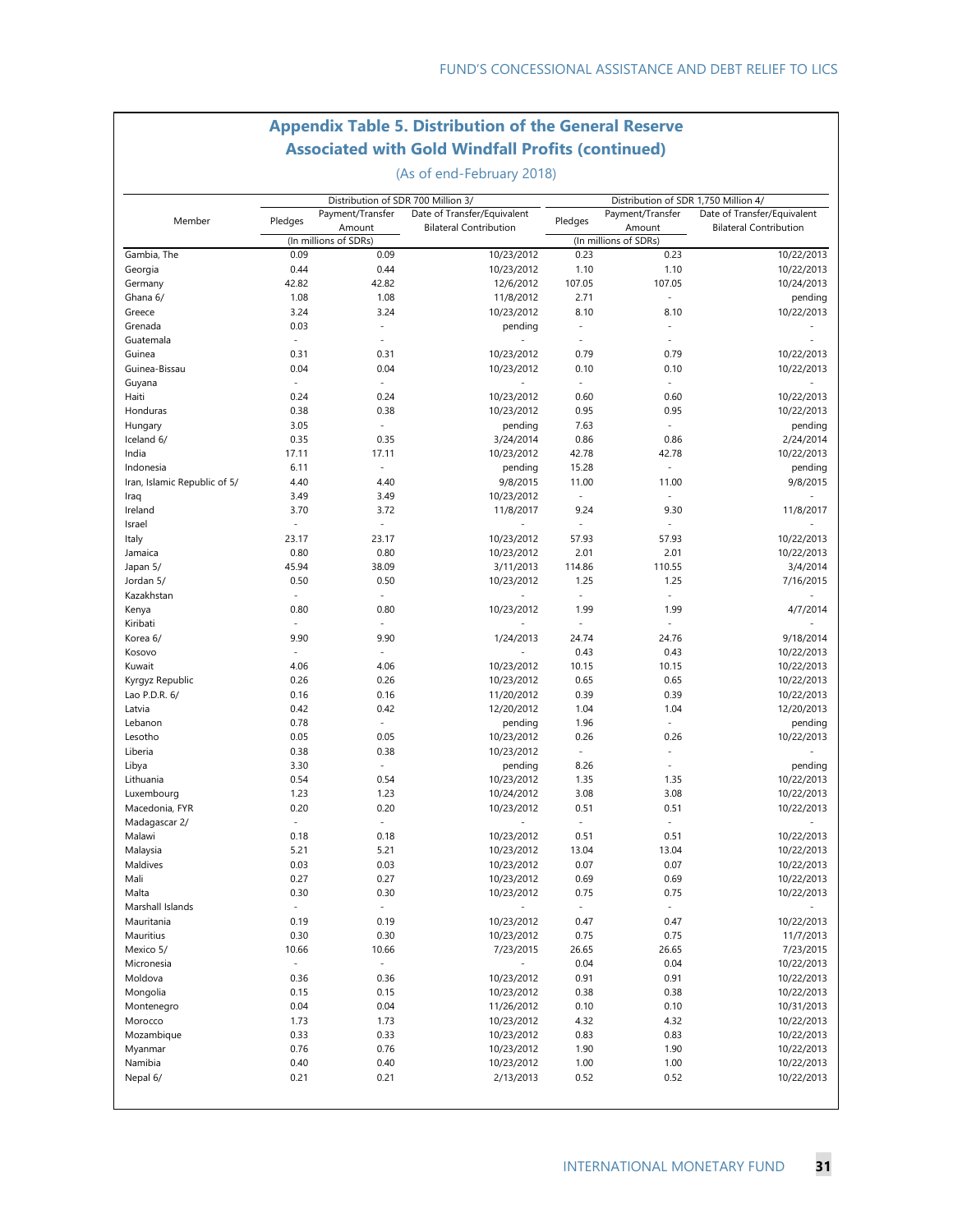### **Appendix Table 5. Distribution of the General Reserve Associated with Gold Windfall Profits (continued)**

(As of end-February 2018)

|                                  |                                  | Distribution of SDR 700 Million 3/ |                               |                          | Distribution of SDR 1,750 Million 4/ |                               |
|----------------------------------|----------------------------------|------------------------------------|-------------------------------|--------------------------|--------------------------------------|-------------------------------|
| Member                           | Pledges                          | Payment/Transfer                   | Date of Transfer/Equivalent   | Pledges                  | Payment/Transfer                     | Date of Transfer/Equivalent   |
|                                  |                                  | Amount                             | <b>Bilateral Contribution</b> |                          | Amount                               | <b>Bilateral Contribution</b> |
|                                  |                                  | (In millions of SDRs)              |                               |                          | (In millions of SDRs)                |                               |
| Gambia, The                      | 0.09                             | 0.09                               | 10/23/2012                    | 0.23                     | 0.23                                 | 10/22/2013                    |
| Georgia                          | 0.44                             | 0.44                               | 10/23/2012                    | 1.10                     | 1.10                                 | 10/22/2013                    |
| Germany                          | 42.82                            | 42.82                              | 12/6/2012                     | 107.05                   | 107.05                               | 10/24/2013                    |
| Ghana 6/                         | 1.08                             | 1.08                               | 11/8/2012                     | 2.71                     | $\overline{\phantom{a}}$             | pending                       |
| Greece                           | 3.24                             | 3.24                               | 10/23/2012                    | 8.10                     | 8.10                                 | 10/22/2013                    |
| Grenada                          | 0.03                             | $\overline{a}$                     | pending                       | $\overline{\phantom{a}}$ | $\overline{a}$                       |                               |
| Guatemala                        | $\overline{\phantom{a}}$         | $\overline{a}$                     |                               | $\overline{a}$           | $\overline{a}$                       |                               |
| Guinea                           | 0.31                             | 0.31                               | 10/23/2012                    | 0.79                     | 0.79                                 | 10/22/2013                    |
| Guinea-Bissau                    | 0.04                             | 0.04                               | 10/23/2012                    | 0.10                     | 0.10                                 | 10/22/2013                    |
| Guyana                           | $\overline{\phantom{a}}$         | $\overline{\phantom{a}}$           | $\frac{1}{2}$                 | $\overline{\phantom{a}}$ | $\overline{\phantom{a}}$             |                               |
| Haiti                            | 0.24                             | 0.24                               | 10/23/2012                    | 0.60                     | 0.60                                 | 10/22/2013                    |
| Honduras                         | 0.38                             | 0.38                               | 10/23/2012                    | 0.95                     | 0.95                                 | 10/22/2013                    |
| Hungary                          | 3.05                             | $\overline{\phantom{a}}$           | pending                       | 7.63                     | $\blacksquare$                       | pending                       |
| Iceland 6/                       | 0.35                             | 0.35                               | 3/24/2014                     | 0.86                     | 0.86                                 | 2/24/2014                     |
| India                            | 17.11                            | 17.11                              | 10/23/2012                    | 42.78                    | 42.78                                | 10/22/2013                    |
| Indonesia                        | 6.11                             | $\overline{\phantom{a}}$           | pending                       | 15.28                    | $\overline{\phantom{a}}$             | pending                       |
| Iran, Islamic Republic of 5/     | 4.40                             | 4.40                               | 9/8/2015                      | 11.00                    | 11.00                                | 9/8/2015                      |
| Iraq                             | 3.49                             | 3.49                               | 10/23/2012                    | $\overline{a}$           | ÷,                                   |                               |
| Ireland                          | 3.70                             | 3.72                               | 11/8/2017                     | 9.24<br>÷,               | 9.30                                 | 11/8/2017                     |
| Israel                           | $\overline{\phantom{a}}$         | $\overline{\phantom{a}}$           |                               |                          | $\overline{a}$                       |                               |
| Italy                            | 23.17                            | 23.17                              | 10/23/2012                    | 57.93                    | 57.93                                | 10/22/2013                    |
| Jamaica                          | 0.80<br>45.94                    | 0.80                               | 10/23/2012                    | 2.01                     | 2.01<br>110.55                       | 10/22/2013                    |
| Japan 5/                         |                                  | 38.09                              | 3/11/2013                     | 114.86                   |                                      | 3/4/2014                      |
| Jordan 5/                        | 0.50                             | 0.50                               | 10/23/2012                    | 1.25                     | 1.25<br>$\overline{a}$               | 7/16/2015                     |
| Kazakhstan                       | $\overline{\phantom{a}}$         | $\overline{\phantom{a}}$           |                               | ÷                        |                                      |                               |
| Kenya                            | 0.80<br>$\overline{\phantom{a}}$ | 0.80<br>$\overline{\phantom{a}}$   | 10/23/2012                    | 1.99<br>$\overline{a}$   | 1.99<br>$\overline{a}$               | 4/7/2014                      |
| Kiribati                         |                                  |                                    |                               |                          |                                      |                               |
| Korea 6/<br>Kosovo               | 9.90<br>$\overline{a}$           | 9.90<br>$\overline{a}$             | 1/24/2013                     | 24.74<br>0.43            | 24.76<br>0.43                        | 9/18/2014                     |
| Kuwait                           | 4.06                             | 4.06                               | 10/23/2012                    | 10.15                    | 10.15                                | 10/22/2013<br>10/22/2013      |
|                                  | 0.26                             | 0.26                               | 10/23/2012                    | 0.65                     | 0.65                                 | 10/22/2013                    |
| Kyrgyz Republic<br>Lao P.D.R. 6/ | 0.16                             | 0.16                               | 11/20/2012                    | 0.39                     | 0.39                                 | 10/22/2013                    |
| Latvia                           | 0.42                             | 0.42                               | 12/20/2012                    | 1.04                     | 1.04                                 | 12/20/2013                    |
| Lebanon                          | 0.78                             | $\overline{a}$                     | pending                       | 1.96                     | $\overline{a}$                       | pending                       |
| Lesotho                          | 0.05                             | 0.05                               | 10/23/2012                    | 0.26                     | 0.26                                 | 10/22/2013                    |
| Liberia                          | 0.38                             | 0.38                               | 10/23/2012                    | $\bar{\phantom{a}}$      | $\blacksquare$                       |                               |
| Libya                            | 3.30                             | $\overline{\phantom{a}}$           | pending                       | 8.26                     | ÷,                                   | pending                       |
| Lithuania                        | 0.54                             | 0.54                               | 10/23/2012                    | 1.35                     | 1.35                                 | 10/22/2013                    |
| Luxembourg                       | 1.23                             | 1.23                               | 10/24/2012                    | 3.08                     | 3.08                                 | 10/22/2013                    |
| Macedonia, FYR                   | 0.20                             | 0.20                               | 10/23/2012                    | 0.51                     | 0.51                                 | 10/22/2013                    |
| Madagascar 2/                    | $\overline{a}$                   | $\overline{a}$                     | L                             | ÷                        | $\overline{a}$                       |                               |
| Malawi                           | 0.18                             | 0.18                               | 10/23/2012                    | 0.51                     | 0.51                                 | 10/22/2013                    |
| Malaysia                         | 5.21                             | 5.21                               | 10/23/2012                    | 13.04                    | 13.04                                | 10/22/2013                    |
| Maldives                         | 0.03                             | 0.03                               | 10/23/2012                    | 0.07                     | 0.07                                 | 10/22/2013                    |
| Mali                             | 0.27                             | 0.27                               | 10/23/2012                    | 0.69                     | 0.69                                 | 10/22/2013                    |
| Malta                            | 0.30                             | 0.30                               | 10/23/2012                    | 0.75                     | 0.75                                 | 10/22/2013                    |
| Marshall Islands                 | $\overline{\phantom{a}}$         | $\overline{\phantom{a}}$           |                               | $\overline{\phantom{a}}$ | $\overline{\phantom{a}}$             |                               |
| Mauritania                       | 0.19                             | 0.19                               | 10/23/2012                    | 0.47                     | 0.47                                 | 10/22/2013                    |
| Mauritius                        | 0.30                             | 0.30                               | 10/23/2012                    | 0.75                     | 0.75                                 | 11/7/2013                     |
| Mexico 5/                        | 10.66                            | 10.66                              | 7/23/2015                     | 26.65                    | 26.65                                | 7/23/2015                     |
| Micronesia                       | $\overline{\phantom{a}}$         | $\overline{\phantom{a}}$           |                               | 0.04                     | 0.04                                 | 10/22/2013                    |
| Moldova                          | 0.36                             | 0.36                               | 10/23/2012                    | 0.91                     | 0.91                                 | 10/22/2013                    |
| Mongolia                         | 0.15                             | 0.15                               | 10/23/2012                    | 0.38                     | 0.38                                 | 10/22/2013                    |
| Montenegro                       | 0.04                             | 0.04                               | 11/26/2012                    | 0.10                     | 0.10                                 | 10/31/2013                    |
| Morocco                          | 1.73                             | 1.73                               | 10/23/2012                    | 4.32                     | 4.32                                 | 10/22/2013                    |
| Mozambique                       | 0.33                             | 0.33                               | 10/23/2012                    | 0.83                     | 0.83                                 | 10/22/2013                    |
| Myanmar                          | 0.76                             | 0.76                               | 10/23/2012                    | 1.90                     | 1.90                                 | 10/22/2013                    |
| Namibia                          | 0.40                             | 0.40                               | 10/23/2012                    | 1.00                     | 1.00                                 | 10/22/2013                    |
| Nepal 6/                         | 0.21                             | 0.21                               | 2/13/2013                     | 0.52                     | 0.52                                 | 10/22/2013                    |
|                                  |                                  |                                    |                               |                          |                                      |                               |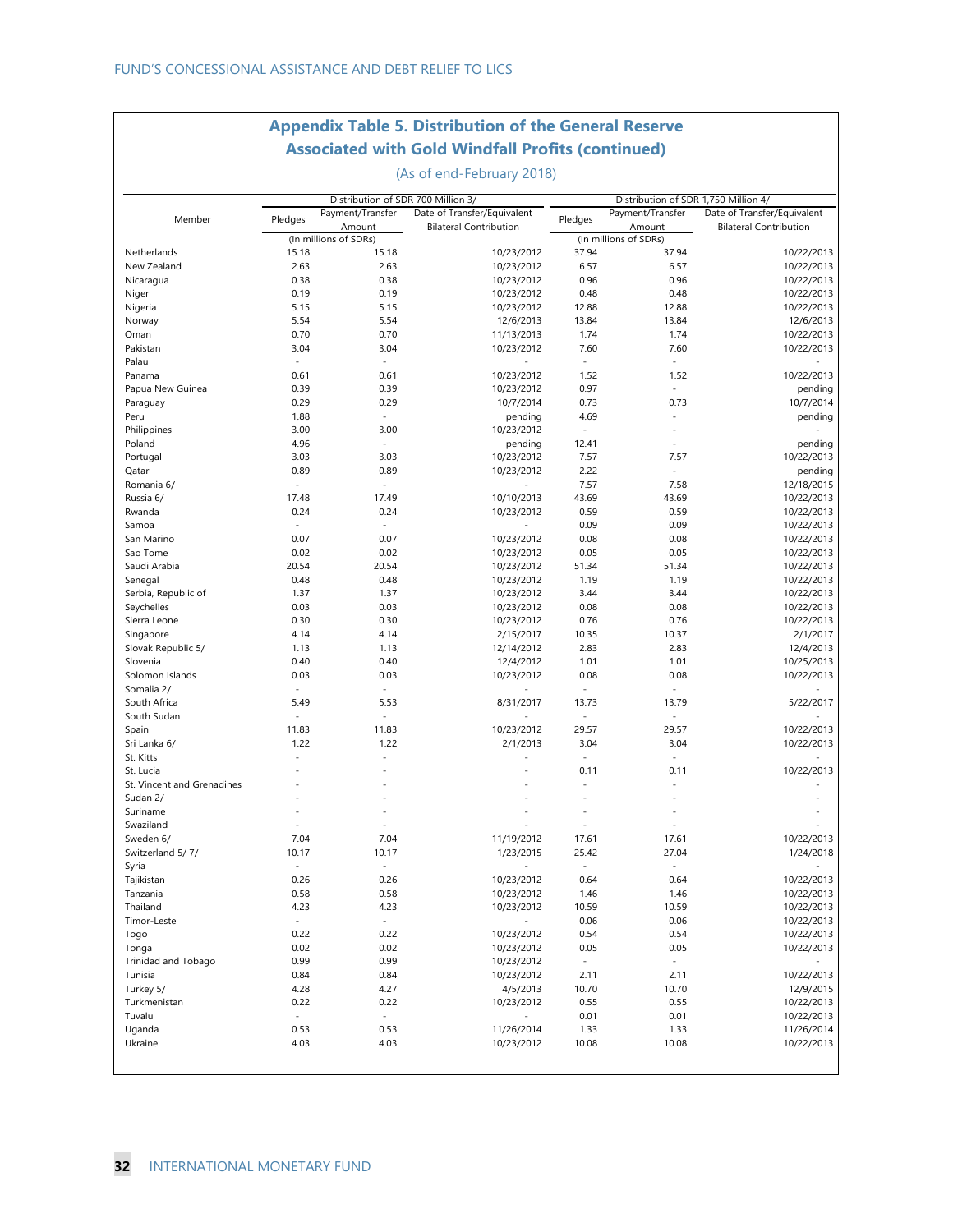### **Appendix Table 5. Distribution of the General Reserve Associated with Gold Windfall Profits (continued)**

(As of end-February 2018)

| Member                     | Pledges                  | Distribution of SDR 700 Million 3/<br>Payment/Transfer |                               |                          | Distribution of SDR 1,750 Million 4/ |                               |
|----------------------------|--------------------------|--------------------------------------------------------|-------------------------------|--------------------------|--------------------------------------|-------------------------------|
|                            |                          |                                                        | Date of Transfer/Equivalent   | Pledges                  | Payment/Transfer                     | Date of Transfer/Equivalent   |
|                            |                          | Amount                                                 | <b>Bilateral Contribution</b> |                          | Amount                               | <b>Bilateral Contribution</b> |
| Netherlands                | 15.18                    | (In millions of SDRs)<br>15.18                         | 10/23/2012                    | 37.94                    | (In millions of SDRs)<br>37.94       | 10/22/2013                    |
| New Zealand                | 2.63                     | 2.63                                                   | 10/23/2012                    | 6.57                     | 6.57                                 | 10/22/2013                    |
| Nicaragua                  | 0.38                     | 0.38                                                   | 10/23/2012                    | 0.96                     | 0.96                                 | 10/22/2013                    |
| Niger                      | 0.19                     | 0.19                                                   | 10/23/2012                    | 0.48                     | 0.48                                 | 10/22/2013                    |
|                            | 5.15                     | 5.15                                                   | 10/23/2012                    | 12.88                    | 12.88                                | 10/22/2013                    |
| Nigeria                    | 5.54                     | 5.54                                                   |                               | 13.84                    | 13.84                                | 12/6/2013                     |
| Norway<br>Oman             | 0.70                     | 0.70                                                   | 12/6/2013                     | 1.74                     | 1.74                                 | 10/22/2013                    |
|                            |                          |                                                        | 11/13/2013                    |                          |                                      |                               |
| Pakistan                   | 3.04<br>$\sim$           | 3.04<br>$\sim$                                         | 10/23/2012                    | 7.60<br>$\sim$           | 7.60<br>$\sim$                       | 10/22/2013                    |
| Palau                      |                          |                                                        |                               |                          |                                      |                               |
| Panama                     | 0.61                     | 0.61                                                   | 10/23/2012                    | 1.52                     | 1.52                                 | 10/22/2013                    |
| Papua New Guinea           | 0.39                     | 0.39                                                   | 10/23/2012                    | 0.97                     | ÷,                                   | pending                       |
| Paraguay                   | 0.29                     | 0.29                                                   | 10/7/2014                     | 0.73                     | 0.73                                 | 10/7/2014                     |
| Peru                       | 1.88                     | $\sim$                                                 | pending                       | 4.69                     |                                      | pending                       |
| Philippines                | 3.00                     | 3.00                                                   | 10/23/2012                    | $\overline{\phantom{a}}$ | $\overline{a}$                       |                               |
| Poland                     | 4.96                     | $\sim$                                                 | pending                       | 12.41                    | $\overline{a}$                       | pending                       |
| Portugal                   | 3.03                     | 3.03                                                   | 10/23/2012                    | 7.57                     | 7.57                                 | 10/22/2013                    |
| Qatar                      | 0.89                     | 0.89                                                   | 10/23/2012                    | 2.22                     | $\sim$                               | pending                       |
| Romania 6/                 | $\frac{1}{\sqrt{2}}$     | $\sim$                                                 |                               | 7.57                     | 7.58                                 | 12/18/2015                    |
| Russia 6/                  | 17.48                    | 17.49                                                  | 10/10/2013                    | 43.69                    | 43.69                                | 10/22/2013                    |
| Rwanda                     | 0.24                     | 0.24                                                   | 10/23/2012                    | 0.59                     | 0.59                                 | 10/22/2013                    |
| Samoa                      | $\overline{\phantom{a}}$ | $\sim$                                                 |                               | 0.09                     | 0.09                                 | 10/22/2013                    |
| San Marino                 | 0.07                     | 0.07                                                   | 10/23/2012                    | 0.08                     | 0.08                                 | 10/22/2013                    |
| Sao Tome                   | 0.02                     | 0.02                                                   | 10/23/2012                    | 0.05                     | 0.05                                 | 10/22/2013                    |
| Saudi Arabia               | 20.54                    | 20.54                                                  | 10/23/2012                    | 51.34                    | 51.34                                | 10/22/2013                    |
| Senegal                    | 0.48                     | 0.48                                                   | 10/23/2012                    | 1.19                     | 1.19                                 | 10/22/2013                    |
| Serbia, Republic of        | 1.37                     | 1.37                                                   | 10/23/2012                    | 3.44                     | 3.44                                 | 10/22/2013                    |
| Seychelles                 | 0.03                     | 0.03                                                   | 10/23/2012                    | 0.08                     | 0.08                                 | 10/22/2013                    |
| Sierra Leone               | 0.30                     | 0.30                                                   | 10/23/2012                    | 0.76                     | 0.76                                 | 10/22/2013                    |
| Singapore                  | 4.14                     | 4.14                                                   | 2/15/2017                     | 10.35                    | 10.37                                | 2/1/2017                      |
| Slovak Republic 5/         | 1.13                     | 1.13                                                   | 12/14/2012                    | 2.83                     | 2.83                                 | 12/4/2013                     |
| Slovenia                   | 0.40                     | 0.40                                                   | 12/4/2012                     | 1.01                     | 1.01                                 | 10/25/2013                    |
| Solomon Islands            | 0.03                     | 0.03                                                   | 10/23/2012                    | 0.08                     | 0.08                                 | 10/22/2013                    |
| Somalia 2/                 | $\ddot{\phantom{a}}$     | $\sim$                                                 |                               | $\bar{\phantom{a}}$      | $\sim$                               |                               |
| South Africa               | 5.49                     | 5.53                                                   | 8/31/2017                     | 13.73                    | 13.79                                | 5/22/2017                     |
| South Sudan                | $\overline{\phantom{a}}$ | $\sim$                                                 |                               | ÷,                       | $\sim$                               |                               |
|                            | 11.83                    | 11.83                                                  | 10/23/2012                    | 29.57                    | 29.57                                | 10/22/2013                    |
| Spain                      | 1.22                     | 1.22                                                   |                               | 3.04                     | 3.04                                 |                               |
| Sri Lanka 6/               |                          |                                                        | 2/1/2013                      |                          |                                      | 10/22/2013                    |
| St. Kitts                  |                          |                                                        |                               | $\bar{\phantom{a}}$      | $\bar{z}$                            |                               |
| St. Lucia                  |                          |                                                        |                               | 0.11                     | 0.11                                 | 10/22/2013                    |
| St. Vincent and Grenadines |                          |                                                        |                               | L.                       | $\ddot{\phantom{1}}$                 |                               |
| Sudan 2/                   |                          |                                                        |                               |                          |                                      |                               |
| Suriname                   |                          |                                                        |                               |                          |                                      |                               |
| Swaziland                  |                          |                                                        |                               |                          |                                      |                               |
| Sweden 6/                  | 7.04                     | 7.04                                                   | 11/19/2012                    | 17.61                    | 17.61                                | 10/22/2013                    |
| Switzerland 5/7/           | 10.17                    | 10.17                                                  | 1/23/2015                     | 25.42                    | 27.04                                | 1/24/2018                     |
| Syria                      | $\frac{1}{\sqrt{2}}$     | $\sim$                                                 |                               |                          | $\ddot{\phantom{0}}$                 |                               |
| Tajikistan                 | 0.26                     | 0.26                                                   | 10/23/2012                    | 0.64                     | 0.64                                 | 10/22/2013                    |
| Tanzania                   | 0.58                     | 0.58                                                   | 10/23/2012                    | 1.46                     | 1.46                                 | 10/22/2013                    |
| Thailand                   | 4.23                     | 4.23                                                   | 10/23/2012                    | 10.59                    | 10.59                                | 10/22/2013                    |
| Timor-Leste                | $\omega_{\rm c}$         | $\blacksquare$                                         |                               | 0.06                     | 0.06                                 | 10/22/2013                    |
| Togo                       | 0.22                     | 0.22                                                   | 10/23/2012                    | 0.54                     | 0.54                                 | 10/22/2013                    |
| Tonga                      | 0.02                     | 0.02                                                   | 10/23/2012                    | 0.05                     | 0.05                                 | 10/22/2013                    |
| Trinidad and Tobago        | 0.99                     | 0.99                                                   | 10/23/2012                    | $\sim$                   | $\blacksquare$                       |                               |
| Tunisia                    | 0.84                     | 0.84                                                   | 10/23/2012                    | 2.11                     | 2.11                                 | 10/22/2013                    |
| Turkey 5/                  | 4.28                     | 4.27                                                   | 4/5/2013                      | 10.70                    | 10.70                                | 12/9/2015                     |
| Turkmenistan               | 0.22                     | 0.22                                                   | 10/23/2012                    | 0.55                     | 0.55                                 | 10/22/2013                    |
| Tuvalu                     | $\omega$                 | $\omega$                                               |                               | 0.01                     | 0.01                                 | 10/22/2013                    |
|                            | 0.53                     | 0.53                                                   | 11/26/2014                    |                          | 1.33                                 |                               |
| Uganda                     |                          |                                                        |                               | 1.33                     |                                      | 11/26/2014                    |
| Ukraine                    | 4.03                     | 4.03                                                   | 10/23/2012                    | 10.08                    | 10.08                                | 10/22/2013                    |
|                            |                          |                                                        |                               |                          |                                      |                               |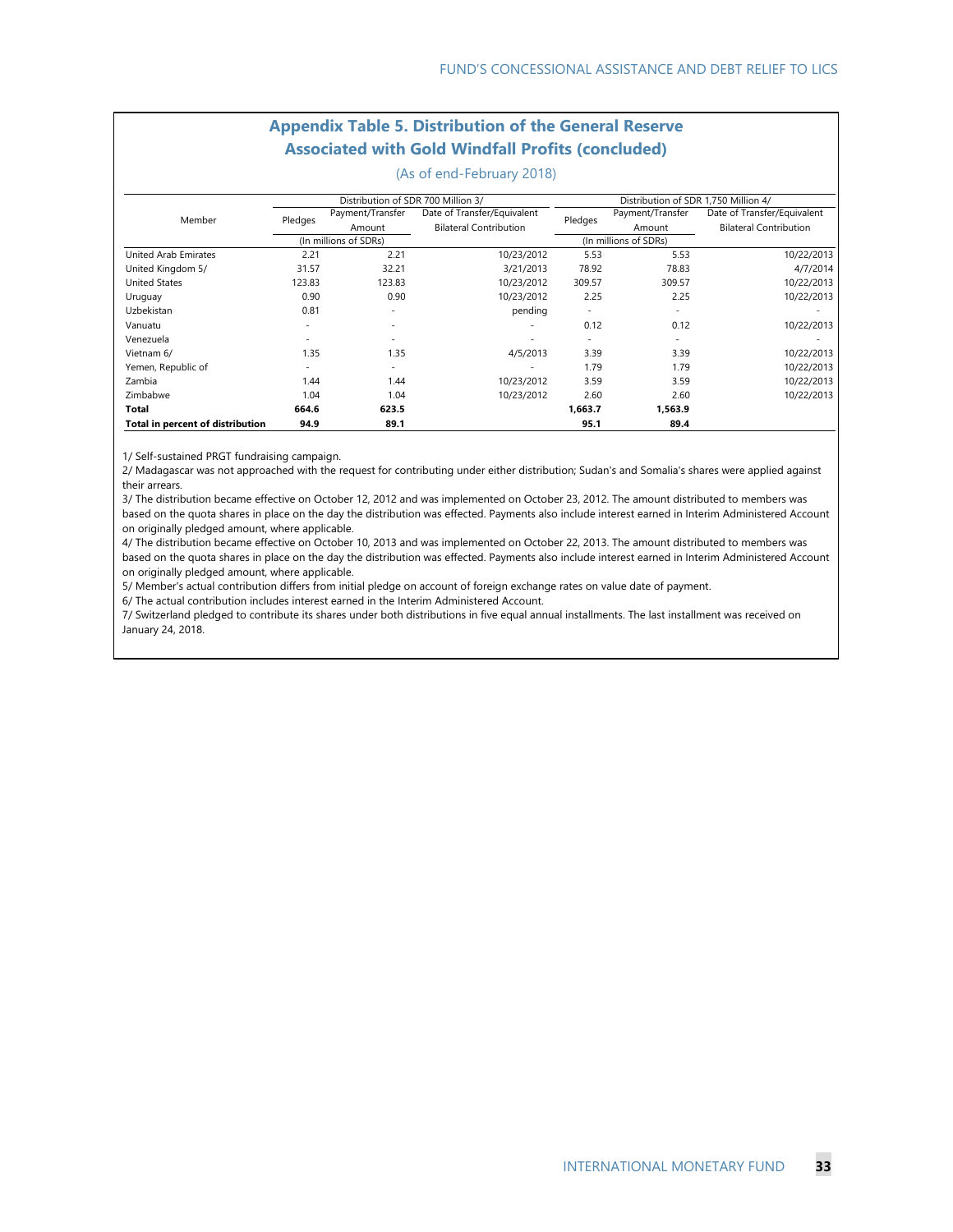#### **Appendix Table 5. Distribution of the General Reserve Associated with Gold Windfall Profits (concluded)**

(As of end-February 2018)

|                                  |         | Distribution of SDR 700 Million 3/ |                               |                          | Distribution of SDR 1,750 Million 4/ |                               |  |  |  |
|----------------------------------|---------|------------------------------------|-------------------------------|--------------------------|--------------------------------------|-------------------------------|--|--|--|
| Member                           | Pledges | Payment/Transfer                   | Date of Transfer/Equivalent   | Pledges                  | Payment/Transfer                     | Date of Transfer/Equivalent   |  |  |  |
|                                  |         | Amount                             | <b>Bilateral Contribution</b> |                          | Amount                               | <b>Bilateral Contribution</b> |  |  |  |
|                                  |         | (In millions of SDRs)              |                               |                          | (In millions of SDRs)                |                               |  |  |  |
| United Arab Emirates             | 2.21    | 2.21                               | 10/23/2012                    | 5.53                     | 5.53                                 | 10/22/2013                    |  |  |  |
| United Kingdom 5/                | 31.57   | 32.21                              | 3/21/2013                     | 78.92                    | 78.83                                | 4/7/2014                      |  |  |  |
| <b>United States</b>             | 123.83  | 123.83                             | 10/23/2012                    | 309.57                   | 309.57                               | 10/22/2013                    |  |  |  |
| Uruguay                          | 0.90    | 0.90                               | 10/23/2012                    | 2.25                     | 2.25                                 | 10/22/2013                    |  |  |  |
| Uzbekistan                       | 0.81    | $\sim$                             | pending                       | $\overline{\phantom{a}}$ | $\overline{\phantom{a}}$             |                               |  |  |  |
| Vanuatu                          | ۰       | $\sim$                             |                               | 0.12                     | 0.12                                 | 10/22/2013                    |  |  |  |
| Venezuela                        |         |                                    |                               |                          |                                      |                               |  |  |  |
| Vietnam 6/                       | 1.35    | 1.35                               | 4/5/2013                      | 3.39                     | 3.39                                 | 10/22/2013                    |  |  |  |
| Yemen, Republic of               |         | -                                  |                               | 1.79                     | 1.79                                 | 10/22/2013                    |  |  |  |
| Zambia                           | 1.44    | 1.44                               | 10/23/2012                    | 3.59                     | 3.59                                 | 10/22/2013                    |  |  |  |
| Zimbabwe                         | 1.04    | 1.04                               | 10/23/2012                    | 2.60                     | 2.60                                 | 10/22/2013                    |  |  |  |
| Total                            | 664.6   | 623.5                              |                               | 1,663.7                  | 1,563.9                              |                               |  |  |  |
| Total in percent of distribution | 94.9    | 89.1                               |                               | 95.1                     | 89.4                                 |                               |  |  |  |

1/ Self-sustained PRGT fundraising campaign.

2/ Madagascar was not approached with the request for contributing under either distribution; Sudan's and Somalia's shares were applied against their arrears.

3/ The distribution became effective on October 12, 2012 and was implemented on October 23, 2012. The amount distributed to members was based on the quota shares in place on the day the distribution was effected. Payments also include interest earned in Interim Administered Account on originally pledged amount, where applicable.

4/ The distribution became effective on October 10, 2013 and was implemented on October 22, 2013. The amount distributed to members was based on the quota shares in place on the day the distribution was effected. Payments also include interest earned in Interim Administered Account on originally pledged amount, where applicable.

5/ Member's actual contribution differs from initial pledge on account of foreign exchange rates on value date of payment.

6/ The actual contribution includes interest earned in the Interim Administered Account.

7/ Switzerland pledged to contribute its shares under both distributions in five equal annual installments. The last installment was received on January 24, 2018.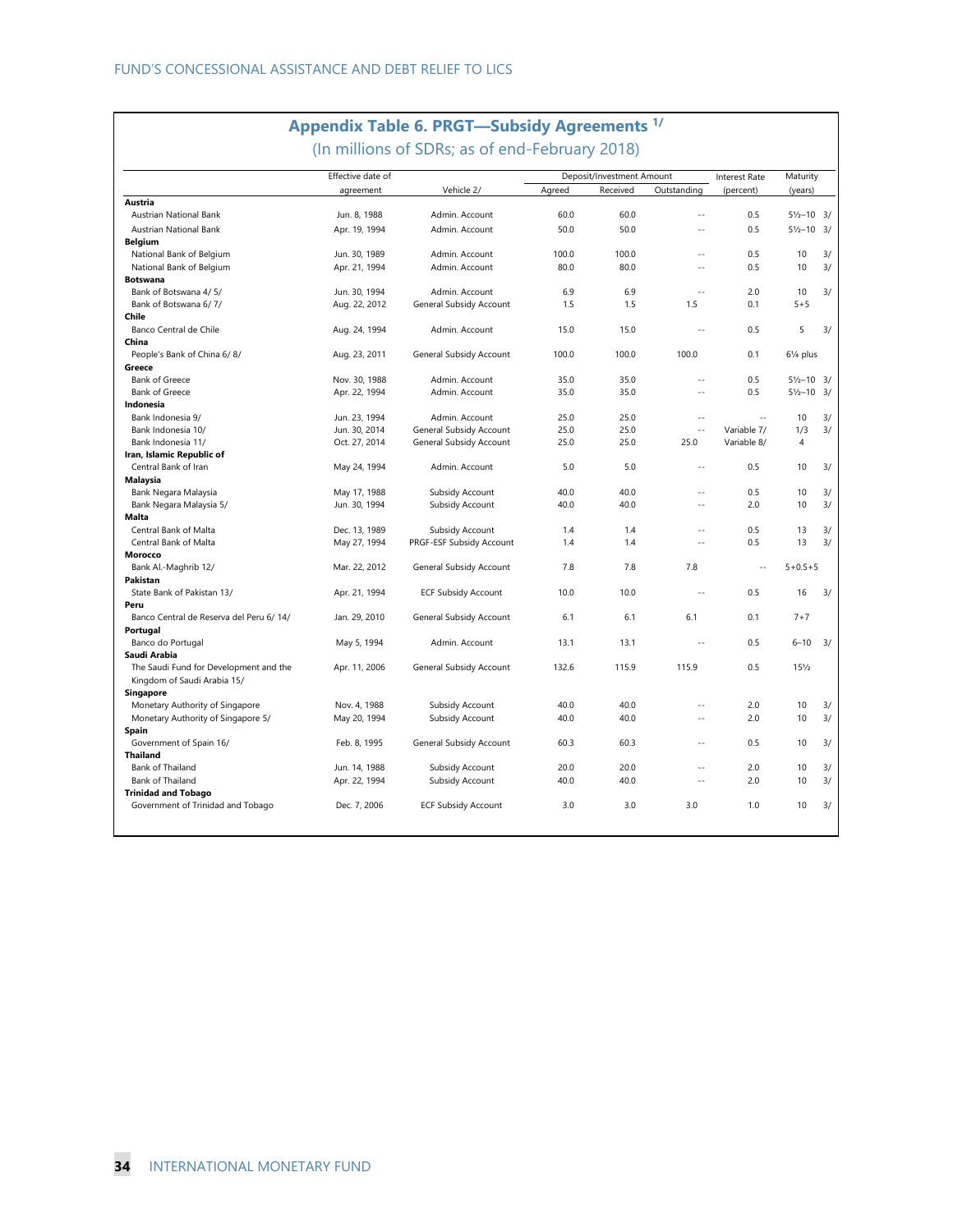## **Appendix Table 6. PRGT—Subsidy Agreements 1/**

(In millions of SDRs; as of end-February 2018)

|                                         | Effective date of |                            |        | Deposit/Investment Amount |               | <b>Interest Rate</b> | Maturity               |    |
|-----------------------------------------|-------------------|----------------------------|--------|---------------------------|---------------|----------------------|------------------------|----|
|                                         | agreement         | Vehicle 2/                 | Agreed | Received                  | Outstanding   | (percent)            | (years)                |    |
| Austria                                 |                   |                            |        |                           |               |                      |                        |    |
| Austrian National Bank                  | Jun. 8, 1988      | Admin. Account             | 60.0   | 60.0                      | $\sim$        | 0.5                  | $5\frac{1}{2} - 10$ 3/ |    |
| Austrian National Bank                  | Apr. 19, 1994     | Admin. Account             | 50.0   | 50.0                      | $\sim$        | 0.5                  | $5\frac{1}{2} - 10$ 3/ |    |
| <b>Belgium</b>                          |                   |                            |        |                           |               |                      |                        |    |
| National Bank of Belgium                | Jun. 30, 1989     | Admin. Account             | 100.0  | 100.0                     | ÷.            | 0.5                  | 10                     | 3/ |
| National Bank of Belgium                | Apr. 21, 1994     | Admin. Account             | 80.0   | 80.0                      | $\sim$ $\sim$ | 0.5                  | 10                     | 3/ |
| <b>Botswana</b>                         |                   |                            |        |                           |               |                      |                        |    |
| Bank of Botswana 4/5/                   | Jun. 30, 1994     | Admin, Account             | 6.9    | 6.9                       | ÷.            | 2.0                  | 10                     | 3/ |
| Bank of Botswana 6/7/                   | Aug. 22, 2012     | General Subsidy Account    | 1.5    | 1.5                       | 1.5           | 0.1                  | $5 + 5$                |    |
| Chile                                   |                   |                            |        |                           |               |                      |                        |    |
| Banco Central de Chile                  | Aug. 24, 1994     | Admin, Account             | 15.0   | 15.0                      | ÷.            | 0.5                  | 5                      | 3/ |
| China                                   |                   |                            |        |                           |               |                      |                        |    |
| People's Bank of China 6/8/             | Aug. 23, 2011     | General Subsidy Account    | 100.0  | 100.0                     | 100.0         | 0.1                  | 61/ <sub>4</sub> plus  |    |
| Greece                                  |                   |                            |        |                           |               |                      |                        |    |
| <b>Bank of Greece</b>                   | Nov. 30, 1988     | Admin. Account             | 35.0   | 35.0                      | $\sim$        | 0.5                  | $5\frac{1}{2} - 10$ 3/ |    |
| <b>Bank of Greece</b>                   | Apr. 22, 1994     | Admin. Account             | 35.0   | 35.0                      | $\sim$ $\sim$ | 0.5                  | $5\frac{1}{2} - 10$ 3/ |    |
| Indonesia                               |                   |                            |        |                           |               |                      |                        |    |
| Bank Indonesia 9/                       | Jun. 23, 1994     | Admin. Account             | 25.0   | 25.0                      | $\sim$ $\sim$ | $\sim$               | 10                     | 3/ |
| Bank Indonesia 10/                      | Jun. 30, 2014     | General Subsidy Account    | 25.0   | 25.0                      | $\sim$        | Variable 7/          | 1/3                    | 3/ |
|                                         |                   |                            | 25.0   | 25.0                      |               |                      | 4                      |    |
| Bank Indonesia 11/                      | Oct. 27, 2014     | General Subsidy Account    |        |                           | 25.0          | Variable 8/          |                        |    |
| Iran, Islamic Republic of               |                   |                            |        |                           | $\sim$        |                      |                        |    |
| Central Bank of Iran                    | May 24, 1994      | Admin. Account             | 5.0    | 5.0                       |               | 0.5                  | 10                     | 3/ |
| <b>Malaysia</b>                         |                   |                            |        |                           |               |                      |                        |    |
| Bank Negara Malaysia                    | May 17, 1988      | Subsidy Account            | 40.0   | 40.0                      | $\sim$        | 0.5                  | 10                     | 3/ |
| Bank Negara Malaysia 5/                 | Jun. 30, 1994     | Subsidy Account            | 40.0   | 40.0                      | $\sim$        | 2.0                  | 10                     | 3/ |
| <b>Malta</b>                            |                   |                            |        |                           |               |                      |                        |    |
| Central Bank of Malta                   | Dec. 13, 1989     | Subsidy Account            | 1.4    | 1.4                       | $\sim$        | 0.5                  | 13                     | 3/ |
| Central Bank of Malta                   | May 27, 1994      | PRGF-ESF Subsidy Account   | 1.4    | 1.4                       | $\sim$        | 0.5                  | 13                     | 3/ |
| Morocco                                 |                   |                            |        |                           |               |                      |                        |    |
| Bank Al.-Maghrib 12/                    | Mar. 22, 2012     | General Subsidy Account    | 7.8    | 7.8                       | 7.8           | ÷.                   | $5 + 0.5 + 5$          |    |
| Pakistan                                |                   |                            |        |                           |               |                      |                        |    |
| State Bank of Pakistan 13/              | Apr. 21, 1994     | <b>ECF Subsidy Account</b> | 10.0   | 10.0                      | ш.            | 0.5                  | 16                     | 3/ |
| Peru                                    |                   |                            |        |                           |               |                      |                        |    |
| Banco Central de Reserva del Peru 6/14/ | Jan. 29, 2010     | General Subsidy Account    | 6.1    | 6.1                       | 6.1           | 0.1                  | $7 + 7$                |    |
| Portugal                                |                   |                            |        |                           |               |                      |                        |    |
| Banco do Portugal                       | May 5, 1994       | Admin, Account             | 13.1   | 13.1                      | $\sim$        | 0.5                  | $6 - 10$               | 3/ |
| Saudi Arabia                            |                   |                            |        |                           |               |                      |                        |    |
| The Saudi Fund for Development and the  | Apr. 11, 2006     | General Subsidy Account    | 132.6  | 115.9                     | 115.9         | 0.5                  | $15\frac{1}{2}$        |    |
| Kingdom of Saudi Arabia 15/             |                   |                            |        |                           |               |                      |                        |    |
| Singapore                               |                   |                            |        |                           |               |                      |                        |    |
| Monetary Authority of Singapore         | Nov. 4, 1988      | Subsidy Account            | 40.0   | 40.0                      | $\sim$        | 2.0                  | 10                     | 3/ |
| Monetary Authority of Singapore 5/      | May 20, 1994      | Subsidy Account            | 40.0   | 40.0                      | $\sim$        | 2.0                  | 10                     | 3/ |
| Spain                                   |                   |                            |        |                           |               |                      |                        |    |
| Government of Spain 16/                 | Feb. 8, 1995      | General Subsidy Account    | 60.3   | 60.3                      | $\sim$ $\sim$ | 0.5                  | 10                     | 3/ |
| <b>Thailand</b>                         |                   |                            |        |                           |               |                      |                        |    |
| Bank of Thailand                        | Jun. 14, 1988     | Subsidy Account            | 20.0   | 20.0                      | ш.            | 2.0                  | 10                     | 3/ |
| Bank of Thailand                        | Apr. 22, 1994     | Subsidy Account            | 40.0   | 40.0                      | $\sim$        | 2.0                  | 10                     | 3/ |
| <b>Trinidad and Tobago</b>              |                   |                            |        |                           |               |                      |                        |    |
|                                         |                   |                            |        |                           |               |                      |                        |    |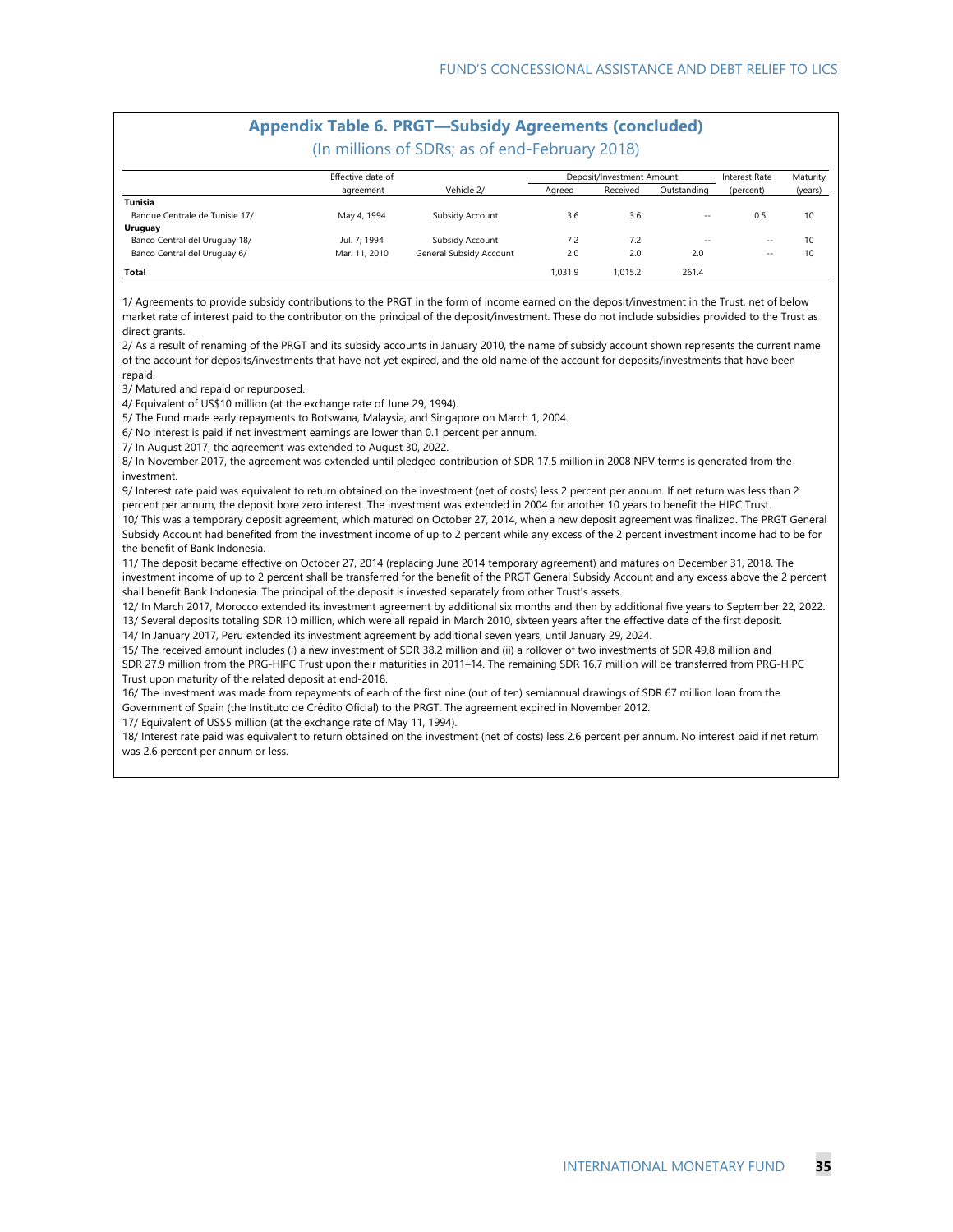## **Appendix Table 6. PRGT—Subsidy Agreements (concluded)**

(In millions of SDRs; as of end-February 2018)

|                                | Effective date of | Deposit/Investment Amount |         |          |               | Interest Rate | Maturity |  |
|--------------------------------|-------------------|---------------------------|---------|----------|---------------|---------------|----------|--|
|                                | agreement         | Vehicle 2/                | Agreed  | Received | Outstanding   | (percent)     | (years)  |  |
| Tunisia                        |                   |                           |         |          |               |               |          |  |
| Banque Centrale de Tunisie 17/ | May 4, 1994       | Subsidy Account           | 3.6     | 3.6      | $\sim$ $\sim$ | 0.5           | 10       |  |
| Uruguay                        |                   |                           |         |          |               |               |          |  |
| Banco Central del Uruguay 18/  | Jul. 7, 1994      | Subsidy Account           | 7.2     | 7.2      | $\sim$ $\sim$ | $-$           | 10       |  |
| Banco Central del Uruguay 6/   | Mar. 11, 2010     | General Subsidy Account   | 2.0     | 2.0      | 2.0           | $-$           | 10       |  |
| Total                          |                   |                           | 1.031.9 | 1.015.2  | 261.4         |               |          |  |

1/ Agreements to provide subsidy contributions to the PRGT in the form of income earned on the deposit/investment in the Trust, net of below market rate of interest paid to the contributor on the principal of the deposit/investment. These do not include subsidies provided to the Trust as direct grants.

2/ As a result of renaming of the PRGT and its subsidy accounts in January 2010, the name of subsidy account shown represents the current name of the account for deposits/investments that have not yet expired, and the old name of the account for deposits/investments that have been repaid.

3/ Matured and repaid or repurposed.

4/ Equivalent of US\$10 million (at the exchange rate of June 29, 1994).

5/ The Fund made early repayments to Botswana, Malaysia, and Singapore on March 1, 2004.

6/ No interest is paid if net investment earnings are lower than 0.1 percent per annum.

7/ In August 2017, the agreement was extended to August 30, 2022.

8/ In November 2017, the agreement was extended until pledged contribution of SDR 17.5 million in 2008 NPV terms is generated from the investment.

9/ Interest rate paid was equivalent to return obtained on the investment (net of costs) less 2 percent per annum. If net return was less than 2 percent per annum, the deposit bore zero interest. The investment was extended in 2004 for another 10 years to benefit the HIPC Trust.

10/ This was a temporary deposit agreement, which matured on October 27, 2014, when a new deposit agreement was finalized. The PRGT General Subsidy Account had benefited from the investment income of up to 2 percent while any excess of the 2 percent investment income had to be for the benefit of Bank Indonesia.

11/ The deposit became effective on October 27, 2014 (replacing June 2014 temporary agreement) and matures on December 31, 2018. The investment income of up to 2 percent shall be transferred for the benefit of the PRGT General Subsidy Account and any excess above the 2 percent shall benefit Bank Indonesia. The principal of the deposit is invested separately from other Trust's assets.

12/ In March 2017, Morocco extended its investment agreement by additional six months and then by additional five years to September 22, 2022. 13/ Several deposits totaling SDR 10 million, which were all repaid in March 2010, sixteen years after the effective date of the first deposit.

14/ In January 2017, Peru extended its investment agreement by additional seven years, until January 29, 2024.

15/ The received amount includes (i) a new investment of SDR 38.2 million and (ii) a rollover of two investments of SDR 49.8 million and SDR 27.9 million from the PRG-HIPC Trust upon their maturities in 2011–14. The remaining SDR 16.7 million will be transferred from PRG-HIPC Trust upon maturity of the related deposit at end-2018.

16/ The investment was made from repayments of each of the first nine (out of ten) semiannual drawings of SDR 67 million loan from the Government of Spain (the Instituto de Crédito Oficial) to the PRGT. The agreement expired in November 2012.

17/ Equivalent of US\$5 million (at the exchange rate of May 11, 1994).

18/ Interest rate paid was equivalent to return obtained on the investment (net of costs) less 2.6 percent per annum. No interest paid if net return was 2.6 percent per annum or less.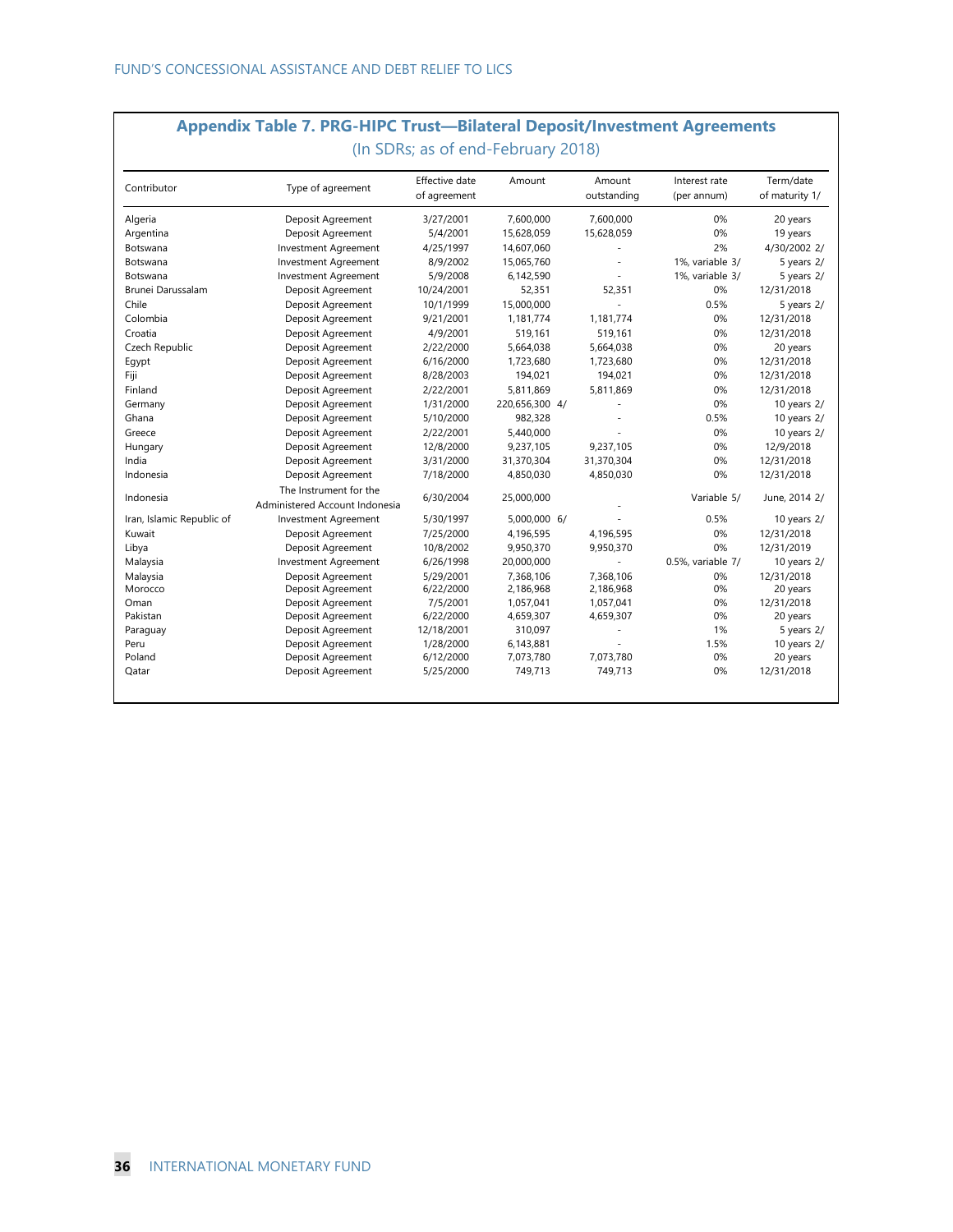| <b>Appendix Table 7. PRG-HIPC Trust—Bilateral Deposit/Investment Agreements</b> |  |
|---------------------------------------------------------------------------------|--|
| (In SDRs; as of end-February 2018)                                              |  |

| Contributor               | Type of agreement                                        | Effective date<br>of agreement | Amount         | Amount<br>outstanding | Interest rate<br>(per annum) | Term/date<br>of maturity 1/ |
|---------------------------|----------------------------------------------------------|--------------------------------|----------------|-----------------------|------------------------------|-----------------------------|
| Algeria                   | Deposit Agreement                                        | 3/27/2001                      | 7,600,000      | 7,600,000             | 0%                           | 20 years                    |
| Argentina                 | Deposit Agreement                                        | 5/4/2001                       | 15,628,059     | 15,628,059            | 0%                           | 19 years                    |
| Botswana                  | <b>Investment Agreement</b>                              | 4/25/1997                      | 14,607,060     |                       | 2%                           | 4/30/2002 2/                |
| Botswana                  | <b>Investment Agreement</b>                              | 8/9/2002                       | 15,065,760     |                       | 1%, variable 3/              | 5 years 2/                  |
| Botswana                  | <b>Investment Agreement</b>                              | 5/9/2008                       | 6,142,590      |                       | 1%, variable 3/              | 5 years 2/                  |
| Brunei Darussalam         | Deposit Agreement                                        | 10/24/2001                     | 52,351         | 52,351                | 0%                           | 12/31/2018                  |
| Chile                     | Deposit Agreement                                        | 10/1/1999                      | 15,000,000     |                       | 0.5%                         | 5 years 2/                  |
| Colombia                  | Deposit Agreement                                        | 9/21/2001                      | 1,181,774      | 1,181,774             | 0%                           | 12/31/2018                  |
| Croatia                   | Deposit Agreement                                        | 4/9/2001                       | 519,161        | 519,161               | 0%                           | 12/31/2018                  |
| Czech Republic            | Deposit Agreement                                        | 2/22/2000                      | 5,664,038      | 5,664,038             | 0%                           | 20 years                    |
| Egypt                     | Deposit Agreement                                        | 6/16/2000                      | 1,723,680      | 1,723,680             | 0%                           | 12/31/2018                  |
| Fiji                      | Deposit Agreement                                        | 8/28/2003                      | 194,021        | 194,021               | 0%                           | 12/31/2018                  |
| Finland                   | Deposit Agreement                                        | 2/22/2001                      | 5,811,869      | 5,811,869             | 0%                           | 12/31/2018                  |
| Germany                   | Deposit Agreement                                        | 1/31/2000                      | 220,656,300 4/ |                       | 0%                           | 10 years $2/$               |
| Ghana                     | Deposit Agreement                                        | 5/10/2000                      | 982,328        |                       | 0.5%                         | 10 years 2/                 |
| Greece                    | Deposit Agreement                                        | 2/22/2001                      | 5,440,000      |                       | 0%                           | 10 years $2/$               |
| Hungary                   | Deposit Agreement                                        | 12/8/2000                      | 9,237,105      | 9,237,105             | 0%                           | 12/9/2018                   |
| India                     | Deposit Agreement                                        | 3/31/2000                      | 31,370,304     | 31,370,304            | 0%                           | 12/31/2018                  |
| Indonesia                 | Deposit Agreement                                        | 7/18/2000                      | 4,850,030      | 4,850,030             | 0%                           | 12/31/2018                  |
| Indonesia                 | The Instrument for the<br>Administered Account Indonesia | 6/30/2004                      | 25,000,000     |                       | Variable 5/                  | June, 2014 2/               |
| Iran, Islamic Republic of | <b>Investment Agreement</b>                              | 5/30/1997                      | 5,000,000 6/   |                       | 0.5%                         | 10 years 2/                 |
| Kuwait                    | Deposit Agreement                                        | 7/25/2000                      | 4,196,595      | 4,196,595             | 0%                           | 12/31/2018                  |
| Libya                     | Deposit Agreement                                        | 10/8/2002                      | 9,950,370      | 9,950,370             | 0%                           | 12/31/2019                  |
| Malaysia                  | Investment Agreement                                     | 6/26/1998                      | 20,000,000     |                       | 0.5%, variable 7/            | 10 years $2/$               |
| Malaysia                  | Deposit Agreement                                        | 5/29/2001                      | 7,368,106      | 7,368,106             | 0%                           | 12/31/2018                  |
| Morocco                   | Deposit Agreement                                        | 6/22/2000                      | 2,186,968      | 2,186,968             | 0%                           | 20 years                    |
| Oman                      | Deposit Agreement                                        | 7/5/2001                       | 1,057,041      | 1,057,041             | 0%                           | 12/31/2018                  |
| Pakistan                  | Deposit Agreement                                        | 6/22/2000                      | 4,659,307      | 4,659,307             | 0%                           | 20 years                    |
| Paraguay                  | Deposit Agreement                                        | 12/18/2001                     | 310,097        |                       | 1%                           | 5 years 2/                  |
| Peru                      | Deposit Agreement                                        | 1/28/2000                      | 6,143,881      |                       | 1.5%                         | 10 years $2/$               |
| Poland                    | Deposit Agreement                                        | 6/12/2000                      | 7,073,780      | 7,073,780             | 0%                           | 20 years                    |
| Qatar                     | Deposit Agreement                                        | 5/25/2000                      | 749,713        | 749,713               | 0%                           | 12/31/2018                  |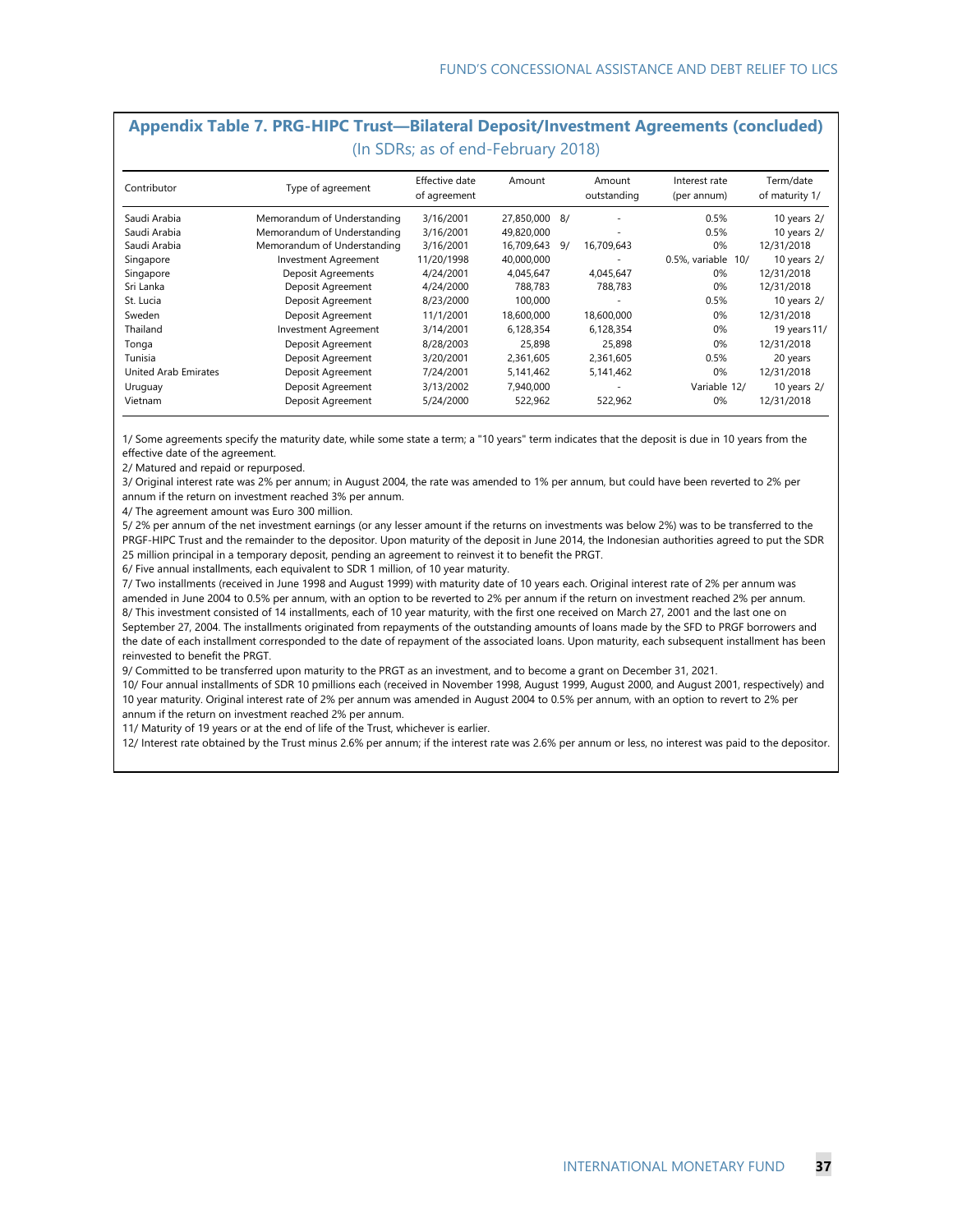#### **Appendix Table 7. PRG-HIPC Trust—Bilateral Deposit/Investment Agreements (concluded)**  (In SDRs; as of end-February 2018)

| Contributor          | Type of agreement           | Effective date<br>of agreement | Amount     |     | Amount<br>outstanding    | Interest rate<br>(per annum) | Term/date<br>of maturity 1/ |
|----------------------|-----------------------------|--------------------------------|------------|-----|--------------------------|------------------------------|-----------------------------|
| Saudi Arabia         | Memorandum of Understanding | 3/16/2001                      | 27.850.000 | -87 | ٠                        | 0.5%                         | 10 years 2/                 |
| Saudi Arabia         | Memorandum of Understanding | 3/16/2001                      | 49.820.000 |     | $\overline{\phantom{a}}$ | 0.5%                         | 10 years 2/                 |
| Saudi Arabia         | Memorandum of Understanding | 3/16/2001                      | 16.709.643 | 9/  | 16.709.643               | 0%                           | 12/31/2018                  |
| Singapore            | <b>Investment Agreement</b> | 11/20/1998                     | 40.000.000 |     | ٠                        | 0.5%, variable 10/           | 10 years $2/$               |
| Singapore            | Deposit Agreements          | 4/24/2001                      | 4.045.647  |     | 4,045,647                | 0%                           | 12/31/2018                  |
| Sri Lanka            | Deposit Agreement           | 4/24/2000                      | 788.783    |     | 788.783                  | 0%                           | 12/31/2018                  |
| St. Lucia            | Deposit Agreement           | 8/23/2000                      | 100,000    |     | ٠                        | 0.5%                         | 10 years $2/$               |
| Sweden               | Deposit Agreement           | 11/1/2001                      | 18,600,000 |     | 18,600,000               | 0%                           | 12/31/2018                  |
| Thailand             | Investment Agreement        | 3/14/2001                      | 6,128,354  |     | 6,128,354                | 0%                           | 19 years 11/                |
| Tonga                | Deposit Agreement           | 8/28/2003                      | 25,898     |     | 25,898                   | 0%                           | 12/31/2018                  |
| Tunisia              | Deposit Agreement           | 3/20/2001                      | 2,361,605  |     | 2,361,605                | 0.5%                         | 20 years                    |
| United Arab Emirates | Deposit Agreement           | 7/24/2001                      | 5,141,462  |     | 5,141,462                | 0%                           | 12/31/2018                  |
| Uruguay              | Deposit Agreement           | 3/13/2002                      | 7.940.000  |     | ۰                        | Variable 12/                 | 10 years $2/$               |
| Vietnam              | Deposit Agreement           | 5/24/2000                      | 522,962    |     | 522,962                  | 0%                           | 12/31/2018                  |

1/ Some agreements specify the maturity date, while some state a term; a "10 years" term indicates that the deposit is due in 10 years from the effective date of the agreement.

2/ Matured and repaid or repurposed.

3/ Original interest rate was 2% per annum; in August 2004, the rate was amended to 1% per annum, but could have been reverted to 2% per annum if the return on investment reached 3% per annum.

4/ The agreement amount was Euro 300 million.

5/ 2% per annum of the net investment earnings (or any lesser amount if the returns on investments was below 2%) was to be transferred to the PRGF-HIPC Trust and the remainder to the depositor. Upon maturity of the deposit in June 2014, the Indonesian authorities agreed to put the SDR 25 million principal in a temporary deposit, pending an agreement to reinvest it to benefit the PRGT.

6/ Five annual installments, each equivalent to SDR 1 million, of 10 year maturity.

7/ Two installments (received in June 1998 and August 1999) with maturity date of 10 years each. Original interest rate of 2% per annum was amended in June 2004 to 0.5% per annum, with an option to be reverted to 2% per annum if the return on investment reached 2% per annum. 8/ This investment consisted of 14 installments, each of 10 year maturity, with the first one received on March 27, 2001 and the last one on September 27, 2004. The installments originated from repayments of the outstanding amounts of loans made by the SFD to PRGF borrowers and the date of each installment corresponded to the date of repayment of the associated loans. Upon maturity, each subsequent installment has been reinvested to benefit the PRGT.

9/ Committed to be transferred upon maturity to the PRGT as an investment, and to become a grant on December 31, 2021.

10/ Four annual installments of SDR 10 pmillions each (received in November 1998, August 1999, August 2000, and August 2001, respectively) and 10 year maturity. Original interest rate of 2% per annum was amended in August 2004 to 0.5% per annum, with an option to revert to 2% per annum if the return on investment reached 2% per annum.

11/ Maturity of 19 years or at the end of life of the Trust, whichever is earlier.

12/ Interest rate obtained by the Trust minus 2.6% per annum; if the interest rate was 2.6% per annum or less, no interest was paid to the depositor.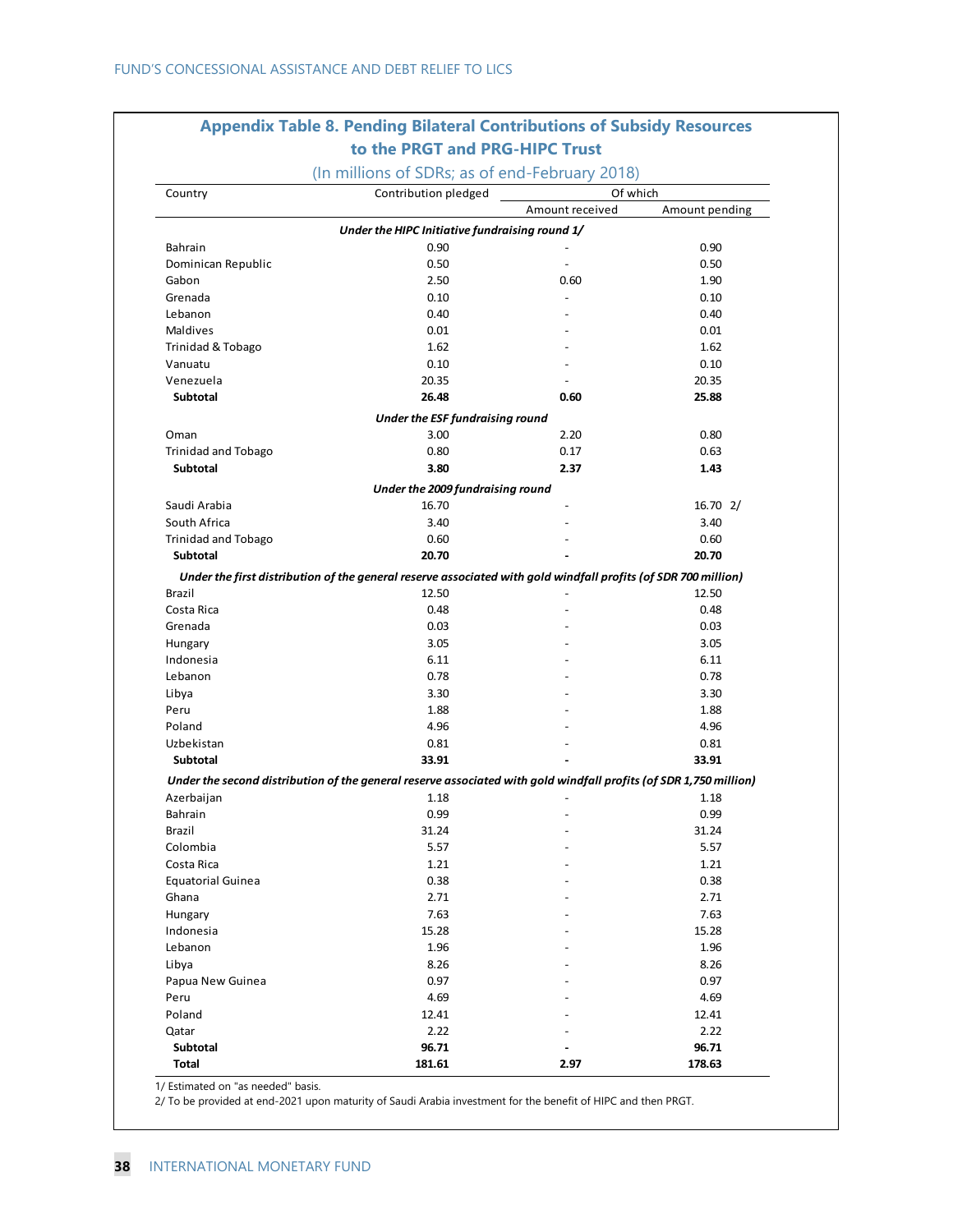# **Appendix Table 8. Pending Bilateral Contributions of Subsidy Resources to the PRGT and PRG-HIPC Trust**

| Country                    | Contribution pledged                                                                                              | Of which                 |                |  |
|----------------------------|-------------------------------------------------------------------------------------------------------------------|--------------------------|----------------|--|
|                            |                                                                                                                   | Amount received          | Amount pending |  |
|                            | Under the HIPC Initiative fundraising round 1/                                                                    |                          |                |  |
| Bahrain                    | 0.90                                                                                                              |                          | 0.90           |  |
| Dominican Republic         | 0.50                                                                                                              | $\overline{\phantom{a}}$ | 0.50           |  |
| Gabon                      | 2.50                                                                                                              | 0.60                     | 1.90           |  |
| Grenada                    | 0.10                                                                                                              | $\overline{a}$           | 0.10           |  |
| Lebanon                    | 0.40                                                                                                              |                          | 0.40           |  |
| <b>Maldives</b>            | 0.01                                                                                                              |                          | 0.01           |  |
| Trinidad & Tobago          | 1.62                                                                                                              |                          | 1.62           |  |
| Vanuatu                    | 0.10                                                                                                              |                          | 0.10           |  |
| Venezuela                  | 20.35                                                                                                             |                          | 20.35          |  |
| <b>Subtotal</b>            | 26.48                                                                                                             | 0.60                     | 25.88          |  |
|                            | Under the ESF fundraising round                                                                                   |                          |                |  |
| Oman                       | 3.00                                                                                                              | 2.20                     | 0.80           |  |
| <b>Trinidad and Tobago</b> | 0.80                                                                                                              | 0.17                     | 0.63           |  |
| <b>Subtotal</b>            | 3.80                                                                                                              | 2.37                     | 1.43           |  |
|                            | Under the 2009 fundraising round                                                                                  |                          |                |  |
| Saudi Arabia               | 16.70                                                                                                             |                          | 16.702/        |  |
| South Africa               | 3.40                                                                                                              |                          | 3.40           |  |
| <b>Trinidad and Tobago</b> | 0.60                                                                                                              |                          | 0.60           |  |
| Subtotal                   | 20.70                                                                                                             |                          | 20.70          |  |
|                            | Under the first distribution of the general reserve associated with gold windfall profits (of SDR 700 million)    |                          |                |  |
| Brazil                     | 12.50                                                                                                             |                          | 12.50          |  |
| Costa Rica                 | 0.48                                                                                                              |                          | 0.48           |  |
| Grenada                    | 0.03                                                                                                              |                          | 0.03           |  |
| Hungary                    | 3.05                                                                                                              |                          | 3.05           |  |
| Indonesia                  | 6.11                                                                                                              |                          | 6.11           |  |
| Lebanon                    | 0.78                                                                                                              |                          | 0.78           |  |
| Libya                      | 3.30                                                                                                              |                          | 3.30           |  |
| Peru                       | 1.88                                                                                                              |                          | 1.88           |  |
| Poland                     | 4.96                                                                                                              |                          | 4.96           |  |
| Uzbekistan                 | 0.81                                                                                                              |                          | 0.81           |  |
|                            |                                                                                                                   |                          |                |  |
| Subtotal                   | 33.91                                                                                                             |                          | 33.91          |  |
|                            | Under the second distribution of the general reserve associated with gold windfall profits (of SDR 1,750 million) |                          |                |  |
| Azerbaijan                 | 1.18                                                                                                              |                          | 1.18           |  |
| Bahrain                    | 0.99                                                                                                              |                          | 0.99           |  |
| Brazil                     | 31.24                                                                                                             |                          | 31.24          |  |
| Colombia                   | 5.57                                                                                                              |                          | 5.57           |  |
| Costa Rica                 | 1.21                                                                                                              |                          | 1.21           |  |
| <b>Equatorial Guinea</b>   | 0.38                                                                                                              |                          | 0.38           |  |
| Ghana                      | 2.71                                                                                                              |                          | 2.71           |  |
| Hungary                    | 7.63                                                                                                              |                          | 7.63           |  |
| Indonesia                  | 15.28                                                                                                             |                          | 15.28          |  |
| Lebanon                    | 1.96                                                                                                              |                          | 1.96           |  |
| Libya                      | 8.26                                                                                                              |                          | 8.26           |  |
| Papua New Guinea           | 0.97                                                                                                              |                          | 0.97           |  |
| Peru                       | 4.69                                                                                                              |                          | 4.69           |  |
| Poland                     | 12.41                                                                                                             |                          | 12.41          |  |
| Qatar                      | 2.22                                                                                                              |                          | 2.22           |  |
| Subtotal                   | 96.71                                                                                                             |                          | 96.71          |  |
| <b>Total</b>               | 181.61                                                                                                            | 2.97                     | 178.63         |  |

1/ Estimated on "as needed" basis.

2/ To be provided at end-2021 upon maturity of Saudi Arabia investment for the benefit of HIPC and then PRGT.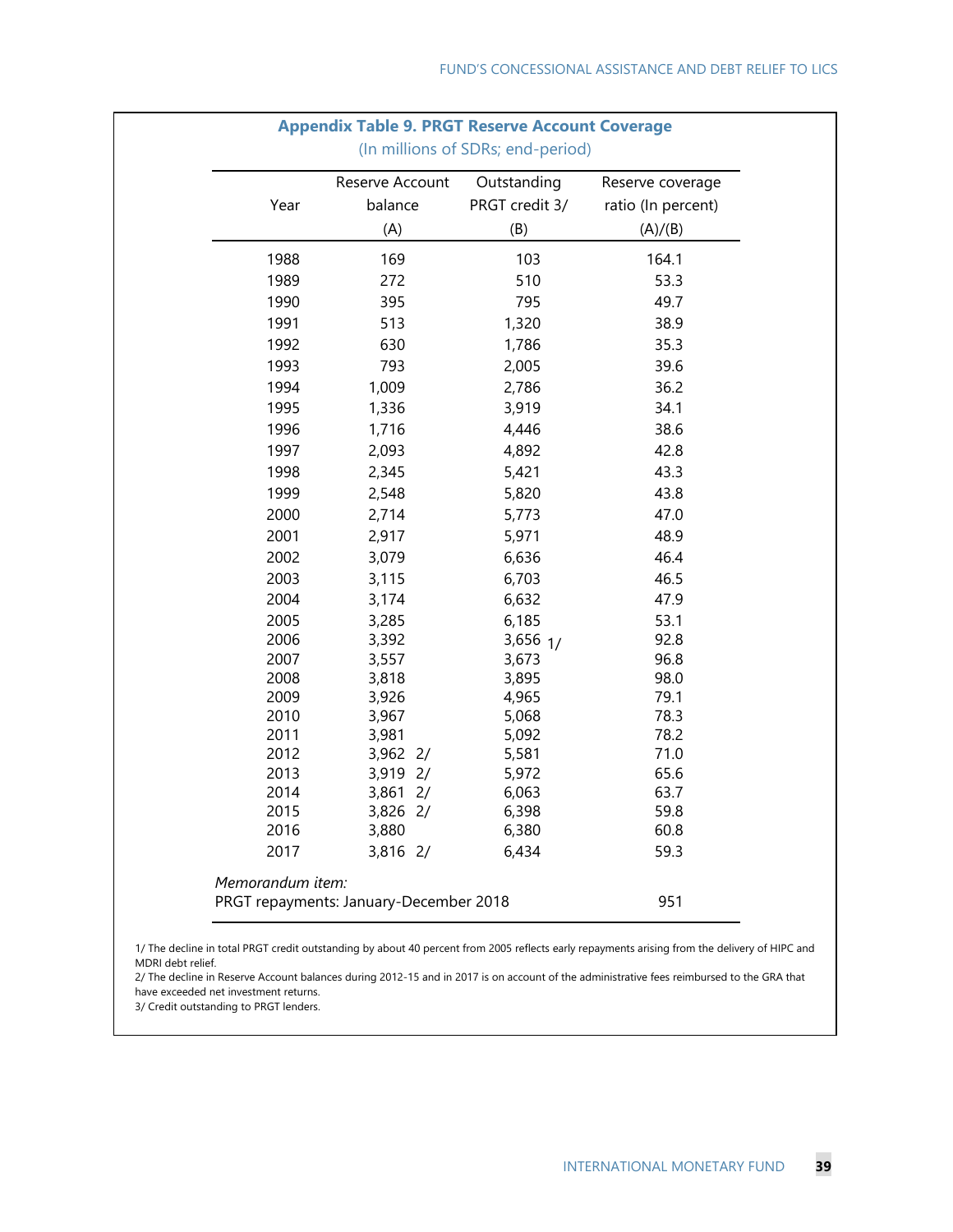| Year         | Reserve Account<br>balance | Outstanding<br>PRGT credit 3/ | Reserve coverage<br>ratio (In percent) |
|--------------|----------------------------|-------------------------------|----------------------------------------|
|              | (A)                        | (B)                           | (A)/(B)                                |
| 1988         | 169                        | 103                           | 164.1                                  |
| 1989         | 272                        | 510                           | 53.3                                   |
| 1990         | 395                        | 795                           | 49.7                                   |
| 1991         | 513                        | 1,320                         | 38.9                                   |
| 1992         | 630                        | 1,786                         | 35.3                                   |
| 1993         | 793                        | 2,005                         | 39.6                                   |
| 1994         | 1,009                      | 2,786                         | 36.2                                   |
| 1995         | 1,336                      | 3,919                         | 34.1                                   |
| 1996         | 1,716                      | 4,446                         | 38.6                                   |
| 1997         | 2,093                      | 4,892                         | 42.8                                   |
| 1998         | 2,345                      | 5,421                         | 43.3                                   |
| 1999         | 2,548                      | 5,820                         | 43.8                                   |
| 2000         | 2,714                      | 5,773                         | 47.0                                   |
| 2001         | 2,917                      | 5,971                         | 48.9                                   |
| 2002         | 3,079                      | 6,636                         | 46.4                                   |
| 2003         | 3,115                      | 6,703                         | 46.5                                   |
| 2004         | 3,174                      | 6,632                         | 47.9                                   |
| 2005         | 3,285                      | 6,185                         | 53.1                                   |
| 2006         | 3,392                      | $3,656$ $1/$                  | 92.8                                   |
| 2007         | 3,557                      | 3,673                         | 96.8                                   |
| 2008         | 3,818                      | 3,895                         | 98.0                                   |
| 2009         | 3,926                      | 4,965                         | 79.1                                   |
| 2010<br>2011 | 3,967<br>3,981             | 5,068<br>5,092                | 78.3<br>78.2                           |
| 2012         | 3,962 2/                   | 5,581                         | 71.0                                   |
| 2013         | 3,919 2/                   | 5,972                         | 65.6                                   |
| 2014         | $3,861$ 2/                 | 6,063                         | 63.7                                   |
| 2015         | 3,826 2/                   | 6,398                         | 59.8                                   |
| 2016         | 3,880                      | 6,380                         | 60.8                                   |
| 2017         | 3,816 2/                   | 6,434                         | 59.3                                   |

1/ The decline in total PRGT credit outstanding by about 40 percent from 2005 reflects early repayments arising from the delivery of HIPC and MDRI debt relief.

2/ The decline in Reserve Account balances during 2012-15 and in 2017 is on account of the administrative fees reimbursed to the GRA that have exceeded net investment returns.

3/ Credit outstanding to PRGT lenders.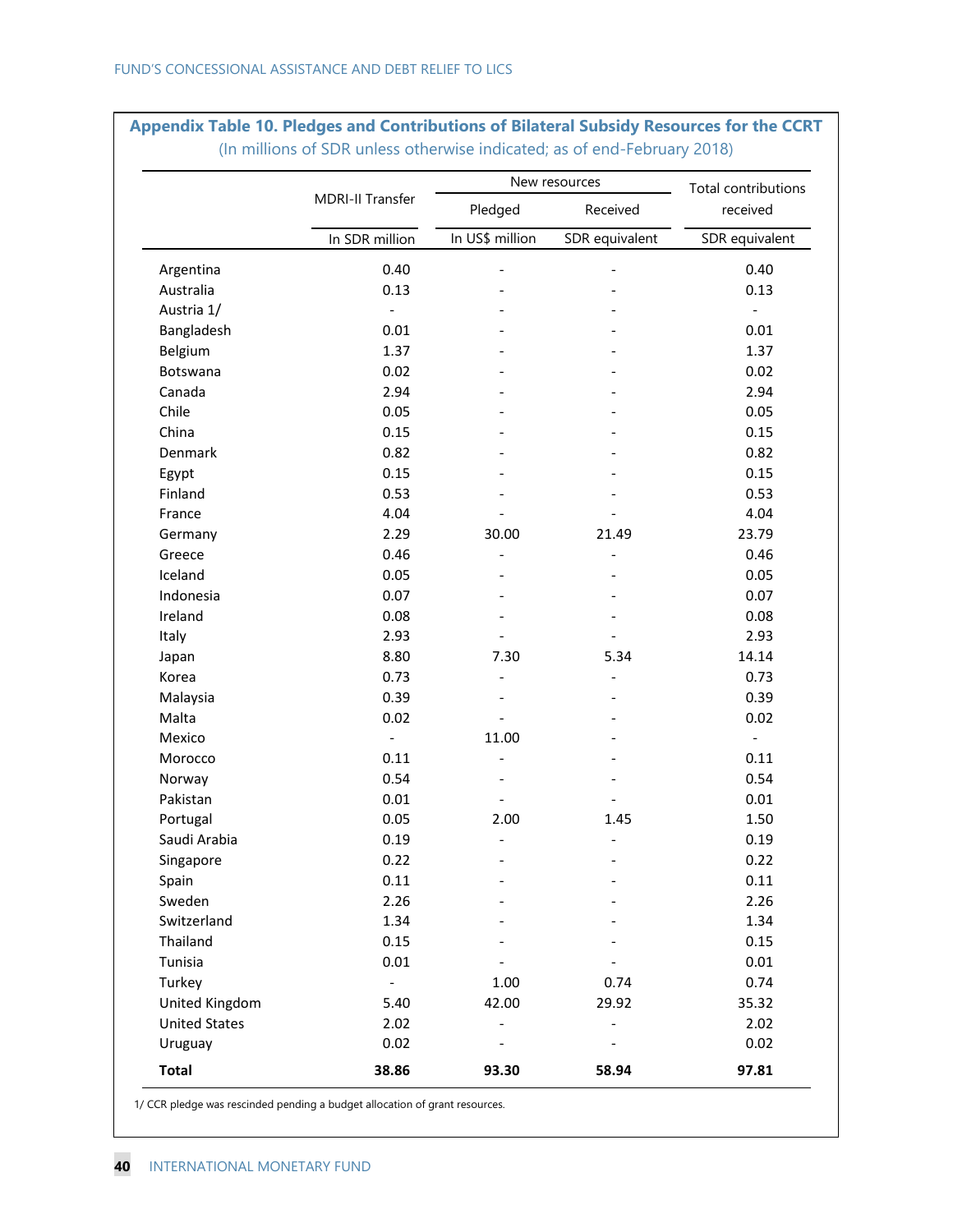|                                        |                          | New resources                | Total contributions          |                          |  |
|----------------------------------------|--------------------------|------------------------------|------------------------------|--------------------------|--|
|                                        | MDRI-II Transfer         | Pledged                      | Received                     | received                 |  |
|                                        | In SDR million           | In US\$ million              | SDR equivalent               | SDR equivalent           |  |
| Argentina                              | 0.40                     | $\qquad \qquad \blacksquare$ | $\qquad \qquad \blacksquare$ | 0.40                     |  |
| Australia                              | 0.13                     |                              |                              | 0.13                     |  |
| Austria 1/                             | $\Box$                   |                              |                              | $\overline{\phantom{a}}$ |  |
| Bangladesh                             | 0.01                     |                              |                              | 0.01                     |  |
| Belgium                                | 1.37                     |                              |                              | 1.37                     |  |
| Botswana                               | 0.02                     |                              |                              | 0.02                     |  |
| Canada                                 | 2.94                     |                              |                              | 2.94                     |  |
| Chile                                  | 0.05                     |                              |                              | 0.05                     |  |
| China                                  | 0.15                     |                              |                              | 0.15                     |  |
| Denmark                                | 0.82                     |                              |                              | 0.82                     |  |
| Egypt                                  | 0.15                     |                              |                              | 0.15                     |  |
| Finland                                | 0.53                     |                              |                              | 0.53                     |  |
| France                                 | 4.04                     |                              |                              | 4.04                     |  |
| Germany                                | 2.29                     | 30.00                        | 21.49                        | 23.79                    |  |
| Greece                                 | 0.46                     |                              |                              | 0.46                     |  |
| Iceland                                | 0.05                     |                              |                              | 0.05                     |  |
| Indonesia                              | 0.07                     |                              |                              | 0.07                     |  |
| Ireland                                | 0.08                     |                              |                              | 0.08                     |  |
| Italy                                  | 2.93                     |                              |                              | 2.93                     |  |
| Japan                                  | 8.80                     | 7.30                         | 5.34                         | 14.14                    |  |
| Korea                                  | 0.73                     | $\overline{\phantom{a}}$     | $\qquad \qquad \blacksquare$ | 0.73                     |  |
| Malaysia                               | 0.39                     |                              |                              | 0.39                     |  |
| Malta                                  | 0.02                     |                              |                              | 0.02                     |  |
| Mexico                                 | $\overline{\phantom{a}}$ | 11.00                        |                              | $\blacksquare$           |  |
| Morocco                                | 0.11                     | $\overline{\phantom{0}}$     |                              | 0.11                     |  |
| Norway                                 | 0.54                     |                              |                              | 0.54                     |  |
| Pakistan                               | 0.01                     |                              |                              | 0.01                     |  |
| Portugal                               | 0.05                     | 2.00                         | 1.45                         | 1.50                     |  |
| Saudi Arabia                           | 0.19                     | $\overline{\phantom{a}}$     | $\qquad \qquad \blacksquare$ | 0.19                     |  |
| Singapore                              | 0.22                     |                              |                              | 0.22                     |  |
| Spain                                  | 0.11                     |                              |                              | 0.11                     |  |
| Sweden                                 | 2.26                     |                              |                              | 2.26                     |  |
| Switzerland                            | 1.34                     |                              |                              | 1.34                     |  |
| Thailand                               | 0.15                     |                              |                              | 0.15                     |  |
| Tunisia                                | 0.01                     |                              |                              | 0.01                     |  |
| Turkey                                 | $\frac{1}{2}$            | 1.00                         | 0.74                         | 0.74                     |  |
|                                        | 5.40                     | 42.00                        | 29.92                        | 35.32                    |  |
| United Kingdom<br><b>United States</b> |                          |                              |                              |                          |  |
|                                        | 2.02                     |                              |                              | 2.02                     |  |
| Uruguay                                | 0.02                     |                              |                              | 0.02                     |  |
| <b>Total</b>                           | 38.86                    | 93.30                        | 58.94                        | 97.81                    |  |

#### **Appendix Table 10. Pledges and Contributions of Bilateral Subsidy Resources for the CCRT**  (In millions of SDR unless otherwise indicated; as of end-February 2018)

1/ CCR pledge was rescinded pending a budget allocation of grant resources.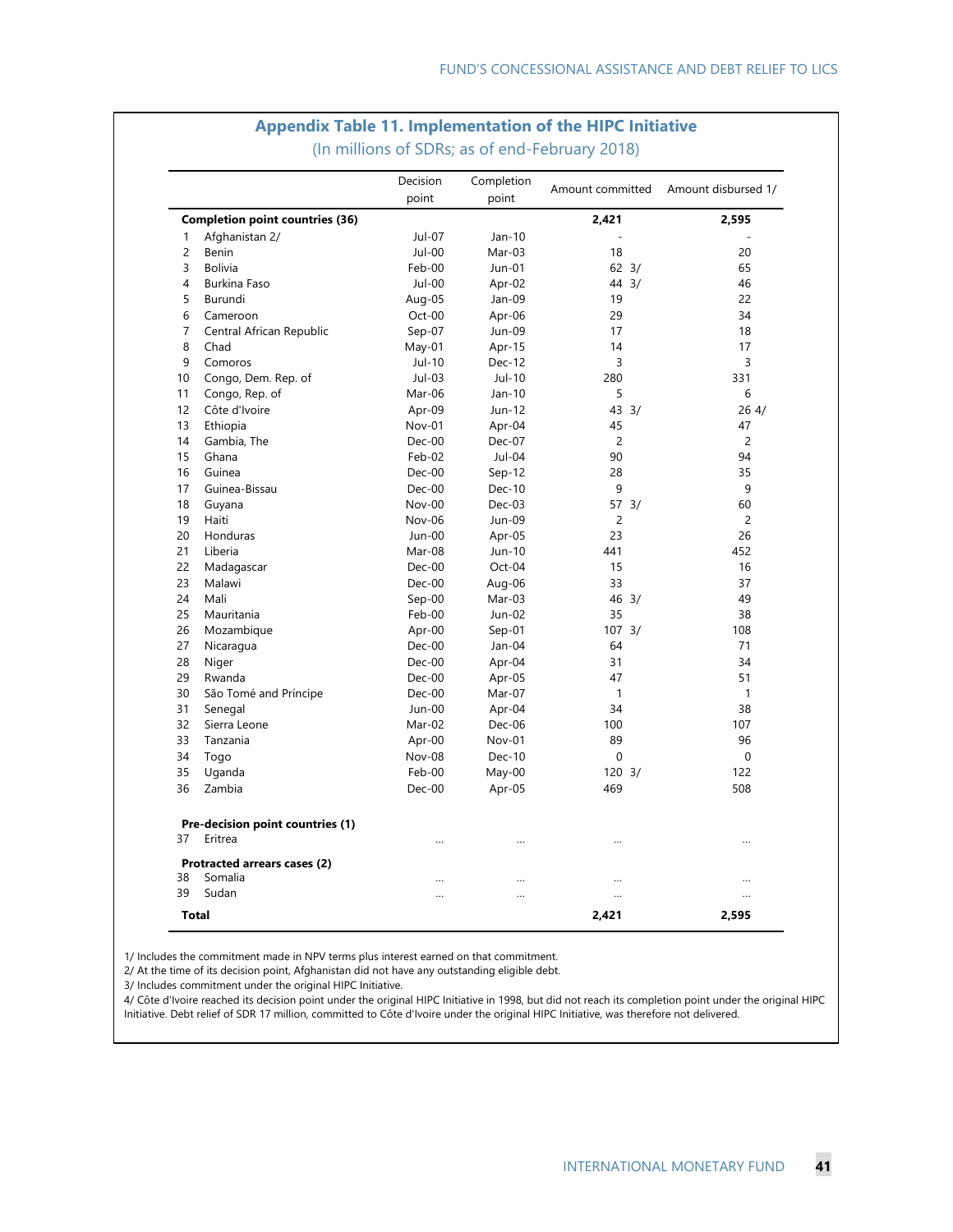## **Appendix Table 11. Implementation of the HIPC Initiative**

|                                            | Decision | Completion | Amount committed  | Amount disbursed 1/ |  |
|--------------------------------------------|----------|------------|-------------------|---------------------|--|
|                                            | point    | point      |                   |                     |  |
| <b>Completion point countries (36)</b>     |          |            | 2,421             | 2,595               |  |
| Afghanistan 2/<br>1                        | Jul-07   | Jan-10     |                   |                     |  |
| 2<br>Benin                                 | Jul-00   | Mar-03     | 18                | 20                  |  |
| 3<br><b>Bolivia</b>                        | Feb-00   | Jun-01     | $62 \frac{3}{2}$  | 65                  |  |
| $\overline{4}$<br><b>Burkina Faso</b>      | Jul-00   | Apr-02     | 44 3/             | 46                  |  |
| 5<br>Burundi                               | Aug-05   | Jan-09     | 19                | 22                  |  |
| 6<br>Cameroon                              | Oct-00   | Apr-06     | 29                | 34                  |  |
| $\overline{7}$<br>Central African Republic | Sep-07   | Jun-09     | 17                | 18                  |  |
| 8<br>Chad                                  | May-01   | Apr-15     | 14                | 17                  |  |
| 9<br>Comoros                               | Jul-10   | Dec-12     | 3                 | 3                   |  |
| Congo, Dem. Rep. of<br>10                  | Jul-03   | Jul-10     | 280               | 331                 |  |
| 11<br>Congo, Rep. of                       | Mar-06   | Jan-10     | 5                 | 6                   |  |
| 12<br>Côte d'Ivoire                        | Apr-09   | Jun-12     | 43 3/             | 264/                |  |
| 13<br>Ethiopia                             | Nov-01   | Apr-04     | 45                | 47                  |  |
| 14<br>Gambia, The                          | $Dec-00$ | Dec-07     | $\overline{c}$    | 2                   |  |
| 15<br>Ghana                                | Feb-02   | Jul-04     | 90                | 94                  |  |
| 16<br>Guinea                               | Dec-00   | $Sep-12$   | 28                | 35                  |  |
| 17<br>Guinea-Bissau                        | Dec-00   | Dec-10     | 9                 | 9                   |  |
| 18<br>Guyana                               | Nov-00   | Dec-03     | $57 \frac{3}{ }$  | 60                  |  |
| Haiti<br>19                                | Nov-06   | Jun-09     | $\overline{c}$    | $\overline{c}$      |  |
| 20<br>Honduras                             | Jun-00   | Apr-05     | 23                | 26                  |  |
| 21<br>Liberia                              | Mar-08   | Jun-10     | 441               | 452                 |  |
| 22<br>Madagascar                           | Dec-00   | Oct-04     | 15                | 16                  |  |
| 23<br>Malawi                               | Dec-00   | Aug-06     | 33                | 37                  |  |
| 24<br>Mali                                 | $Sep-00$ | Mar-03     | 46 3/             | 49                  |  |
| 25<br>Mauritania                           | Feb-00   | Jun-02     | 35                | 38                  |  |
| 26<br>Mozambique                           | Apr-00   | $Sep-01$   | 107.3/            | 108                 |  |
| 27<br>Nicaragua                            | $Dec-00$ | Jan-04     | 64                | 71                  |  |
| 28<br>Niger                                | Dec-00   | Apr-04     | 31                | 34                  |  |
| 29<br>Rwanda                               | Dec-00   | Apr-05     | 47                | 51                  |  |
| 30<br>São Tomé and Príncipe                | Dec-00   | Mar-07     | $\mathbf{1}$      | 1                   |  |
| 31<br>Senegal                              | $Jun-00$ | Apr-04     | 34                | 38                  |  |
| 32<br>Sierra Leone                         | Mar-02   | Dec-06     | 100               | 107                 |  |
| 33<br>Tanzania                             | Apr-00   | Nov-01     | 89                | 96                  |  |
| 34<br>Togo                                 | Nov-08   | Dec-10     | $\mathbf 0$       | $\mathbf{0}$        |  |
| 35<br>Uganda                               | Feb-00   | May-00     | $120 \frac{3}{2}$ | 122                 |  |
| 36<br>Zambia                               | Dec-00   | Apr-05     | 469               | 508                 |  |
| Pre-decision point countries (1)           |          |            |                   |                     |  |
| 37<br>Eritrea                              | $\cdots$ | $\cdots$   | $\cdots$          | $\cdots$            |  |
| Protracted arrears cases (2)               |          |            |                   |                     |  |
| 38<br>Somalia                              |          |            |                   |                     |  |
| 39<br>Sudan                                |          | $\ddotsc$  |                   |                     |  |
| <b>Total</b>                               |          |            | 2.421             | 2,595               |  |

(In millions of SDRs; as of end-February 2018)

1/ Includes the commitment made in NPV terms plus interest earned on that commitment.

2/ At the time of its decision point, Afghanistan did not have any outstanding eligible debt.

3/ Includes commitment under the original HIPC Initiative.

4/ Côte d'Ivoire reached its decision point under the original HIPC Initiative in 1998, but did not reach its completion point under the original HIPC Initiative. Debt relief of SDR 17 million, committed to Côte d'Ivoire under the original HIPC Initiative, was therefore not delivered.